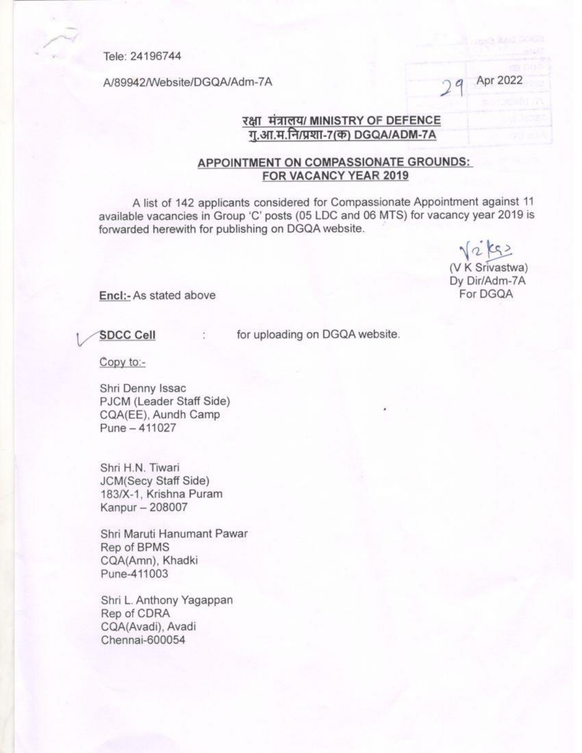Tele: 24196744

A/89942/Website/DGQA/Adm-7A

Apr 2022

## रक्षा मंत्रालय/ MINISTRY OF DEFENCE ग.आ.म.नि/प्रशा-7(क) DGQA/ADM-7A

## APPOINTMENT ON COMPASSIONATE GROUNDS: FOR VACANCY YEAR 2019

A list of 142 applicants considered for Compassionate Appointment against 11 available vacancies in Group 'C' posts (05 LDC and 06 MTS) for vacancy year 2019 is forwarded herewith for publishing on DGQA website.

 $\sqrt{2}$   $\zeta$ (V K Srivastwa) Dy Dir/Adm-7A For DGQA

Encl:- As stated above

**SDCC Cell** 

for uploading on DGQA website.

Copy to:-

Shri Denny Issac PJCM (Leader Staff Side) CQA(EE), Aundh Camp Pune - 411027

Shri H.N. Tiwari **JCM(Secy Staff Side)** 183/X-1, Krishna Puram Kanpur - 208007

Shri Maruti Hanumant Pawar Rep of BPMS CQA(Amn), Khadki Pune-411003

Shri L. Anthony Yagappan Rep of CDRA CQA(Avadi), Avadi Chennai-600054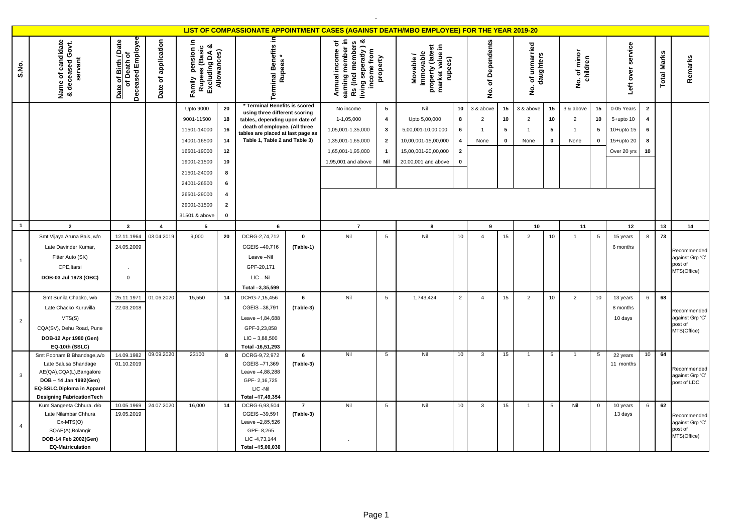|                |                                                                                                                                                                              |                                                          |                     |                                                                                                           |                                       |                                                                                                                                                                                                         |                             |                                                                                                              |                                                                                                     | LIST OF COMPASSIONATE APPOINTMENT CASES (AGAINST DEATH/MBO EMPLOYEE) FOR THE YEAR 2019-20                       |                                                               |                                                       |                              |                                                       |                              |                                                               |                              |                                                                       |                                                  |                    |                                                          |
|----------------|------------------------------------------------------------------------------------------------------------------------------------------------------------------------------|----------------------------------------------------------|---------------------|-----------------------------------------------------------------------------------------------------------|---------------------------------------|---------------------------------------------------------------------------------------------------------------------------------------------------------------------------------------------------------|-----------------------------|--------------------------------------------------------------------------------------------------------------|-----------------------------------------------------------------------------------------------------|-----------------------------------------------------------------------------------------------------------------|---------------------------------------------------------------|-------------------------------------------------------|------------------------------|-------------------------------------------------------|------------------------------|---------------------------------------------------------------|------------------------------|-----------------------------------------------------------------------|--------------------------------------------------|--------------------|----------------------------------------------------------|
| S.No.          | ame of candidate<br>deceased Govt.<br>servant<br>Name of<br>య                                                                                                                | Deceased Employee<br>Date of Birth / Date<br>of Death of | Date of application | pension in<br>Rupees (Basic<br>Excluding DA &<br>Allowances)<br>Family                                    |                                       | erminal Benefits in<br><b>Rupees</b>                                                                                                                                                                    |                             | earning member in<br>Rs (incl members<br>living seperatly) &<br>đ<br>Annual income<br>income from            | property                                                                                            | property (latest<br>market value in<br>immovable<br>Movable/<br>rupees)                                         |                                                               | Dependents<br>৳<br>ġ                                  |                              | of unmarried<br>daughters<br>$\dot{\mathsf{z}}$       |                              | of minor<br>children<br>$\frac{\dot{\mathsf{p}}}{\mathsf{z}}$ |                              | service<br>Left over                                                  |                                                  | <b>Total Marks</b> | Remarks                                                  |
|                |                                                                                                                                                                              |                                                          |                     | <b>Upto 9000</b><br>9001-11500<br>11501-14000<br>14001-16500<br>16501-19000<br>19001-21500<br>21501-24000 | 20<br>18<br>16<br>14<br>12<br>10<br>8 | * Terminal Benefits is scored<br>using three different scoring<br>tables, depending upon date of<br>death of employee. (All three<br>tables are placed at last page as<br>Table 1, Table 2 and Table 3) |                             | No income<br>1-1,05,000<br>1,05,001-1,35,000<br>1,35,001-1,65,000<br>1,65,001-1,95,000<br>1,95,001 and above | $5\phantom{.0}$<br>$\overline{\mathbf{4}}$<br>$\mathbf{3}$<br>$\overline{2}$<br>$\mathbf{1}$<br>Nil | Nil<br>Upto 5,00,000<br>5,00,001-10,00,000<br>10,00,001-15,00,000<br>15,00,001-20,00,000<br>20,00,001 and above | 10<br>8<br>6<br>$\overline{4}$<br>$\overline{2}$<br>$\pmb{0}$ | 3 & above<br>$\overline{2}$<br>$\overline{1}$<br>None | 15<br>10<br>5<br>$\mathbf 0$ | 3 & above<br>$\overline{2}$<br>$\overline{1}$<br>None | 15<br>10<br>5<br>$\mathbf 0$ | 3 & above<br>$\overline{2}$<br>$\mathbf{1}$<br>None           | 15<br>10<br>5<br>$\mathbf 0$ | 0-05 Years<br>$5+$ upto 10<br>10+upto 15<br>15+upto 20<br>Over 20 yrs | $\overline{2}$<br>$\overline{4}$<br>6<br>8<br>10 |                    |                                                          |
|                |                                                                                                                                                                              |                                                          |                     | 24001-26500<br>26501-29000<br>29001-31500<br>31501 & above                                                | 6<br>4<br>$\mathbf{2}$<br>$\mathbf 0$ |                                                                                                                                                                                                         |                             |                                                                                                              |                                                                                                     |                                                                                                                 |                                                               |                                                       |                              |                                                       |                              |                                                               |                              |                                                                       |                                                  |                    |                                                          |
| $\mathbf{1}$   | $\overline{2}$                                                                                                                                                               | $\overline{\mathbf{3}}$                                  | $\overline{4}$      | $5\phantom{.0}$                                                                                           |                                       | $\bf{6}$                                                                                                                                                                                                |                             | $\overline{7}$                                                                                               |                                                                                                     | 8                                                                                                               |                                                               | 9                                                     |                              | 10                                                    |                              | 11                                                            |                              | 12                                                                    |                                                  | 13                 | 14                                                       |
| $\overline{1}$ | Smt Vijaya Aruna Bais, w/o<br>Late Davinder Kumar<br>Fitter Auto (SK)<br>CPE, Itarsi<br>DOB-03 Jul 1978 (OBC)                                                                | 12.11.1964<br>24.05.2009<br>$\mathbf 0$                  | 03.04.2019          | 9,000                                                                                                     | 20                                    | DCRG-2,74,712<br>CGEIS-40,716<br>Leave-Nil<br>GPF-20,171<br>$LIC - Nil$<br>Total -3,35,599                                                                                                              | $\mathbf 0$<br>(Table-1)    | Nil                                                                                                          | 5                                                                                                   | Nil                                                                                                             | 10                                                            | $\overline{4}$                                        | 15                           | $\overline{2}$                                        | 10                           | $\mathbf{1}$                                                  | 5                            | 15 years<br>6 months                                                  | 8                                                | 73                 | Recommended<br>against Grp 'C'<br>post of<br>MTS(Office) |
| $\overline{2}$ | Smt Sunila Chacko, w/o<br>Late Chacko Kuruvilla<br>MTS(S)<br>CQA(SV), Dehu Road, Pune<br>DOB-12 Apr 1980 (Gen)<br>EQ-10th (SSLC)                                             | 25.11.1971<br>22.03.2018                                 | 01.06.2020          | 15.550                                                                                                    | 14                                    | DCRG-7,15,456<br>CGEIS-38,791<br>Leave -1,84,688<br>GPF-3,23,858<br>$LIC - 3,88,500$<br>Total -16,51,293                                                                                                | 6<br>(Table-3)              | Nil                                                                                                          | $5\phantom{.0}$                                                                                     | 1,743,424                                                                                                       | $\overline{2}$                                                | $\overline{a}$                                        | 15                           | $\overline{2}$                                        | 10                           | 2                                                             | 10                           | 13 years<br>8 months<br>10 days                                       | 6                                                | 68                 | Recommended<br>against Grp 'C'<br>post of<br>MTS(Office) |
| 3              | Smt Poonam B Bhandage, w/o<br>Late Balusa Bhandage<br>AE(QA), CQA(L), Bangalore<br>DOB - 14 Jan 1992(Gen)<br>EQ-SSLC, Diploma in Apparel<br><b>Designing FabricationTech</b> | 14.09.1982<br>01.10.2019                                 | 09.09.2020          | 23100                                                                                                     | 8                                     | DCRG-9,72,972<br>CGEIS-71,369<br>Leave -4,88,288<br>GPF-2,16,725<br>LIC -Nil<br>Total -17,49,354                                                                                                        | 6<br>(Table-3)              | Nil                                                                                                          | 5                                                                                                   | Nil                                                                                                             | 10                                                            | 3                                                     | 15                           |                                                       | 5                            | 1                                                             | 5                            | 22 years<br>11 months                                                 | 10                                               | 64                 | Recommended<br>against Grp 'C'<br>post of LDC            |
| $\overline{4}$ | Kum Sangeeta Chhura. d/o<br>Late Nilambar Chhura<br>$Ex-MTS(O)$<br>SQAE(A), Bolangir<br>DOB-14 Feb 2002(Gen)<br><b>EQ-Matriculation</b>                                      | 10.05.1969<br>19.05.2019                                 | 24.07.2020          | 16,000                                                                                                    | 14                                    | DCRG-6,93,504<br>CGEIS-39,591<br>Leave -2,85,526<br>GPF-8,265<br>LIC-4,73,144<br>Total -15,00,030                                                                                                       | $\overline{7}$<br>(Table-3) | Nil                                                                                                          | $5\phantom{.0}$                                                                                     | Nil                                                                                                             | 10                                                            | 3                                                     | 15                           | $\overline{1}$                                        | $5\overline{5}$              | Nil                                                           | $\mathbf 0$                  | 10 years<br>13 days                                                   | 6                                                | 62                 | Recommended<br>against Grp 'C'<br>post of<br>MTS(Office) |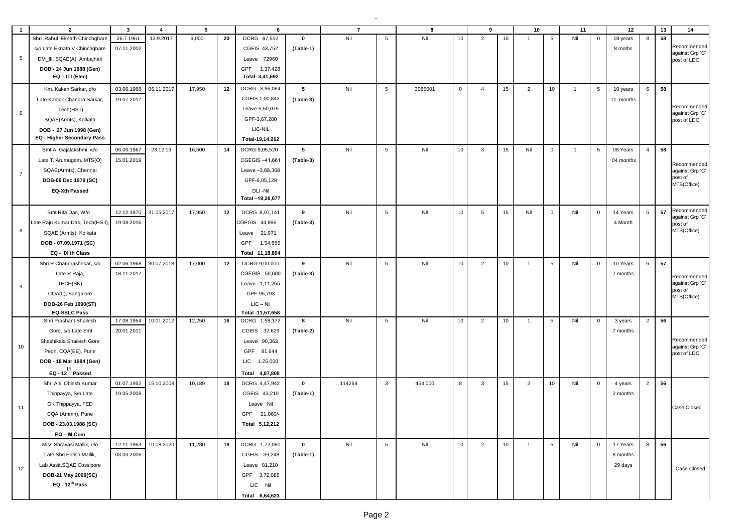| $\overline{1}$  | $\overline{2}$                  | $\mathbf{3}$ | $\overline{4}$ | 5      |    | 6                |             | $\overline{7}$ |                 | 8       |                 | 9              |    | 10             |                 | 11             |                 | 12        |                | 13 | 14                             |
|-----------------|---------------------------------|--------------|----------------|--------|----|------------------|-------------|----------------|-----------------|---------|-----------------|----------------|----|----------------|-----------------|----------------|-----------------|-----------|----------------|----|--------------------------------|
|                 | Shri Rahul Eknath Chinchghare   | 26.7.1961    | 13.9.2017      | 9,000  | 20 | DCRG 87,552      | $\mathbf 0$ | Nil            | $5\overline{5}$ | Nil     | 10              | $\overline{2}$ | 10 | $\overline{1}$ | 5               | Nil            | $\mathbf 0$     | 18 years  | 8              | 58 |                                |
|                 | s/o Late Eknath V Chinchghare   | 07.11.2002   |                |        |    | CGEIS 43,752     | (Table-1)   |                |                 |         |                 |                |    |                |                 |                |                 | 8 moths   |                |    | Recommended                    |
| $5\phantom{.0}$ | DM_III, SQAE(A), Ambajhari      |              |                |        |    | Leave 72960      |             |                |                 |         |                 |                |    |                |                 |                |                 |           |                |    | against Grp 'C'<br>post of LDC |
|                 | DOB - 24 Jun 1988 (Gen)         |              |                |        |    | GPF 1,37,428     |             |                |                 |         |                 |                |    |                |                 |                |                 |           |                |    |                                |
|                 | EQ - ITI (Elec)                 |              |                |        |    | Total- 3,41,692  |             |                |                 |         |                 |                |    |                |                 |                |                 |           |                |    |                                |
|                 | Km. Kakan Sarkar, d/o           | 03.06.1968   | 06.11.2017     | 17,950 | 12 | DCRG 8,96,064    | 5           | Nil            | $5\overline{5}$ | 3065001 | $\mathbf{0}$    | $\overline{4}$ | 15 | $\overline{2}$ | 10              | $\overline{1}$ | $5\overline{5}$ | 10 years  | 6              | 58 |                                |
|                 | Late Kartick Chandra Sarkar,    | 19.07.2017   |                |        |    | CGEIS-1,00,843   | (Table-3)   |                |                 |         |                 |                |    |                |                 |                |                 | 11 months |                |    |                                |
| 6               | Tech(HS-I)                      |              |                |        |    | Leave-5,50,075   |             |                |                 |         |                 |                |    |                |                 |                |                 |           |                |    | Recommended<br>against Grp 'C' |
|                 | SQAE(Armts), Kolkata            |              |                |        |    | GPF-3,67,280     |             |                |                 |         |                 |                |    |                |                 |                |                 |           |                |    | post of LDC                    |
|                 | DOB - 27 Jun 1998 (Gen)         |              |                |        |    | LIC-NIL          |             |                |                 |         |                 |                |    |                |                 |                |                 |           |                |    |                                |
|                 | EQ - Higher Secondary Pass      |              |                |        |    | Total-19,14,262  |             |                |                 |         |                 |                |    |                |                 |                |                 |           |                |    |                                |
|                 | Smt A. Gajalakshmi, w/o         | 06.05.1967   | 23.12.19       | 16,500 | 14 | DCRG-9,05,520    | 5           | Nil            | $5\phantom{.0}$ | Nil     | 10 <sup>1</sup> | $\mathbf{3}$   | 15 | Nil            | $\overline{0}$  | $\overline{1}$ | 5               | 08 Years  | $\overline{4}$ | 58 |                                |
|                 | Late T. Arumugam, MTS(O)        | 15.01.2019   |                |        |    | CGEGIS-41,661    | (Table-3)   |                |                 |         |                 |                |    |                |                 |                |                 | 04 months |                |    | Recommended                    |
| $\overline{7}$  | SQAE(Armts), Chennai            |              |                |        |    | Leave -3,68,368  |             |                |                 |         |                 |                |    |                |                 |                |                 |           |                |    | against Grp 'C'                |
|                 | DOB-06 Dec 1979 (SC)            |              |                |        |    | GPF-6,05,128     |             |                |                 |         |                 |                |    |                |                 |                |                 |           |                |    | post of<br>MTS(Office)         |
|                 | <b>EQ-Xth Passed</b>            |              |                |        |    | DLI-Nil          |             |                |                 |         |                 |                |    |                |                 |                |                 |           |                |    |                                |
|                 |                                 |              |                |        |    | Total -19,20,677 |             |                |                 |         |                 |                |    |                |                 |                |                 |           |                |    |                                |
|                 | Smt Rita Das, W/o               | 12.12.1970   | 31.05.2017     | 17,950 | 12 | DCRG 8,97,141    | 9           | Nil            | $5\overline{5}$ | Nil     | 10 <sup>1</sup> | 5              | 15 | Nil            | $\mathbf 0$     | Nil            | $\mathbf 0$     | 14 Years  | 6              | 57 | Recommended<br>against Grp 'C' |
|                 | Late Raju Kumar Das, Tech(HS-I) | 19.08.2016   |                |        |    | CGEGIS 44,896    | (Table-3)   |                |                 |         |                 |                |    |                |                 |                |                 | 4 Month   |                |    | post of                        |
| 8               | SQAE (Armts), Kolkata           |              |                |        |    | 21,971<br>Leave  |             |                |                 |         |                 |                |    |                |                 |                |                 |           |                |    | MTS(Office)                    |
|                 | DOB - 07.09.1971 (SC)           |              |                |        |    | GPF<br>1.54,886  |             |                |                 |         |                 |                |    |                |                 |                |                 |           |                |    |                                |
|                 | EQ - IX th Class                |              |                |        |    | Total 11,18,894  |             |                |                 |         |                 |                |    |                |                 |                |                 |           |                |    |                                |
|                 | Shri R Chandrashekar, s/o       | 02.06.1968   | 30.07.2018     | 17,000 | 12 | DCRG-9,00,000    | 9           | Nil            | $5\phantom{.0}$ | Nil     | 10              | $\overline{2}$ | 10 | $\overline{1}$ | 5               | Nil            | $\mathbf 0$     | 10 Years  | 6              | 57 |                                |
|                 | Late R Raja,                    | 18.11.2017   |                |        |    | CGEGIS-50,600    | (Table-3)   |                |                 |         |                 |                |    |                |                 |                |                 | 7 months  |                |    | Recommended                    |
| 9               | TECH(SK)                        |              |                |        |    | Leave -1,11,265  |             |                |                 |         |                 |                |    |                |                 |                |                 |           |                |    | against Grp 'C'                |
|                 | CQA(L), Bangalore               |              |                |        |    | GPF-95,793       |             |                |                 |         |                 |                |    |                |                 |                |                 |           |                |    | post of<br>MTS(Office)         |
|                 | DOB-26 Feb 1990(ST)             |              |                |        |    | $LIC - Nil$      |             |                |                 |         |                 |                |    |                |                 |                |                 |           |                |    |                                |
|                 | <b>EQ-SSLC Pass</b>             |              |                |        |    | Total -11,57,658 |             |                |                 |         |                 |                |    |                |                 |                |                 |           |                |    |                                |
|                 | Shri Prashant Shailesh          | 17.08.1954   | 10.01.2012     | 12,250 | 16 | DCRG 1,58,172    | 8           | Nil            | $5\overline{5}$ | Nil     | 10 <sup>1</sup> | $\overline{2}$ | 10 | $\overline{1}$ | $5\overline{5}$ | Nil            | $\overline{0}$  | 3 years   | $\overline{2}$ | 56 |                                |
|                 | Gore, s/o Late Smt              | 20.01.2011   |                |        |    | CGEIS 32,629     | (Table-2)   |                |                 |         |                 |                |    |                |                 |                |                 | 7 months  |                |    |                                |
| 10              | Shashikala Shailesh Gore        |              |                |        |    | Leave 90,363     |             |                |                 |         |                 |                |    |                |                 |                |                 |           |                |    | Recommended<br>against Grp 'C' |
|                 | Peon, CQA(EE), Pune             |              |                |        |    | GPF<br>81,644    |             |                |                 |         |                 |                |    |                |                 |                |                 |           |                |    | post of LDC                    |
|                 | DOB - 18 Mar 1984 (Gen)         |              |                |        |    | LIC<br>1,25,000  |             |                |                 |         |                 |                |    |                |                 |                |                 |           |                |    |                                |
|                 | EQ - $12^{th}$ Passed           |              |                |        |    | Total 4,87,808   |             |                |                 |         |                 |                |    |                |                 |                |                 |           |                |    |                                |
|                 | Shri Anil Oblesh Kumar          | 01.07.1952   | 15.10.2008     | 10,189 | 18 | DCRG 4,47,942    | $\mathbf 0$ | 114264         | $\mathbf{3}$    | 454,000 | 8               | 3              | 15 | $\overline{2}$ | 10              | Nil            | $\mathbf{0}$    | 4 years   | 2              | 56 |                                |
|                 | Thippayya, S/o Late             | 19.05.2008   |                |        |    | CGEIS 43,210     | (Table-1)   |                |                 |         |                 |                |    |                |                 |                |                 | 2 months  |                |    |                                |
| 11              | OK Thippayya, FED               |              |                |        |    | Leave Nil        |             |                |                 |         |                 |                |    |                |                 |                |                 |           |                |    | Case Closed                    |
|                 | CQA (Ammn), Pune                |              |                |        |    | GPF 21,060/-     |             |                |                 |         |                 |                |    |                |                 |                |                 |           |                |    |                                |
|                 | DOB - 23.03.1988 (SC)           |              |                |        |    | Total 5,12,212   |             |                |                 |         |                 |                |    |                |                 |                |                 |           |                |    |                                |
|                 | EQ-M.Com                        |              |                |        |    |                  |             |                |                 |         |                 |                |    |                |                 |                |                 |           |                |    |                                |
|                 | Miss Shrayasi Mallik, d/o       | 12.11.1963   | 10.08.2020     | 11,280 | 18 | DCRG 1,72,080    | $\mathbf 0$ | Nil            | $5\overline{5}$ | Nil     | 10              | $\overline{2}$ | 10 | $\overline{1}$ | $5\overline{5}$ | Nil            | $\overline{0}$  | 17 Years  | 8              | 56 |                                |
|                 | Late Shri Pritish Mallik,       | 03.03.2006   |                |        |    | CGEIS 39,248     | (Table-1)   |                |                 |         |                 |                |    |                |                 |                |                 | 8 months  |                |    |                                |
| 12              | Lab Asstt, SQAE Cossipore       |              |                |        |    | Leave 81,210     |             |                |                 |         |                 |                |    |                |                 |                |                 | 29 days   |                |    | Case Closed                    |
|                 | DOB-21 May 2000(SC)             |              |                |        |    | GPF 3,72,085     |             |                |                 |         |                 |                |    |                |                 |                |                 |           |                |    |                                |
|                 | $EQ - 12th Pass$                |              |                |        |    | LIC Nil          |             |                |                 |         |                 |                |    |                |                 |                |                 |           |                |    |                                |
|                 |                                 |              |                |        |    | Total 6,64,623   |             |                |                 |         |                 |                |    |                |                 |                |                 |           |                |    |                                |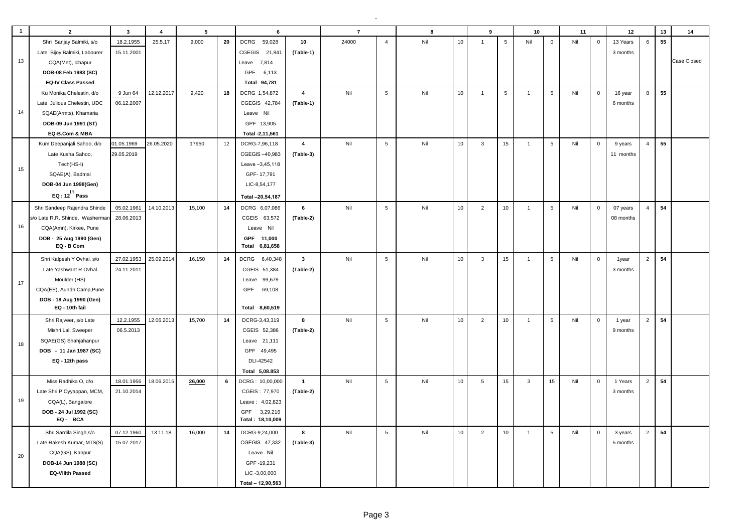| <b>DCRG</b><br>Nil<br>10<br>$5\overline{5}$<br>6<br>55<br>Shri Sanjay Balmiki, s/o<br>18.2.1955<br>25.5.17<br>9,000<br>20<br>59,028<br>10<br>24000<br>$\overline{4}$<br>Nil<br>$\mathsf 0$<br>Nil<br>$\mathbf{0}$<br>13 Years<br>$\overline{1}$<br>Late Bijoy Balmiki, Labourer<br>15.11.2001<br>CGEGIS 21,841<br>(Table-1)<br>3 months<br>13<br>CQA(Met), Ichapur<br>Leave 7,814<br>DOB-08 Feb 1983 (SC)<br>GPF<br>6,113<br><b>EQ-IV Class Passed</b><br>Total 94,781<br>$5\phantom{.0}$<br>8<br>55<br>9 Jun 64<br>12.12.2017<br>9,420<br>$\overline{\mathbf{4}}$<br>Nil<br>Nil<br>10<br>$5\overline{5}$<br>$5\overline{5}$<br>Nil<br>Ku Monika Chelestin, d/o<br>18<br>DCRG 1,54,872<br>$\overline{1}$<br>$\mathsf 0$<br>$\overline{1}$<br>16 year<br>06.12.2007<br>Late Julious Chelestin, UDC<br>CGEGIS 42,784<br>(Table-1)<br>6 months<br>14<br>SQAE(Armts), Khamaria<br>Leave Nil<br>DOB-09 Jun 1991 (ST)<br>GPF 13,905<br>EQ-B.Com & MBA<br>Total -2,11,561<br>$\overline{5}$<br>Nil<br>10<br>55<br>01.05.1969<br>26.05.2020<br>17950<br>12<br>DCRG-7,96,118<br>Nil<br>$\mathbf{3}$<br>15<br>$5\phantom{.0}$<br>Nil<br>$\overline{4}$<br>Kum Deepanjali Sahoo, d/o<br>$\overline{4}$<br>$\mathbf{1}$<br>$\mathsf 0$<br>9 years<br>Late Kusha Sahoo,<br>29.05.2019<br>CGEGIS-40,983<br>(Table-3)<br>11 months<br>Tech(HS-I)<br>Leave -3,45,118<br>15<br>SQAE(A), Badmal<br>GPF-17,791<br>DOB-04 Jun 1998(Gen)<br>LIC-8,54,177<br>EQ : $12^{th}$ Pass<br>Total -20,54,187<br>$5\overline{5}$<br>54<br>14<br>6<br>Nil<br>$5\phantom{.0}$<br>$\overline{4}$<br>Shri Sandeep Rajendra Shinde<br>05.02.1961<br>14.10.2013<br>15,100<br>DCRG 6,07,086<br>Nil<br>10<br>$\overline{2}$<br>10<br>$\overline{1}$<br>Nil<br>$\mathsf 0$<br>07 years | $\overline{2}$ | $5\overline{5}$<br>$\overline{4}$<br>6 | $\overline{7}$ | 8 | 9 | 10 | 11 | 12 | $13$ | 14          |
|------------------------------------------------------------------------------------------------------------------------------------------------------------------------------------------------------------------------------------------------------------------------------------------------------------------------------------------------------------------------------------------------------------------------------------------------------------------------------------------------------------------------------------------------------------------------------------------------------------------------------------------------------------------------------------------------------------------------------------------------------------------------------------------------------------------------------------------------------------------------------------------------------------------------------------------------------------------------------------------------------------------------------------------------------------------------------------------------------------------------------------------------------------------------------------------------------------------------------------------------------------------------------------------------------------------------------------------------------------------------------------------------------------------------------------------------------------------------------------------------------------------------------------------------------------------------------------------------------------------------------------------------------------------------------------------------------------------------------------------------|----------------|----------------------------------------|----------------|---|---|----|----|----|------|-------------|
|                                                                                                                                                                                                                                                                                                                                                                                                                                                                                                                                                                                                                                                                                                                                                                                                                                                                                                                                                                                                                                                                                                                                                                                                                                                                                                                                                                                                                                                                                                                                                                                                                                                                                                                                                |                |                                        |                |   |   |    |    |    |      |             |
|                                                                                                                                                                                                                                                                                                                                                                                                                                                                                                                                                                                                                                                                                                                                                                                                                                                                                                                                                                                                                                                                                                                                                                                                                                                                                                                                                                                                                                                                                                                                                                                                                                                                                                                                                |                |                                        |                |   |   |    |    |    |      |             |
|                                                                                                                                                                                                                                                                                                                                                                                                                                                                                                                                                                                                                                                                                                                                                                                                                                                                                                                                                                                                                                                                                                                                                                                                                                                                                                                                                                                                                                                                                                                                                                                                                                                                                                                                                |                |                                        |                |   |   |    |    |    |      | Case Closed |
|                                                                                                                                                                                                                                                                                                                                                                                                                                                                                                                                                                                                                                                                                                                                                                                                                                                                                                                                                                                                                                                                                                                                                                                                                                                                                                                                                                                                                                                                                                                                                                                                                                                                                                                                                |                |                                        |                |   |   |    |    |    |      |             |
|                                                                                                                                                                                                                                                                                                                                                                                                                                                                                                                                                                                                                                                                                                                                                                                                                                                                                                                                                                                                                                                                                                                                                                                                                                                                                                                                                                                                                                                                                                                                                                                                                                                                                                                                                |                |                                        |                |   |   |    |    |    |      |             |
|                                                                                                                                                                                                                                                                                                                                                                                                                                                                                                                                                                                                                                                                                                                                                                                                                                                                                                                                                                                                                                                                                                                                                                                                                                                                                                                                                                                                                                                                                                                                                                                                                                                                                                                                                |                |                                        |                |   |   |    |    |    |      |             |
|                                                                                                                                                                                                                                                                                                                                                                                                                                                                                                                                                                                                                                                                                                                                                                                                                                                                                                                                                                                                                                                                                                                                                                                                                                                                                                                                                                                                                                                                                                                                                                                                                                                                                                                                                |                |                                        |                |   |   |    |    |    |      |             |
|                                                                                                                                                                                                                                                                                                                                                                                                                                                                                                                                                                                                                                                                                                                                                                                                                                                                                                                                                                                                                                                                                                                                                                                                                                                                                                                                                                                                                                                                                                                                                                                                                                                                                                                                                |                |                                        |                |   |   |    |    |    |      |             |
|                                                                                                                                                                                                                                                                                                                                                                                                                                                                                                                                                                                                                                                                                                                                                                                                                                                                                                                                                                                                                                                                                                                                                                                                                                                                                                                                                                                                                                                                                                                                                                                                                                                                                                                                                |                |                                        |                |   |   |    |    |    |      |             |
|                                                                                                                                                                                                                                                                                                                                                                                                                                                                                                                                                                                                                                                                                                                                                                                                                                                                                                                                                                                                                                                                                                                                                                                                                                                                                                                                                                                                                                                                                                                                                                                                                                                                                                                                                |                |                                        |                |   |   |    |    |    |      |             |
|                                                                                                                                                                                                                                                                                                                                                                                                                                                                                                                                                                                                                                                                                                                                                                                                                                                                                                                                                                                                                                                                                                                                                                                                                                                                                                                                                                                                                                                                                                                                                                                                                                                                                                                                                |                |                                        |                |   |   |    |    |    |      |             |
|                                                                                                                                                                                                                                                                                                                                                                                                                                                                                                                                                                                                                                                                                                                                                                                                                                                                                                                                                                                                                                                                                                                                                                                                                                                                                                                                                                                                                                                                                                                                                                                                                                                                                                                                                |                |                                        |                |   |   |    |    |    |      |             |
|                                                                                                                                                                                                                                                                                                                                                                                                                                                                                                                                                                                                                                                                                                                                                                                                                                                                                                                                                                                                                                                                                                                                                                                                                                                                                                                                                                                                                                                                                                                                                                                                                                                                                                                                                |                |                                        |                |   |   |    |    |    |      |             |
|                                                                                                                                                                                                                                                                                                                                                                                                                                                                                                                                                                                                                                                                                                                                                                                                                                                                                                                                                                                                                                                                                                                                                                                                                                                                                                                                                                                                                                                                                                                                                                                                                                                                                                                                                |                |                                        |                |   |   |    |    |    |      |             |
|                                                                                                                                                                                                                                                                                                                                                                                                                                                                                                                                                                                                                                                                                                                                                                                                                                                                                                                                                                                                                                                                                                                                                                                                                                                                                                                                                                                                                                                                                                                                                                                                                                                                                                                                                |                |                                        |                |   |   |    |    |    |      |             |
|                                                                                                                                                                                                                                                                                                                                                                                                                                                                                                                                                                                                                                                                                                                                                                                                                                                                                                                                                                                                                                                                                                                                                                                                                                                                                                                                                                                                                                                                                                                                                                                                                                                                                                                                                |                |                                        |                |   |   |    |    |    |      |             |
|                                                                                                                                                                                                                                                                                                                                                                                                                                                                                                                                                                                                                                                                                                                                                                                                                                                                                                                                                                                                                                                                                                                                                                                                                                                                                                                                                                                                                                                                                                                                                                                                                                                                                                                                                |                |                                        |                |   |   |    |    |    |      |             |
| s/o Late R.R. Shinde, Washermar<br>28.06.2013<br>CGEIS 63,572                                                                                                                                                                                                                                                                                                                                                                                                                                                                                                                                                                                                                                                                                                                                                                                                                                                                                                                                                                                                                                                                                                                                                                                                                                                                                                                                                                                                                                                                                                                                                                                                                                                                                  |                |                                        |                |   |   |    |    |    |      |             |
| (Table-2)<br>08 months<br>16                                                                                                                                                                                                                                                                                                                                                                                                                                                                                                                                                                                                                                                                                                                                                                                                                                                                                                                                                                                                                                                                                                                                                                                                                                                                                                                                                                                                                                                                                                                                                                                                                                                                                                                   |                |                                        |                |   |   |    |    |    |      |             |
| CQA(Amn), Kirkee, Pune<br>Leave Nil<br>GPF 11,000                                                                                                                                                                                                                                                                                                                                                                                                                                                                                                                                                                                                                                                                                                                                                                                                                                                                                                                                                                                                                                                                                                                                                                                                                                                                                                                                                                                                                                                                                                                                                                                                                                                                                              |                |                                        |                |   |   |    |    |    |      |             |
| DOB - 25 Aug 1990 (Gen)<br>EQ - B Com<br>Total 6,81,658                                                                                                                                                                                                                                                                                                                                                                                                                                                                                                                                                                                                                                                                                                                                                                                                                                                                                                                                                                                                                                                                                                                                                                                                                                                                                                                                                                                                                                                                                                                                                                                                                                                                                        |                |                                        |                |   |   |    |    |    |      |             |
| Nil<br>5<br>Nil<br>10<br>15<br>$5\phantom{.0}$<br>2<br>54<br>14<br>$\mathbf{3}$<br>$\mathbf{3}$<br>Nil<br>$\mathsf 0$<br>$\mathbf{1}$                                                                                                                                                                                                                                                                                                                                                                                                                                                                                                                                                                                                                                                                                                                                                                                                                                                                                                                                                                                                                                                                                                                                                                                                                                                                                                                                                                                                                                                                                                                                                                                                          |                |                                        |                |   |   |    |    |    |      |             |
| 27.02.1953<br>25.09.2014<br>16,150<br><b>DCRG</b><br>6,40,348<br>Shri Kalpesh Y Ovhal, s/o<br>1year<br>Late Yashwant R Ovhal<br>24.11.2011                                                                                                                                                                                                                                                                                                                                                                                                                                                                                                                                                                                                                                                                                                                                                                                                                                                                                                                                                                                                                                                                                                                                                                                                                                                                                                                                                                                                                                                                                                                                                                                                     |                |                                        |                |   |   |    |    |    |      |             |
| CGEIS 51,384<br>(Table-2)<br>3 months                                                                                                                                                                                                                                                                                                                                                                                                                                                                                                                                                                                                                                                                                                                                                                                                                                                                                                                                                                                                                                                                                                                                                                                                                                                                                                                                                                                                                                                                                                                                                                                                                                                                                                          |                |                                        |                |   |   |    |    |    |      |             |
| Moulder (HS)<br>Leave<br>99,679<br>17<br>GPF                                                                                                                                                                                                                                                                                                                                                                                                                                                                                                                                                                                                                                                                                                                                                                                                                                                                                                                                                                                                                                                                                                                                                                                                                                                                                                                                                                                                                                                                                                                                                                                                                                                                                                   |                |                                        |                |   |   |    |    |    |      |             |
| CQA(EE), Aundh Camp, Pune<br>69,108                                                                                                                                                                                                                                                                                                                                                                                                                                                                                                                                                                                                                                                                                                                                                                                                                                                                                                                                                                                                                                                                                                                                                                                                                                                                                                                                                                                                                                                                                                                                                                                                                                                                                                            |                |                                        |                |   |   |    |    |    |      |             |
| DOB - 18 Aug 1990 (Gen)<br>EQ - 10th fail<br>Total 8,60,519                                                                                                                                                                                                                                                                                                                                                                                                                                                                                                                                                                                                                                                                                                                                                                                                                                                                                                                                                                                                                                                                                                                                                                                                                                                                                                                                                                                                                                                                                                                                                                                                                                                                                    |                |                                        |                |   |   |    |    |    |      |             |
| 2<br>54<br>12.2.1955<br>12.06.2013<br>15,700<br>14<br>DCRG-3,43,319<br>8<br>Nil<br>5<br>Nil<br>10<br>$\overline{2}$<br>10<br>5<br>Nil<br>$\overline{1}$<br>$\mathbf 0$<br>1 year                                                                                                                                                                                                                                                                                                                                                                                                                                                                                                                                                                                                                                                                                                                                                                                                                                                                                                                                                                                                                                                                                                                                                                                                                                                                                                                                                                                                                                                                                                                                                               |                |                                        |                |   |   |    |    |    |      |             |
| Shri Rajveer, s/o Late<br>Mishri Lal, Sweeper<br>06.5.2013<br>CGEIS 52,386<br>(Table-2)                                                                                                                                                                                                                                                                                                                                                                                                                                                                                                                                                                                                                                                                                                                                                                                                                                                                                                                                                                                                                                                                                                                                                                                                                                                                                                                                                                                                                                                                                                                                                                                                                                                        |                |                                        |                |   |   |    |    |    |      |             |
| 9 months                                                                                                                                                                                                                                                                                                                                                                                                                                                                                                                                                                                                                                                                                                                                                                                                                                                                                                                                                                                                                                                                                                                                                                                                                                                                                                                                                                                                                                                                                                                                                                                                                                                                                                                                       |                |                                        |                |   |   |    |    |    |      |             |
| SQAE(GS) Shahjahanpur<br>Leave 21,111<br>18                                                                                                                                                                                                                                                                                                                                                                                                                                                                                                                                                                                                                                                                                                                                                                                                                                                                                                                                                                                                                                                                                                                                                                                                                                                                                                                                                                                                                                                                                                                                                                                                                                                                                                    |                |                                        |                |   |   |    |    |    |      |             |
| DOB - 11 Jan 1987 (SC)<br>GPF 49,495                                                                                                                                                                                                                                                                                                                                                                                                                                                                                                                                                                                                                                                                                                                                                                                                                                                                                                                                                                                                                                                                                                                                                                                                                                                                                                                                                                                                                                                                                                                                                                                                                                                                                                           |                |                                        |                |   |   |    |    |    |      |             |
| DLI-42542<br>EQ - 12th pass<br>Total 5,08.853                                                                                                                                                                                                                                                                                                                                                                                                                                                                                                                                                                                                                                                                                                                                                                                                                                                                                                                                                                                                                                                                                                                                                                                                                                                                                                                                                                                                                                                                                                                                                                                                                                                                                                  |                |                                        |                |   |   |    |    |    |      |             |
| 2<br>5<br>10<br>15<br>54                                                                                                                                                                                                                                                                                                                                                                                                                                                                                                                                                                                                                                                                                                                                                                                                                                                                                                                                                                                                                                                                                                                                                                                                                                                                                                                                                                                                                                                                                                                                                                                                                                                                                                                       |                |                                        |                |   |   |    |    |    |      |             |
| 18.06.2015<br>DCRG: 10,00,000<br>Miss Radhika O, d/o<br>18.01.1956<br>26,000<br>6<br>$\mathbf{1}$<br>Nil<br>Nil<br>5<br>15<br>3<br>Nil<br>$\mathbf 0$<br>1 Years<br>CGEIS: 77,970                                                                                                                                                                                                                                                                                                                                                                                                                                                                                                                                                                                                                                                                                                                                                                                                                                                                                                                                                                                                                                                                                                                                                                                                                                                                                                                                                                                                                                                                                                                                                              |                |                                        |                |   |   |    |    |    |      |             |
| Late Shri P Oyyappan, MCM,<br>21.10.2014<br>(Table-2)<br>3 months<br>19                                                                                                                                                                                                                                                                                                                                                                                                                                                                                                                                                                                                                                                                                                                                                                                                                                                                                                                                                                                                                                                                                                                                                                                                                                                                                                                                                                                                                                                                                                                                                                                                                                                                        |                |                                        |                |   |   |    |    |    |      |             |
| CQA(L), Bangalore<br>Leave: 4,02,823<br>GPF                                                                                                                                                                                                                                                                                                                                                                                                                                                                                                                                                                                                                                                                                                                                                                                                                                                                                                                                                                                                                                                                                                                                                                                                                                                                                                                                                                                                                                                                                                                                                                                                                                                                                                    |                |                                        |                |   |   |    |    |    |      |             |
| DOB - 24 Jul 1992 (SC)<br>3,29,216<br>EQ- BCA<br>Total: 18,10,009                                                                                                                                                                                                                                                                                                                                                                                                                                                                                                                                                                                                                                                                                                                                                                                                                                                                                                                                                                                                                                                                                                                                                                                                                                                                                                                                                                                                                                                                                                                                                                                                                                                                              |                |                                        |                |   |   |    |    |    |      |             |
| 54<br>14<br>$5\phantom{.0}$<br>Nil<br>10<br>2<br>16,000<br>8<br>2<br>5<br>Nil<br>$\mathbf 0$<br>$\overline{1}$                                                                                                                                                                                                                                                                                                                                                                                                                                                                                                                                                                                                                                                                                                                                                                                                                                                                                                                                                                                                                                                                                                                                                                                                                                                                                                                                                                                                                                                                                                                                                                                                                                 |                |                                        |                |   |   |    |    |    |      |             |
| Shri Sardila Singh, s/o<br>07.12.1960<br>13.11.18<br>DCRG-9,24,000<br>Nil<br>10<br>3 years<br>15.07.2017<br>CGEGIS-47,332<br>Late Rakesh Kumar, MTS(S)<br>5 months                                                                                                                                                                                                                                                                                                                                                                                                                                                                                                                                                                                                                                                                                                                                                                                                                                                                                                                                                                                                                                                                                                                                                                                                                                                                                                                                                                                                                                                                                                                                                                             |                |                                        |                |   |   |    |    |    |      |             |
| (Table-3)<br>CQA(GS), Kanpur<br>Leave-Nil                                                                                                                                                                                                                                                                                                                                                                                                                                                                                                                                                                                                                                                                                                                                                                                                                                                                                                                                                                                                                                                                                                                                                                                                                                                                                                                                                                                                                                                                                                                                                                                                                                                                                                      |                |                                        |                |   |   |    |    |    |      |             |
| 20<br>GPF-19,231                                                                                                                                                                                                                                                                                                                                                                                                                                                                                                                                                                                                                                                                                                                                                                                                                                                                                                                                                                                                                                                                                                                                                                                                                                                                                                                                                                                                                                                                                                                                                                                                                                                                                                                               |                |                                        |                |   |   |    |    |    |      |             |
| DOB-14 Jun 1988 (SC)<br><b>EQ-VIIIth Passed</b><br>LIC-3,00,000                                                                                                                                                                                                                                                                                                                                                                                                                                                                                                                                                                                                                                                                                                                                                                                                                                                                                                                                                                                                                                                                                                                                                                                                                                                                                                                                                                                                                                                                                                                                                                                                                                                                                |                |                                        |                |   |   |    |    |    |      |             |
| Total - 12,90,563                                                                                                                                                                                                                                                                                                                                                                                                                                                                                                                                                                                                                                                                                                                                                                                                                                                                                                                                                                                                                                                                                                                                                                                                                                                                                                                                                                                                                                                                                                                                                                                                                                                                                                                              |                |                                        |                |   |   |    |    |    |      |             |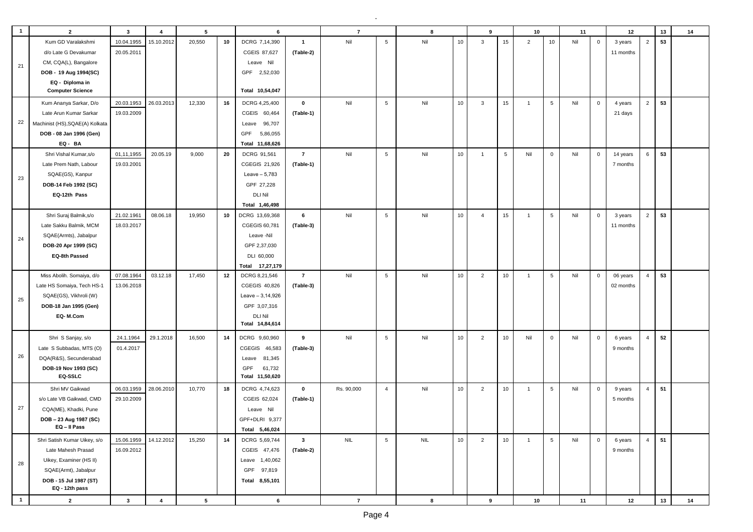| $\overline{\mathbf{1}}$ | $\overline{2}$                           | $\overline{\mathbf{3}}$ | $\overline{4}$ | 5               |    | 6                 |                | $\overline{7}$ |                 | 8          |    | 9              |            | 10             |                 | 11  |                | 12        |                | 13 | 14 |
|-------------------------|------------------------------------------|-------------------------|----------------|-----------------|----|-------------------|----------------|----------------|-----------------|------------|----|----------------|------------|----------------|-----------------|-----|----------------|-----------|----------------|----|----|
|                         | Kum GD Varalakshmi                       | 10.04.1955              | 15.10.2012     | 20,550          | 10 | DCRG 7,14,390     | $\overline{1}$ | Nil            | $\,$ 5 $\,$     | Nil        | 10 | $\mathbf{3}$   | 15         | $\overline{2}$ | 10 <sub>1</sub> | Nil | $\mathbf 0$    | 3 years   | $\overline{2}$ | 53 |    |
|                         | d/o Late G Devakumar                     | 20.05.2011              |                |                 |    | CGEIS 87,627      | (Table-2)      |                |                 |            |    |                |            |                |                 |     |                | 11 months |                |    |    |
|                         | CM, CQA(L), Bangalore                    |                         |                |                 |    | Leave Nil         |                |                |                 |            |    |                |            |                |                 |     |                |           |                |    |    |
| 21                      | DOB - 19 Aug 1994(SC)                    |                         |                |                 |    | GPF 2,52,030      |                |                |                 |            |    |                |            |                |                 |     |                |           |                |    |    |
|                         | EQ - Diploma in                          |                         |                |                 |    |                   |                |                |                 |            |    |                |            |                |                 |     |                |           |                |    |    |
|                         | <b>Computer Science</b>                  |                         |                |                 |    | Total 10,54,047   |                |                |                 |            |    |                |            |                |                 |     |                |           |                |    |    |
|                         | Kum Ananya Sarkar, D/o                   | 20.03.1953              | 26.03.2013     | 12,330          | 16 | DCRG 4,25,400     | $\mathbf 0$    | Nil            | $\,$ 5 $\,$     | Nil        | 10 | $\mathbf{3}$   | 15         | $\mathbf{1}$   | $5\phantom{.0}$ | Nil | $\mathbf 0$    | 4 years   | $\overline{2}$ | 53 |    |
|                         | Late Arun Kumar Sarkar                   | 19.03.2009              |                |                 |    | CGEIS 60,464      | (Table-1)      |                |                 |            |    |                |            |                |                 |     |                | 21 days   |                |    |    |
| 22                      | Machinist (HS), SQAE(A) Kolkata          |                         |                |                 |    | 96,707<br>Leave   |                |                |                 |            |    |                |            |                |                 |     |                |           |                |    |    |
|                         | DOB - 08 Jan 1996 (Gen)                  |                         |                |                 |    | 5,86,055<br>GPF   |                |                |                 |            |    |                |            |                |                 |     |                |           |                |    |    |
|                         | EQ-BA                                    |                         |                |                 |    | Total 11,68,626   |                |                |                 |            |    |                |            |                |                 |     |                |           |                |    |    |
|                         | Shri Vishal Kumar, s/o                   | 01,11,1955              | 20.05.19       | 9,000           | 20 | DCRG 91,561       | $\overline{7}$ | Nil            | $5\phantom{.0}$ | Nil        | 10 | $\overline{1}$ | $\sqrt{5}$ | Nil            | $\mathbf 0$     | Nil | $\mathbf 0$    | 14 years  | 6              | 53 |    |
|                         | Late Prem Nath, Labour                   | 19.03.2001              |                |                 |    | CGEGIS 21,926     | (Table-1)      |                |                 |            |    |                |            |                |                 |     |                | 7 months  |                |    |    |
| 23                      | SQAE(GS), Kanpur                         |                         |                |                 |    | Leave $-5,783$    |                |                |                 |            |    |                |            |                |                 |     |                |           |                |    |    |
|                         | DOB-14 Feb 1992 (SC)                     |                         |                |                 |    | GPF 27,228        |                |                |                 |            |    |                |            |                |                 |     |                |           |                |    |    |
|                         | EQ-12th Pass                             |                         |                |                 |    | <b>DLI Nil</b>    |                |                |                 |            |    |                |            |                |                 |     |                |           |                |    |    |
|                         |                                          |                         |                |                 |    | Total 1,46,498    |                |                |                 |            |    |                |            |                |                 |     |                |           |                |    |    |
|                         | Shri Suraj Balmik, s/o                   | 21.02.1961              | 08.06.18       | 19,950          | 10 | DCRG 13,69,368    | 6              | Nil            | $5\phantom{.0}$ | Nil        | 10 | $\overline{4}$ | 15         | $\mathbf{1}$   | 5               | Nil | $\mathbf 0$    | 3 years   | $\overline{2}$ | 53 |    |
|                         | Late Sakku Balmik, MCM                   | 18.03.2017              |                |                 |    | CGEGIS 60,781     | (Table-3)      |                |                 |            |    |                |            |                |                 |     |                | 11 months |                |    |    |
| 24                      | SQAE(Armts), Jabalpur                    |                         |                |                 |    | Leave -Nil        |                |                |                 |            |    |                |            |                |                 |     |                |           |                |    |    |
|                         | DOB-20 Apr 1999 (SC)                     |                         |                |                 |    | GPF 2,37,030      |                |                |                 |            |    |                |            |                |                 |     |                |           |                |    |    |
|                         | EQ-8th Passed                            |                         |                |                 |    | DLI 60,000        |                |                |                 |            |    |                |            |                |                 |     |                |           |                |    |    |
|                         |                                          |                         |                |                 |    | Total 17,27,179   |                |                |                 |            |    |                |            |                |                 |     |                |           |                |    |    |
|                         | Miss Abolih. Somaiya, d/o                | 07.08.1964              | 03.12.18       | 17,450          | 12 | DCRG 8,21,546     | $\overline{7}$ | Nil            | $5\phantom{.0}$ | Nil        | 10 | $\overline{2}$ | 10         | $\mathbf{1}$   | 5               | Nil | $\mathbf 0$    | 06 years  | $\overline{4}$ | 53 |    |
|                         | Late HS Somaiya, Tech HS-1               | 13.06.2018              |                |                 |    | CGEGIS 40,826     | (Table-3)      |                |                 |            |    |                |            |                |                 |     |                | 02 months |                |    |    |
| 25                      | SQAE(GS), Vikhroli (W)                   |                         |                |                 |    | Leave $-3,14,926$ |                |                |                 |            |    |                |            |                |                 |     |                |           |                |    |    |
|                         | DOB-18 Jan 1995 (Gen)                    |                         |                |                 |    | GPF 3,07,316      |                |                |                 |            |    |                |            |                |                 |     |                |           |                |    |    |
|                         | EQ-M.Com                                 |                         |                |                 |    | <b>DLI Nil</b>    |                |                |                 |            |    |                |            |                |                 |     |                |           |                |    |    |
|                         |                                          |                         |                |                 |    | Total 14,84,614   |                |                |                 |            |    |                |            |                |                 |     |                |           |                |    |    |
|                         | Shri S Sanjay, s/o                       | 24.1.1964               | 29.1.2018      | 16,500          | 14 | DCRG 9,60,960     | 9              | Nil            | $5\phantom{.0}$ | Nil        | 10 | $\overline{2}$ | 10         | Nil            | $\mathbf 0$     | Nil | $\mathbf 0$    | 6 years   | $\overline{4}$ | 52 |    |
|                         | Late S Subbadas, MTS (O)                 | 01.4.2017               |                |                 |    | CGEGIS 46,583     | (Table-3)      |                |                 |            |    |                |            |                |                 |     |                | 9 months  |                |    |    |
| 26                      | DQA(R&S), Secunderabad                   |                         |                |                 |    | 81,345<br>Leave   |                |                |                 |            |    |                |            |                |                 |     |                |           |                |    |    |
|                         | DOB-19 Nov 1993 (SC)                     |                         |                |                 |    | 61,732<br>GPF     |                |                |                 |            |    |                |            |                |                 |     |                |           |                |    |    |
|                         | EQ-SSLC                                  |                         |                |                 |    | Total 11,50,620   |                |                |                 |            |    |                |            |                |                 |     |                |           |                |    |    |
|                         | Shri MV Gaikwad                          | 06.03.1959              | 28.06.2010     | 10,770          | 18 | DCRG 4,74,623     | $\mathbf 0$    | Rs. 90,000     | $\overline{4}$  | Nil        | 10 | $\overline{2}$ | 10         | $\overline{1}$ | 5               | Nil | $\mathbf 0$    | 9 years   | $\overline{4}$ | 51 |    |
|                         | s/o Late VB Gaikwad, CMD                 | 29.10.2009              |                |                 |    | CGEIS 62,024      | (Table-1)      |                |                 |            |    |                |            |                |                 |     |                | 5 months  |                |    |    |
| 27                      | CQA(ME), Khadki, Pune                    |                         |                |                 |    | Leave Nil         |                |                |                 |            |    |                |            |                |                 |     |                |           |                |    |    |
|                         | DOB-23 Aug 1987 (SC)                     |                         |                |                 |    | GPF+DLRI 9,377    |                |                |                 |            |    |                |            |                |                 |     |                |           |                |    |    |
|                         | EQ – II Pass                             |                         |                |                 |    | Total 5,46,024    |                |                |                 |            |    |                |            |                |                 |     |                |           |                |    |    |
|                         | Shri Satish Kumar Uikey, s/o             | 15.06.1959              | 14.12.2012     | 15,250          | 14 | DCRG 5,69,744     | $\mathbf{3}$   | <b>NIL</b>     | $5\phantom{.0}$ | <b>NIL</b> | 10 | $\overline{2}$ | 10         | $\mathbf{1}$   | $5\overline{5}$ | Nil | $\overline{0}$ | 6 years   | $\overline{4}$ | 51 |    |
|                         | Late Mahesh Prasad                       | 16.09.2012              |                |                 |    | CGEIS 47,476      | (Table-2)      |                |                 |            |    |                |            |                |                 |     |                | 9 months  |                |    |    |
| 28                      | Uikey, Examiner (HS II)                  |                         |                |                 |    | Leave 1,40,062    |                |                |                 |            |    |                |            |                |                 |     |                |           |                |    |    |
|                         | SQAE(Armt), Jabalpur                     |                         |                |                 |    | GPF 97,819        |                |                |                 |            |    |                |            |                |                 |     |                |           |                |    |    |
|                         | DOB - 15 Jul 1987 (ST)<br>EQ - 12th pass |                         |                |                 |    | Total 8,55,101    |                |                |                 |            |    |                |            |                |                 |     |                |           |                |    |    |
| $\overline{1}$          | $\overline{2}$                           | $\mathbf{3}$            | $\overline{4}$ | $5\phantom{.0}$ |    | 6                 |                | $\overline{7}$ |                 | 8          |    | 9              |            | 10             |                 | 11  |                | 12        |                | 13 | 14 |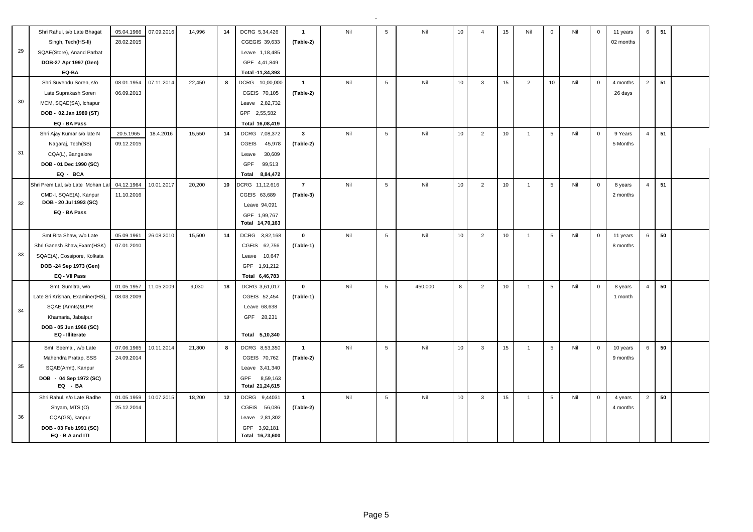| 28.02.2015<br>Singh, Tech(HS-II)<br>CGEGIS 39,633<br>(Table-2)<br>02 months<br>29<br>SQAE(Store), Anand Parbat<br>Leave 1,18,485<br>DOB-27 Apr 1997 (Gen)<br>GPF 4,41,849<br>EQ-BA<br>Total -11,34,393<br>$2^{\circ}$<br>Shri Suvendu Soren, s/o<br>07.11.2014<br>22,450<br>DCRG 10,00,000<br>$\overline{5}$<br>08.01.1954<br>8<br>$\overline{1}$<br>Nil<br>Nil<br>10<br>3<br>15<br>$\overline{2}$<br>10<br>Nil<br>$\mathbf 0$<br>4 months<br>Late Suprakash Soren<br>06.09.2013<br>CGEIS 70,105<br>(Table-2)<br>26 days<br>30<br>MCM, SQAE(SA), Ichapur<br>Leave 2,82,732<br>DOB - 02.Jan 1989 (ST)<br>GPF 2,55,582<br>EQ - BA Pass<br>Total 16,08,419<br>5<br>4 <sup>1</sup><br>Shri Ajay Kumar s/o late N<br>20.5.1965<br>18.4.2016<br>15,550<br>14<br>DCRG 7,08,372<br>$\mathbf{3}$<br>Nil<br>Nil<br>10<br>$\overline{2}$<br>10 <sup>1</sup><br>5<br>Nil<br>$\mathbf 0$<br>9 Years<br>$\overline{1}$<br>09.12.2015<br>Nagaraj, Tech(SS)<br><b>CGEIS</b><br>45,978<br>(Table-2)<br>5 Months<br>31<br>CQA(L), Bangalore<br>30,609<br>Leave<br>DOB - 01 Dec 1990 (SC)<br>GPF<br>99,513<br>EQ - BCA<br>Total<br>8,84,472 | 51<br>51<br>51 |
|--------------------------------------------------------------------------------------------------------------------------------------------------------------------------------------------------------------------------------------------------------------------------------------------------------------------------------------------------------------------------------------------------------------------------------------------------------------------------------------------------------------------------------------------------------------------------------------------------------------------------------------------------------------------------------------------------------------------------------------------------------------------------------------------------------------------------------------------------------------------------------------------------------------------------------------------------------------------------------------------------------------------------------------------------------------------------------------------------------------------------|----------------|
|                                                                                                                                                                                                                                                                                                                                                                                                                                                                                                                                                                                                                                                                                                                                                                                                                                                                                                                                                                                                                                                                                                                          |                |
|                                                                                                                                                                                                                                                                                                                                                                                                                                                                                                                                                                                                                                                                                                                                                                                                                                                                                                                                                                                                                                                                                                                          |                |
|                                                                                                                                                                                                                                                                                                                                                                                                                                                                                                                                                                                                                                                                                                                                                                                                                                                                                                                                                                                                                                                                                                                          |                |
|                                                                                                                                                                                                                                                                                                                                                                                                                                                                                                                                                                                                                                                                                                                                                                                                                                                                                                                                                                                                                                                                                                                          |                |
|                                                                                                                                                                                                                                                                                                                                                                                                                                                                                                                                                                                                                                                                                                                                                                                                                                                                                                                                                                                                                                                                                                                          |                |
|                                                                                                                                                                                                                                                                                                                                                                                                                                                                                                                                                                                                                                                                                                                                                                                                                                                                                                                                                                                                                                                                                                                          |                |
|                                                                                                                                                                                                                                                                                                                                                                                                                                                                                                                                                                                                                                                                                                                                                                                                                                                                                                                                                                                                                                                                                                                          |                |
|                                                                                                                                                                                                                                                                                                                                                                                                                                                                                                                                                                                                                                                                                                                                                                                                                                                                                                                                                                                                                                                                                                                          |                |
|                                                                                                                                                                                                                                                                                                                                                                                                                                                                                                                                                                                                                                                                                                                                                                                                                                                                                                                                                                                                                                                                                                                          |                |
|                                                                                                                                                                                                                                                                                                                                                                                                                                                                                                                                                                                                                                                                                                                                                                                                                                                                                                                                                                                                                                                                                                                          |                |
|                                                                                                                                                                                                                                                                                                                                                                                                                                                                                                                                                                                                                                                                                                                                                                                                                                                                                                                                                                                                                                                                                                                          |                |
|                                                                                                                                                                                                                                                                                                                                                                                                                                                                                                                                                                                                                                                                                                                                                                                                                                                                                                                                                                                                                                                                                                                          |                |
|                                                                                                                                                                                                                                                                                                                                                                                                                                                                                                                                                                                                                                                                                                                                                                                                                                                                                                                                                                                                                                                                                                                          |                |
|                                                                                                                                                                                                                                                                                                                                                                                                                                                                                                                                                                                                                                                                                                                                                                                                                                                                                                                                                                                                                                                                                                                          |                |
| Shri Prem Lal, s/o Late Mohan L<br>04.12.1964<br>10.01.2017<br>20,200<br>10<br>DCRG 11,12,616<br>$\overline{7}$<br>Nil<br>$5\phantom{.0}$<br>Nil<br>10<br>$\overline{2}$<br>10 <sub>1</sub><br>5<br>Nil<br>$\mathsf 0$<br>4<br>$\overline{1}$<br>8 years                                                                                                                                                                                                                                                                                                                                                                                                                                                                                                                                                                                                                                                                                                                                                                                                                                                                 |                |
| CMD-I, SQAE(A), Kanpur<br>11.10.2016<br>CGEIS 63,689<br>(Table-3)<br>2 months                                                                                                                                                                                                                                                                                                                                                                                                                                                                                                                                                                                                                                                                                                                                                                                                                                                                                                                                                                                                                                            |                |
| DOB - 20 Jul 1993 (SC)<br>32<br>Leave 94,091                                                                                                                                                                                                                                                                                                                                                                                                                                                                                                                                                                                                                                                                                                                                                                                                                                                                                                                                                                                                                                                                             |                |
| EQ - BA Pass<br>GPF 1,99,767                                                                                                                                                                                                                                                                                                                                                                                                                                                                                                                                                                                                                                                                                                                                                                                                                                                                                                                                                                                                                                                                                             |                |
| Total 14,70,163                                                                                                                                                                                                                                                                                                                                                                                                                                                                                                                                                                                                                                                                                                                                                                                                                                                                                                                                                                                                                                                                                                          |                |
| 10<br>$6^{\circ}$<br>Smt Rita Shaw, w/o Late<br>26.08.2010<br><b>DCRG</b><br>$\mathbf 0$<br>Nil<br>5<br>Nil<br>10 <sup>1</sup><br>5<br>Nil<br>05.09.1961<br>15,500<br>14<br>3,82,168<br>2<br>$\mathbf{0}$<br>$\overline{1}$<br>11 years                                                                                                                                                                                                                                                                                                                                                                                                                                                                                                                                                                                                                                                                                                                                                                                                                                                                                  | 50             |
| Shri Ganesh Shaw, Exam (HSK)<br>07.01.2010<br>CGEIS 62,756<br>(Table-1)<br>8 months                                                                                                                                                                                                                                                                                                                                                                                                                                                                                                                                                                                                                                                                                                                                                                                                                                                                                                                                                                                                                                      |                |
| 33<br>SQAE(A), Cossipore, Kolkata<br>Leave<br>10,647                                                                                                                                                                                                                                                                                                                                                                                                                                                                                                                                                                                                                                                                                                                                                                                                                                                                                                                                                                                                                                                                     |                |
| DOB -24 Sep 1973 (Gen)<br>GPF 1,91,212                                                                                                                                                                                                                                                                                                                                                                                                                                                                                                                                                                                                                                                                                                                                                                                                                                                                                                                                                                                                                                                                                   |                |
| EQ - VII Pass<br>Total 6,46,783                                                                                                                                                                                                                                                                                                                                                                                                                                                                                                                                                                                                                                                                                                                                                                                                                                                                                                                                                                                                                                                                                          |                |
| 01.05.1957<br>11.05.2009<br>9,030<br>$\mathbf 0$<br>Nil<br>5<br>450,000<br>8<br>2<br>10 <sup>1</sup><br>5<br>Nil<br>$\overline{4}$<br>Smt. Sumitra, w/o<br>18<br>DCRG 3,61,017<br>$\overline{1}$<br>$\mathbf 0$<br>8 years                                                                                                                                                                                                                                                                                                                                                                                                                                                                                                                                                                                                                                                                                                                                                                                                                                                                                               | 50             |
| Late Sri Krishan, Examiner(HS),<br>08.03.2009<br>CGEIS 52,454<br>(Table-1)<br>1 month                                                                                                                                                                                                                                                                                                                                                                                                                                                                                                                                                                                                                                                                                                                                                                                                                                                                                                                                                                                                                                    |                |
| SQAE (Armts)&LPR<br>Leave 68,638<br>34                                                                                                                                                                                                                                                                                                                                                                                                                                                                                                                                                                                                                                                                                                                                                                                                                                                                                                                                                                                                                                                                                   |                |
| Khamaria, Jabalpur<br>GPF 28,231                                                                                                                                                                                                                                                                                                                                                                                                                                                                                                                                                                                                                                                                                                                                                                                                                                                                                                                                                                                                                                                                                         |                |
| DOB - 05 Jun 1966 (SC)                                                                                                                                                                                                                                                                                                                                                                                                                                                                                                                                                                                                                                                                                                                                                                                                                                                                                                                                                                                                                                                                                                   |                |
| EQ - Illiterate<br>Total 5,10,340                                                                                                                                                                                                                                                                                                                                                                                                                                                                                                                                                                                                                                                                                                                                                                                                                                                                                                                                                                                                                                                                                        |                |
| $\overline{5}$<br>10<br>15<br>$\overline{5}$<br>6<br>07.06.1965<br>10.11.2014<br>21,800<br>DCRG 8,53,350<br>Nil<br>Nil<br>3<br>Nil<br>$\mathbf{0}$<br>Smt Seema, w/o Late<br>8<br>$\overline{1}$<br>$\overline{1}$<br>10 years                                                                                                                                                                                                                                                                                                                                                                                                                                                                                                                                                                                                                                                                                                                                                                                                                                                                                           | 50             |
| 24.09.2014<br>Mahendra Pratap, SSS<br>CGEIS 70,762<br>(Table-2)<br>9 months                                                                                                                                                                                                                                                                                                                                                                                                                                                                                                                                                                                                                                                                                                                                                                                                                                                                                                                                                                                                                                              |                |
| 35<br>SQAE(Armt), Kanpur<br>Leave 3,41,340                                                                                                                                                                                                                                                                                                                                                                                                                                                                                                                                                                                                                                                                                                                                                                                                                                                                                                                                                                                                                                                                               |                |
| DOB - 04 Sep 1972 (SC)<br>GPF<br>8,59,163                                                                                                                                                                                                                                                                                                                                                                                                                                                                                                                                                                                                                                                                                                                                                                                                                                                                                                                                                                                                                                                                                |                |
| EQ - BA<br>Total 21,24,615                                                                                                                                                                                                                                                                                                                                                                                                                                                                                                                                                                                                                                                                                                                                                                                                                                                                                                                                                                                                                                                                                               |                |
| 10.07.2015<br>Nil<br>5<br>Nil<br>10<br>$5\overline{5}$<br>$\overline{2}$<br>Shri Rahul, s/o Late Radhe<br>01.05.1959<br>18,200<br>12<br>DCRG 9,44031<br>$\overline{1}$<br>$\mathbf{3}$<br>15 <sub>15</sub><br>Nil<br>$\mathbf{0}$<br>$\overline{1}$<br>4 years                                                                                                                                                                                                                                                                                                                                                                                                                                                                                                                                                                                                                                                                                                                                                                                                                                                           | 50             |
| 25.12.2014<br>56,086<br>Shyam, MTS (O)<br>CGEIS<br>(Table-2)<br>4 months                                                                                                                                                                                                                                                                                                                                                                                                                                                                                                                                                                                                                                                                                                                                                                                                                                                                                                                                                                                                                                                 |                |
| 36<br>CQA(GS), kanpur<br>2,81,302<br>Leave                                                                                                                                                                                                                                                                                                                                                                                                                                                                                                                                                                                                                                                                                                                                                                                                                                                                                                                                                                                                                                                                               |                |
| DOB - 03 Feb 1991 (SC)<br>GPF 3,92,181<br>EQ - B A and ITI<br>Total 16,73,600                                                                                                                                                                                                                                                                                                                                                                                                                                                                                                                                                                                                                                                                                                                                                                                                                                                                                                                                                                                                                                            |                |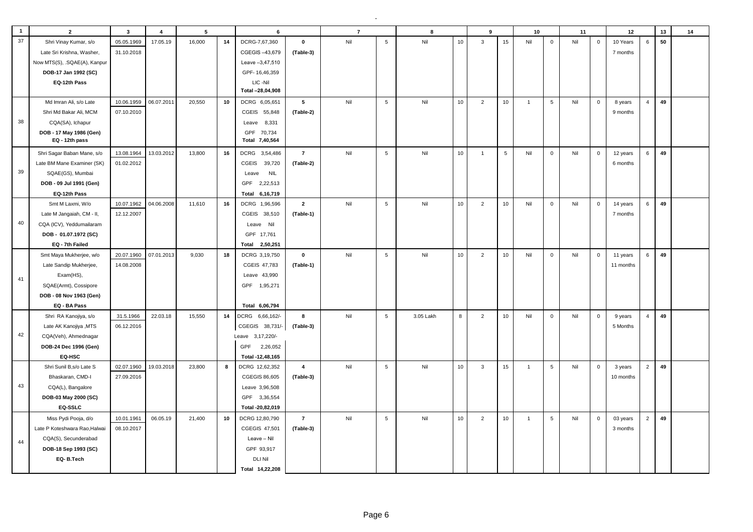| $\mathbf{1}$ | $\overline{2}$                | $\overline{\mathbf{3}}$ | $\overline{4}$ | 5      |    | 6                      |                | $\overline{7}$ |                 | $\mathbf{a}$ |    | 9              |             | 10             |                 | 11  |             | 12        |                | 13 | 14 |
|--------------|-------------------------------|-------------------------|----------------|--------|----|------------------------|----------------|----------------|-----------------|--------------|----|----------------|-------------|----------------|-----------------|-----|-------------|-----------|----------------|----|----|
| 37           | Shri Vinay Kumar, s/o         | 05.05.1969              | 17.05.19       | 16,000 | 14 | DCRG-7,67,360          | $\pmb{0}$      | Nil            | 5               | Nil          | 10 | $\mathbf{3}$   | 15          | Nil            | $\mathbf 0$     | Nil | $\mathbf 0$ | 10 Years  | 6              | 50 |    |
|              | Late Sri Krishna, Washer,     | 31.10.2018              |                |        |    | CGEGIS-43,679          | (Table-3)      |                |                 |              |    |                |             |                |                 |     |             | 7 months  |                |    |    |
|              | Now MTS(S), .SQAE(A), Kanpur  |                         |                |        |    | Leave -3,47,510        |                |                |                 |              |    |                |             |                |                 |     |             |           |                |    |    |
|              | DOB-17 Jan 1992 (SC)          |                         |                |        |    | GPF-16,46,359          |                |                |                 |              |    |                |             |                |                 |     |             |           |                |    |    |
|              | EQ-12th Pass                  |                         |                |        |    | LIC-Nil                |                |                |                 |              |    |                |             |                |                 |     |             |           |                |    |    |
|              |                               |                         |                |        |    | Total -28,04,908       |                |                |                 |              |    |                |             |                |                 |     |             |           |                |    |    |
|              | Md Imran Ali, s/o Late        | 10.06.1959              | 06.07.2011     | 20,550 | 10 | DCRG 6,05,651          | 5              | Nil            | $5\phantom{.0}$ | Nil          | 10 | $\overline{2}$ | 10          | $\overline{1}$ | $5\overline{5}$ | Nil | $\mathbf 0$ | 8 years   | $\overline{4}$ | 49 |    |
|              | Shri Md Bakar Ali, MCM        | 07.10.2010              |                |        |    | CGEIS 55,848           | (Table-2)      |                |                 |              |    |                |             |                |                 |     |             | 9 months  |                |    |    |
| 38           | CQA(SA), Ichapur              |                         |                |        |    | Leave 8,331            |                |                |                 |              |    |                |             |                |                 |     |             |           |                |    |    |
|              | DOB - 17 May 1986 (Gen)       |                         |                |        |    | GPF 70,734             |                |                |                 |              |    |                |             |                |                 |     |             |           |                |    |    |
|              | EQ - 12th pass                |                         |                |        |    | Total 7,40,564         |                |                |                 |              |    |                |             |                |                 |     |             |           |                |    |    |
|              | Shri Sagar Baban Mane, s/o    | 13.08.1964              | 13.03.2012     | 13,800 | 16 | DCRG 3,54,486          | $\overline{7}$ | Nil            | 5               | Nil          | 10 | $\overline{1}$ | $\,$ 5 $\,$ | Nil            | $\mathbf 0$     | Nil | $\mathsf 0$ | 12 years  | 6              | 49 |    |
|              | Late BM Mane Examiner (SK)    | 01.02.2012              |                |        |    | <b>CGEIS</b><br>39,720 | (Table-2)      |                |                 |              |    |                |             |                |                 |     |             | 6 months  |                |    |    |
| 39           | SQAE(GS), Mumbai              |                         |                |        |    | <b>NIL</b><br>Leave    |                |                |                 |              |    |                |             |                |                 |     |             |           |                |    |    |
|              | DOB - 09 Jul 1991 (Gen)       |                         |                |        |    | GPF 2,22,513           |                |                |                 |              |    |                |             |                |                 |     |             |           |                |    |    |
|              | EQ-12th Pass                  |                         |                |        |    | Total 6,16,719         |                |                |                 |              |    |                |             |                |                 |     |             |           |                |    |    |
|              | Smt M Laxmi, W/o              | 10.07.1962              | 04.06.2008     | 11,610 | 16 | DCRG 1,96,596          | $\overline{2}$ | Nil            | $5\phantom{.0}$ | Nil          | 10 | $\overline{2}$ | 10          | Nil            | $\mathbf 0$     | Nil | $\mathbf 0$ | 14 years  | 6              | 49 |    |
|              | Late M Jangaiah, CM - II,     | 12.12.2007              |                |        |    | CGEIS 38,510           | (Table-1)      |                |                 |              |    |                |             |                |                 |     |             | 7 months  |                |    |    |
| 40           | CQA (ICV), Yeddumailaram      |                         |                |        |    | Leave Nil              |                |                |                 |              |    |                |             |                |                 |     |             |           |                |    |    |
|              | DOB - 01.07.1972 (SC)         |                         |                |        |    | GPF 17,761             |                |                |                 |              |    |                |             |                |                 |     |             |           |                |    |    |
|              | EQ - 7th Failed               |                         |                |        |    | 2,50,251<br>Total      |                |                |                 |              |    |                |             |                |                 |     |             |           |                |    |    |
|              | Smt Maya Mukherjee, w/o       | 20.07.1960              | 07.01.2013     | 9,030  | 18 | DCRG 3,19,750          | $\pmb{0}$      | Nil            | 5               | Nil          | 10 | $\overline{2}$ | 10          | Nil            | $\mathbf 0$     | Nil | $\mathbf 0$ | 11 years  | 6              | 49 |    |
|              | Late Sandip Mukherjee,        | 14.08.2008              |                |        |    | CGEIS 47,783           | (Table-1)      |                |                 |              |    |                |             |                |                 |     |             | 11 months |                |    |    |
| 41           | Exam(HS),                     |                         |                |        |    | Leave 43,990           |                |                |                 |              |    |                |             |                |                 |     |             |           |                |    |    |
|              | SQAE(Armt), Cossipore         |                         |                |        |    | GPF 1,95,271           |                |                |                 |              |    |                |             |                |                 |     |             |           |                |    |    |
|              | DOB - 08 Nov 1963 (Gen)       |                         |                |        |    |                        |                |                |                 |              |    |                |             |                |                 |     |             |           |                |    |    |
|              | EQ - BA Pass                  |                         |                |        |    | Total 6,06,794         |                |                |                 |              |    |                |             |                |                 |     |             |           |                |    |    |
|              | Shri RA Kanojiya, s/o         | 31.5.1966               | 22.03.18       | 15,550 | 14 | DCRG 6,66,162/-        | 8              | Nil            | 5               | 3.05 Lakh    | 8  | $\overline{2}$ | 10          | Nil            | $\mathbf 0$     | Nil | $\mathbf 0$ | 9 years   | $\overline{4}$ | 49 |    |
|              | Late AK Kanojiya , MTS        | 06.12.2016              |                |        |    | CGEGIS 38,731/-        | (Table-3)      |                |                 |              |    |                |             |                |                 |     |             | 5 Months  |                |    |    |
| 42           | CQA(Veh), Ahmednagar          |                         |                |        |    | Leave 3,17,220/-       |                |                |                 |              |    |                |             |                |                 |     |             |           |                |    |    |
|              | DOB-24 Dec 1996 (Gen)         |                         |                |        |    | 2,26,052<br>GPF        |                |                |                 |              |    |                |             |                |                 |     |             |           |                |    |    |
|              | EQ-HSC                        |                         |                |        |    | Total -12,48,165       |                |                |                 |              |    |                |             |                |                 |     |             |           |                |    |    |
|              | Shri Sunil B, s/o Late S      | 02.07.1960              | 19.03.2018     | 23,800 | 8  | DCRG 12,62,352         | $\overline{4}$ | Nil            | $\overline{5}$  | Nil          | 10 | $\mathbf{3}$   | 15          | $\overline{1}$ | $5\phantom{.0}$ | Nil | $\mathbf 0$ | 3 years   | $\overline{2}$ | 49 |    |
|              | Bhaskaran, CMD-I              | 27.09.2016              |                |        |    | <b>CGEGIS 86,605</b>   | (Table-3)      |                |                 |              |    |                |             |                |                 |     |             | 10 months |                |    |    |
| 43           | CQA(L), Bangalore             |                         |                |        |    | Leave 3,96,508         |                |                |                 |              |    |                |             |                |                 |     |             |           |                |    |    |
|              | DOB-03 May 2000 (SC)          |                         |                |        |    | GPF 3,36,554           |                |                |                 |              |    |                |             |                |                 |     |             |           |                |    |    |
|              | EQ-SSLC                       |                         |                |        |    | Total -20,82,019       |                |                |                 |              |    |                |             |                |                 |     |             |           |                |    |    |
|              | Miss Pydi Pooja, d/o          | 10.01.1961              | 06.05.19       | 21,400 | 10 | DCRG 12,80,790         | $\overline{7}$ | Nil            | $\sqrt{5}$      | Nil          | 10 | $\overline{2}$ | 10          | $\overline{1}$ | 5               | Nil | $\mathbf 0$ | 03 years  | $\overline{2}$ | 49 |    |
|              | Late P Koteshwara Rao, Halwai | 08.10.2017              |                |        |    | CGEGIS 47,501          | (Table-3)      |                |                 |              |    |                |             |                |                 |     |             | 3 months  |                |    |    |
| 44           | CQA(S), Secunderabad          |                         |                |        |    | Leave - Nil            |                |                |                 |              |    |                |             |                |                 |     |             |           |                |    |    |
|              | DOB-18 Sep 1993 (SC)          |                         |                |        |    | GPF 93,917             |                |                |                 |              |    |                |             |                |                 |     |             |           |                |    |    |
|              | EQ-B.Tech                     |                         |                |        |    | <b>DLI Nil</b>         |                |                |                 |              |    |                |             |                |                 |     |             |           |                |    |    |
|              |                               |                         |                |        |    | Total 14,22,208        |                |                |                 |              |    |                |             |                |                 |     |             |           |                |    |    |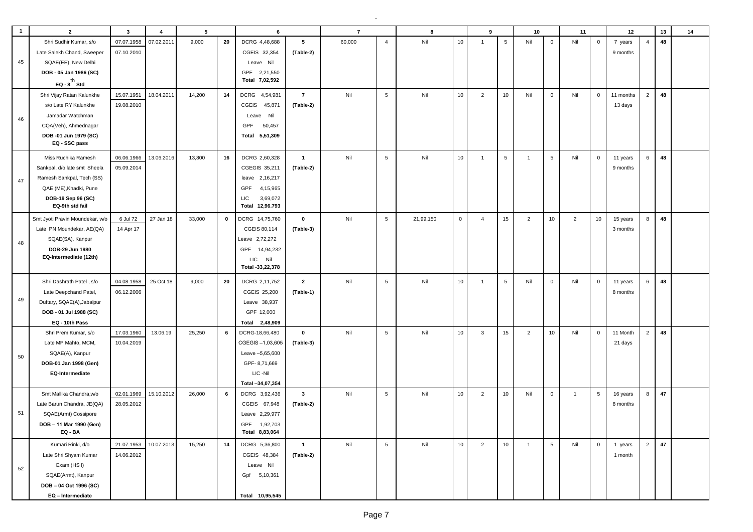| $\overline{\mathbf{1}}$ | $\overline{2}$                                         | $\overline{\mathbf{3}}$  | $\overline{4}$ | 5      |    | 6                             |                | $\overline{7}$ |                 | 8         |             | 9              |                  | 10             |                 | 11             |                 | 12                   |                | 13 | 14 |
|-------------------------|--------------------------------------------------------|--------------------------|----------------|--------|----|-------------------------------|----------------|----------------|-----------------|-----------|-------------|----------------|------------------|----------------|-----------------|----------------|-----------------|----------------------|----------------|----|----|
|                         | Shri Sudhir Kumar, s/o                                 | 07.07.1958               | 07.02.2011     | 9,000  | 20 | DCRG 4,48,688                 | 5              | 60,000         | $\overline{4}$  | Nil       | 10          | $\overline{1}$ | $\sqrt{5}$       | Nil            | $\mathbf 0$     | Nil            | $\mathbf 0$     | 7 years              | $\overline{4}$ | 48 |    |
|                         | Late Salekh Chand, Sweeper                             | 07.10.2010               |                |        |    | CGEIS 32,354                  | (Table-2)      |                |                 |           |             |                |                  |                |                 |                |                 | 9 months             |                |    |    |
| 45                      | SQAE(EE), New Delhi                                    |                          |                |        |    | Leave Nil                     |                |                |                 |           |             |                |                  |                |                 |                |                 |                      |                |    |    |
|                         | DOB - 05 Jan 1986 (SC)                                 |                          |                |        |    | GPF 2,21,550                  |                |                |                 |           |             |                |                  |                |                 |                |                 |                      |                |    |    |
|                         | EQ - $8^{th}$ Std                                      |                          |                |        |    | Total 7,02,592                |                |                |                 |           |             |                |                  |                |                 |                |                 |                      |                |    |    |
|                         | Shri Vijay Ratan Kalunkhe                              | 15.07.1951               | 18.04.2011     | 14,200 | 14 | DCRG 4,54,981                 | $\overline{7}$ | Nil            | $\,$ 5 $\,$     | Nil       | 10          | 2              | 10 <sub>1</sub>  | Nil            | $\mathbf 0$     | Nil            | $\mathbf{0}$    | 11 months            | $\overline{2}$ | 48 |    |
|                         | s/o Late RY Kalunkhe                                   | 19.08.2010               |                |        |    | CGEIS<br>45,871               | (Table-2)      |                |                 |           |             |                |                  |                |                 |                |                 | 13 days              |                |    |    |
|                         | Jamadar Watchman                                       |                          |                |        |    | Leave Nil                     |                |                |                 |           |             |                |                  |                |                 |                |                 |                      |                |    |    |
| 46                      | CQA(Veh), Ahmednagar                                   |                          |                |        |    | GPF<br>50,457                 |                |                |                 |           |             |                |                  |                |                 |                |                 |                      |                |    |    |
|                         | DOB -01 Jun 1979 (SC)                                  |                          |                |        |    | Total 5,51,309                |                |                |                 |           |             |                |                  |                |                 |                |                 |                      |                |    |    |
|                         | EQ - SSC pass                                          |                          |                |        |    |                               |                |                |                 |           |             |                |                  |                |                 |                |                 |                      |                |    |    |
|                         | Miss Ruchika Ramesh                                    | 06.06.1966               | 13.06.2016     | 13,800 | 16 | DCRG 2,60,328                 | $\mathbf{1}$   | Nil            | $5\phantom{.0}$ | Nil       | 10          | $\overline{1}$ | $5\phantom{.0}$  | $\overline{1}$ | 5               | Nil            | $\mathbf 0$     | 11 years             | 6              | 48 |    |
|                         | Sankpal, d/o late smt Sheela                           | 05.09.2014               |                |        |    | CGEGIS 35,211                 | (Table-2)      |                |                 |           |             |                |                  |                |                 |                |                 | 9 months             |                |    |    |
| 47                      | Ramesh Sankpal, Tech (SS)                              |                          |                |        |    | leave 2,16,217                |                |                |                 |           |             |                |                  |                |                 |                |                 |                      |                |    |    |
|                         | QAE (ME), Khadki, Pune                                 |                          |                |        |    | GPF<br>4,15,965               |                |                |                 |           |             |                |                  |                |                 |                |                 |                      |                |    |    |
|                         | DOB-19 Sep 96 (SC)                                     |                          |                |        |    | 3,69,072<br>LIC               |                |                |                 |           |             |                |                  |                |                 |                |                 |                      |                |    |    |
|                         | EQ-9th std fail                                        |                          |                |        |    | Total 12,96.793               |                |                |                 |           |             |                |                  |                |                 |                |                 |                      |                |    |    |
|                         | Smt Jyoti Pravin Moundekar, w/o                        | 6 Jul 72                 | 27 Jan 18      | 33,000 | 0  | DCRG 14,75,760                | $\mathbf 0$    | Nil            | $5\phantom{.0}$ | 21,99,150 | $\mathbf 0$ | $\overline{4}$ | 15               | $\overline{2}$ | 10 <sub>1</sub> | $\overline{2}$ | 10 <sub>1</sub> | 15 years             | 8              | 48 |    |
|                         | Late PN Moundekar, AE(QA)                              | 14 Apr 17                |                |        |    | CGEIS 80,114                  | (Table-3)      |                |                 |           |             |                |                  |                |                 |                |                 | 3 months             |                |    |    |
| 48                      | SQAE(SA), Kanpur                                       |                          |                |        |    | Leave 2,72,272                |                |                |                 |           |             |                |                  |                |                 |                |                 |                      |                |    |    |
|                         | DOB-29 Jun 1980                                        |                          |                |        |    | GPF 14,94,232                 |                |                |                 |           |             |                |                  |                |                 |                |                 |                      |                |    |    |
|                         | EQ-Intermediate (12th)                                 |                          |                |        |    | LIC<br>Nil                    |                |                |                 |           |             |                |                  |                |                 |                |                 |                      |                |    |    |
|                         |                                                        |                          |                |        |    | Total -33,22,378              |                |                |                 |           |             |                |                  |                |                 |                |                 |                      |                |    |    |
|                         | Shri Dashrath Patel, s/o                               | 04.08.1958               | 25 Oct 18      | 9,000  | 20 | DCRG 2,11,752                 | $\overline{2}$ | Nil            | $5\phantom{.0}$ | Nil       | 10          | $\overline{1}$ | $5\phantom{.0}$  | Nil            | $\mathbf 0$     | Nil            | $\mathbf 0$     | 11 years             | 6              | 48 |    |
|                         | Late Deepchand Patel,                                  | 06.12.2006               |                |        |    | CGEIS 25,200                  | (Table-1)      |                |                 |           |             |                |                  |                |                 |                |                 | 8 months             |                |    |    |
| 49                      | Duftary, SQAE(A), Jabalpur                             |                          |                |        |    | Leave 38,937                  |                |                |                 |           |             |                |                  |                |                 |                |                 |                      |                |    |    |
|                         | DOB - 01 Jul 1988 (SC)                                 |                          |                |        |    | GPF 12,000                    |                |                |                 |           |             |                |                  |                |                 |                |                 |                      |                |    |    |
|                         | EQ - 10th Pass                                         |                          |                |        |    | Total 2,48,909                |                |                |                 |           |             |                |                  |                |                 |                |                 |                      |                |    |    |
|                         | Shri Prem Kumar, s/o                                   | 17.03.1960               | 13.06.19       | 25,250 | 6  | DCRG-18,66,480                | $\mathbf 0$    | Nil            | $5\phantom{.0}$ | Nil       | 10          | $\mathbf{3}$   | 15 <sub>15</sub> | $\overline{2}$ | 10              | Nil            | $\mathbf 0$     | 11 Month             | $\overline{2}$ | 48 |    |
|                         | Late MP Mahto, MCM,                                    | 10.04.2019               |                |        |    | CGEGIS-1,03,605               | (Table-3)      |                |                 |           |             |                |                  |                |                 |                |                 | 21 days              |                |    |    |
| 50                      | SQAE(A), Kanpur                                        |                          |                |        |    | Leave -5,65,600               |                |                |                 |           |             |                |                  |                |                 |                |                 |                      |                |    |    |
|                         | DOB-01 Jan 1998 (Gen)                                  |                          |                |        |    | GPF-8,71,669                  |                |                |                 |           |             |                |                  |                |                 |                |                 |                      |                |    |    |
|                         | <b>EQ-Intermediate</b>                                 |                          |                |        |    | LIC -Nil                      |                |                |                 |           |             |                |                  |                |                 |                |                 |                      |                |    |    |
|                         |                                                        |                          | 15.10.2012     |        | 6  | Total -34,07,354              | $\mathbf{3}$   | Nil            | $\,$ 5 $\,$     | Nil       | 10          | $\overline{2}$ | 10               | Nil            | $\mathbf 0$     | $\mathbf{1}$   | $\sqrt{5}$      |                      | 8              | 47 |    |
|                         | Smt Mallika Chandra, w/o<br>Late Barun Chandra, JE(QA) | 02.01.1969<br>28.05.2012 |                | 26,000 |    | DCRG 3,92,436<br>CGEIS 67,948 | (Table-2)      |                |                 |           |             |                |                  |                |                 |                |                 | 16 years<br>8 months |                |    |    |
| 51                      | SQAE(Armt) Cossipore                                   |                          |                |        |    | Leave 2,29,977                |                |                |                 |           |             |                |                  |                |                 |                |                 |                      |                |    |    |
|                         |                                                        |                          |                |        |    | GPF 1,92,703                  |                |                |                 |           |             |                |                  |                |                 |                |                 |                      |                |    |    |
|                         | DOB - 11 Mar 1990 (Gen)<br>EQ - BA                     |                          |                |        |    | Total 8,83,064                |                |                |                 |           |             |                |                  |                |                 |                |                 |                      |                |    |    |
|                         | Kumari Rinki, d/o                                      | 21.07.1953               | 10.07.2013     | 15,250 | 14 | DCRG 5,36,800                 | $\mathbf{1}$   | Nil            | $5\phantom{.0}$ | Nil       | 10          | $\overline{2}$ | 10               | $\mathbf{1}$   | $5\overline{5}$ | Nil            | $\overline{0}$  | 1 years              | $2^{\circ}$    | 47 |    |
|                         | Late Shri Shyam Kumar                                  | 14.06.2012               |                |        |    | CGEIS 48,384                  | (Table-2)      |                |                 |           |             |                |                  |                |                 |                |                 | 1 month              |                |    |    |
| 52                      | Exam (HSI)                                             |                          |                |        |    | Leave Nil                     |                |                |                 |           |             |                |                  |                |                 |                |                 |                      |                |    |    |
|                         | SQAE(Armt), Kanpur                                     |                          |                |        |    | Gpf 5,10,361                  |                |                |                 |           |             |                |                  |                |                 |                |                 |                      |                |    |    |
|                         | DOB-04 Oct 1996 (SC)                                   |                          |                |        |    |                               |                |                |                 |           |             |                |                  |                |                 |                |                 |                      |                |    |    |
|                         | EQ - Intermediate                                      |                          |                |        |    | Total 10,95,545               |                |                |                 |           |             |                |                  |                |                 |                |                 |                      |                |    |    |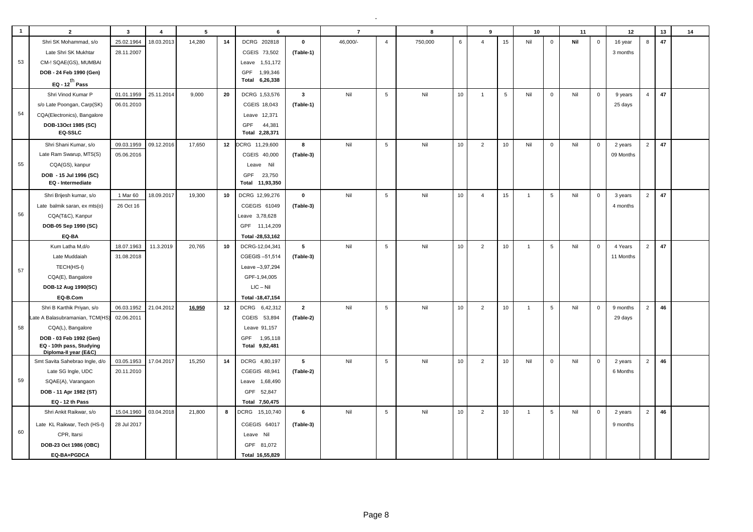| $\mathbf{1}$ | $\overline{2}$                                    | $\mathbf{3}$ | $\overline{4}$ | 5      |    | 6                |                | $\overline{7}$ |                 | 8       |    | 9              |                 | 10             |                 | 11  |              | 12        |                | 13 | 14 |
|--------------|---------------------------------------------------|--------------|----------------|--------|----|------------------|----------------|----------------|-----------------|---------|----|----------------|-----------------|----------------|-----------------|-----|--------------|-----------|----------------|----|----|
|              | Shri SK Mohammad, s/o                             | 25.02.1964   | 18.03.2013     | 14,280 | 14 | DCRG 202818      | $\mathbf 0$    | 46,000/-       | $\overline{4}$  | 750,000 | 6  | $\overline{4}$ | 15              | Nil            | $\mathbf 0$     | Nil | $\mathbf 0$  | 16 year   | 8              | 47 |    |
|              | Late Shri SK Mukhtar                              | 28.11.2007   |                |        |    | CGEIS 73,502     | (Table-1)      |                |                 |         |    |                |                 |                |                 |     |              | 3 months  |                |    |    |
| 53           | CM-! SQAE(GS), MUMBAI                             |              |                |        |    | Leave 1,51,172   |                |                |                 |         |    |                |                 |                |                 |     |              |           |                |    |    |
|              | DOB - 24 Feb 1990 (Gen)                           |              |                |        |    | GPF 1,99,346     |                |                |                 |         |    |                |                 |                |                 |     |              |           |                |    |    |
|              | EQ - $12^{th}$ Pass                               |              |                |        |    | Total 6,26,338   |                |                |                 |         |    |                |                 |                |                 |     |              |           |                |    |    |
|              | Shri Vinod Kumar P                                | 01.01.1959   | 25.11.2014     | 9,000  | 20 | DCRG 1,53,576    | $\mathbf{3}$   | Nil            | $5\phantom{.0}$ | Nil     | 10 | $\overline{1}$ | $5\phantom{.0}$ | Nil            | $\mathbf 0$     | Nil | $\mathbf 0$  | 9 years   | $\overline{4}$ | 47 |    |
|              | s/o Late Poongan, Carp(SK)                        | 06.01.2010   |                |        |    | CGEIS 18,043     | (Table-1)      |                |                 |         |    |                |                 |                |                 |     |              | 25 days   |                |    |    |
| 54           | CQA(Electronics), Bangalore                       |              |                |        |    | Leave 12,371     |                |                |                 |         |    |                |                 |                |                 |     |              |           |                |    |    |
|              | DOB-13Oct 1985 (SC)                               |              |                |        |    | GPF<br>44,381    |                |                |                 |         |    |                |                 |                |                 |     |              |           |                |    |    |
|              | EQ-SSLC                                           |              |                |        |    | Total 2,28,371   |                |                |                 |         |    |                |                 |                |                 |     |              |           |                |    |    |
|              | Shri Shani Kumar, s/o                             | 09.03.1959   | 09.12.2016     | 17.650 | 12 | CRG 11,29,600    | 8              | Nil            | $5\phantom{.0}$ | Nil     | 10 | 2              | 10              | Nil            | $\mathbf 0$     | Nil | $\mathbf 0$  | 2 years   | 2              | 47 |    |
|              | Late Ram Swarup, MTS(S)                           | 05.06.2016   |                |        |    | CGEIS 40,000     | (Table-3)      |                |                 |         |    |                |                 |                |                 |     |              | 09 Months |                |    |    |
| 55           | CQA(GS), kanpur                                   |              |                |        |    | Leave Nil        |                |                |                 |         |    |                |                 |                |                 |     |              |           |                |    |    |
|              | DOB - 15 Jul 1996 (SC)                            |              |                |        |    | GPF<br>23,750    |                |                |                 |         |    |                |                 |                |                 |     |              |           |                |    |    |
|              | EQ - Intermediate                                 |              |                |        |    | Total 11,93,350  |                |                |                 |         |    |                |                 |                |                 |     |              |           |                |    |    |
|              | Shri Brijesh kumar, s/o                           | 1 Mar 60     | 18.09.2017     | 19,300 | 10 | DCRG 12,99,276   | $\mathbf 0$    | Nil            | $\,$ 5 $\,$     | Nil     | 10 | $\overline{4}$ | 15              | $\overline{1}$ | 5               | Nil | $\mathbf 0$  | 3 years   | $\overline{2}$ | 47 |    |
|              | Late balmik saran, ex mts(o)                      | 26 Oct 16    |                |        |    | CGEGIS 61049     | (Table-3)      |                |                 |         |    |                |                 |                |                 |     |              | 4 months  |                |    |    |
| 56           | CQA(T&C), Kanpur                                  |              |                |        |    | Leave 3,78,628   |                |                |                 |         |    |                |                 |                |                 |     |              |           |                |    |    |
|              | DOB-05 Sep 1990 (SC)                              |              |                |        |    | GPF 11,14,209    |                |                |                 |         |    |                |                 |                |                 |     |              |           |                |    |    |
|              | EQ-BA                                             |              |                |        |    | Total -28,53,162 |                |                |                 |         |    |                |                 |                |                 |     |              |           |                |    |    |
|              | Kum Latha M,d/o                                   | 18.07.1963   | 11.3.2019      | 20,765 | 10 | DCRG-12,04,341   | 5              | Nil            | $5\phantom{.0}$ | Nil     | 10 | $\overline{2}$ | 10              | $\overline{1}$ | 5               | Nil | $\mathbf 0$  | 4 Years   | $\overline{2}$ | 47 |    |
|              | Late Muddaiah                                     | 31.08.2018   |                |        |    | CGEGIS-51,514    | (Table-3)      |                |                 |         |    |                |                 |                |                 |     |              | 11 Months |                |    |    |
| 57           | TECH(HS-I)                                        |              |                |        |    | Leave -3,97,294  |                |                |                 |         |    |                |                 |                |                 |     |              |           |                |    |    |
|              | CQA(E), Bangalore                                 |              |                |        |    | GPF-1,94,005     |                |                |                 |         |    |                |                 |                |                 |     |              |           |                |    |    |
|              | DOB-12 Aug 1990(SC)                               |              |                |        |    | $LIC - Nil$      |                |                |                 |         |    |                |                 |                |                 |     |              |           |                |    |    |
|              | EQ-B.Com                                          |              |                |        |    | Total -18,47,154 |                |                |                 |         |    |                |                 |                |                 |     |              |           |                |    |    |
|              | Shri B Karthik Priyan, s/o                        | 06.03.1952   | 21.04.2012     | 16,950 | 12 | DCRG 6,42,312    | $\overline{2}$ | Nil            | $5\phantom{.0}$ | Nil     | 10 | $\overline{2}$ | 10              | $\mathbf{1}$   | $5\phantom{.0}$ | Nil | $\mathbf 0$  | 9 months  | 2              | 46 |    |
|              | Late A Balasubramanian, TCM(HS)                   | 02.06.2011   |                |        |    | CGEIS 53,894     | (Table-2)      |                |                 |         |    |                |                 |                |                 |     |              | 29 days   |                |    |    |
| 58           | CQA(L), Bangalore                                 |              |                |        |    | Leave 91,157     |                |                |                 |         |    |                |                 |                |                 |     |              |           |                |    |    |
|              | DOB - 03 Feb 1992 (Gen)                           |              |                |        |    | GPF<br>1,95,118  |                |                |                 |         |    |                |                 |                |                 |     |              |           |                |    |    |
|              | EQ - 10th pass, Studying<br>Diploma-II vear (E&C) |              |                |        |    | Total 9,82,481   |                |                |                 |         |    |                |                 |                |                 |     |              |           |                |    |    |
|              | Smt Savita Sahebrao Ingle, d/o                    | 03.05.1953   | 17.04.2017     | 15,250 | 14 | DCRG 4,80,197    | 5              | Nil            | $5\phantom{.0}$ | Nil     | 10 | $\overline{2}$ | 10              | Nil            | $\mathbf 0$     | Nil | $\mathbf 0$  | 2 years   | $\overline{2}$ | 46 |    |
|              | Late SG Ingle, UDC                                | 20.11.2010   |                |        |    | CGEGIS 48,941    | (Table-2)      |                |                 |         |    |                |                 |                |                 |     |              | 6 Months  |                |    |    |
| 59           | SQAE(A), Varangaon                                |              |                |        |    | Leave 1,68,490   |                |                |                 |         |    |                |                 |                |                 |     |              |           |                |    |    |
|              | DOB - 11 Apr 1982 (ST)                            |              |                |        |    | GPF 52,847       |                |                |                 |         |    |                |                 |                |                 |     |              |           |                |    |    |
|              | EQ - 12 th Pass                                   |              |                |        |    | Total 7,50,475   |                |                |                 |         |    |                |                 |                |                 |     |              |           |                |    |    |
|              | Shri Ankit Raikwar, s/o                           | 15.04.1960   | 03.04.2018     | 21,800 | 8  | DCRG 15,10,740   | 6              | Nil            | 5               | Nil     | 10 | $\overline{2}$ | 10              | $\mathbf{1}$   | $5\phantom{.0}$ | Nil | $\mathbf{0}$ | 2 years   | 2              | 46 |    |
|              | Late KL Raikwar, Tech (HS-I)                      | 28 Jul 2017  |                |        |    | CGEGIS 64017     | (Table-3)      |                |                 |         |    |                |                 |                |                 |     |              | 9 months  |                |    |    |
| 60           | CPR, Itarsi                                       |              |                |        |    | Leave Nil        |                |                |                 |         |    |                |                 |                |                 |     |              |           |                |    |    |
|              | DOB-23 Oct 1986 (OBC)                             |              |                |        |    | GPF 81,072       |                |                |                 |         |    |                |                 |                |                 |     |              |           |                |    |    |
|              | EQ-BA+PGDCA                                       |              |                |        |    | Total 16,55,829  |                |                |                 |         |    |                |                 |                |                 |     |              |           |                |    |    |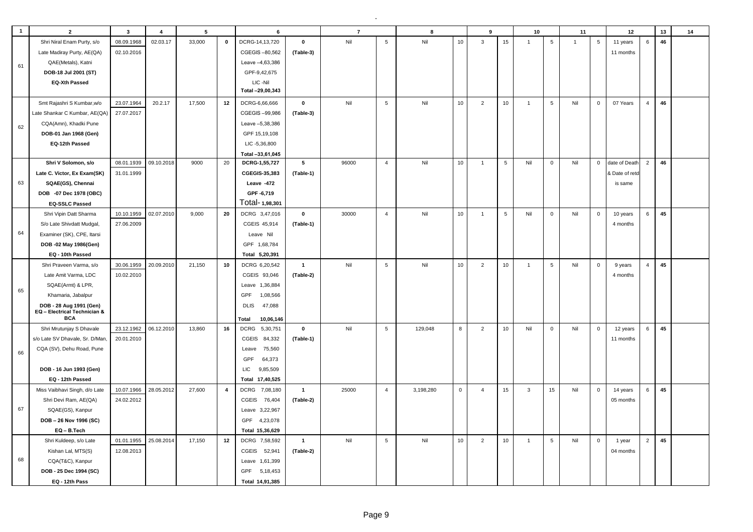| $\mathbf{1}$ | $\overline{2}$                             | $\mathbf{3}$ | $\overline{4}$ | 5      |                | 6                       |                 | $\overline{7}$ |                 | 8         |              | 9              |            | 10             |                 | 11             |                 | 12             |                | 13 | 14 |
|--------------|--------------------------------------------|--------------|----------------|--------|----------------|-------------------------|-----------------|----------------|-----------------|-----------|--------------|----------------|------------|----------------|-----------------|----------------|-----------------|----------------|----------------|----|----|
|              | Shri Niral Enam Purty, s/o                 | 08.09.1968   | 02.03.17       | 33,000 | $\pmb{0}$      | DCRG-14,13,720          | $\mathbf{0}$    | Nil            | $\overline{5}$  | Nil       | 10           | $\mathbf{3}$   | 15         | $\overline{1}$ | 5               | $\overline{1}$ | $5\phantom{.0}$ | 11 years       | $6\phantom{a}$ | 46 |    |
|              | Late Madiray Purty, AE(QA)                 | 02.10.2016   |                |        |                | CGEGIS-80,562           | (Table-3)       |                |                 |           |              |                |            |                |                 |                |                 | 11 months      |                |    |    |
|              | QAE(Metals), Katni                         |              |                |        |                | Leave -4,63,386         |                 |                |                 |           |              |                |            |                |                 |                |                 |                |                |    |    |
| 61           | DOB-18 Jul 2001 (ST)                       |              |                |        |                | GPF-9,42,675            |                 |                |                 |           |              |                |            |                |                 |                |                 |                |                |    |    |
|              | <b>EQ-Xth Passed</b>                       |              |                |        |                | LIC-Nil                 |                 |                |                 |           |              |                |            |                |                 |                |                 |                |                |    |    |
|              |                                            |              |                |        |                | Total -29,00,343        |                 |                |                 |           |              |                |            |                |                 |                |                 |                |                |    |    |
|              | Smt Rajashri S Kumbar, w/o                 | 23.07.1964   | 20.2.17        | 17,500 | 12             | DCRG-6,66,666           | $\pmb{0}$       | Nil            | $\sqrt{5}$      | Nil       | 10           | $\overline{2}$ | 10         | $\mathbf{1}$   | $5\phantom{.0}$ | Nil            | $\mathbf 0$     | 07 Years       | $\overline{4}$ | 46 |    |
|              | Late Shankar C Kumbar, AE(QA)              | 27.07.2017   |                |        |                | CGEGIS-99,986           | (Table-3)       |                |                 |           |              |                |            |                |                 |                |                 |                |                |    |    |
|              | CQA(Amn), Khadki Pune                      |              |                |        |                | Leave -5,38,386         |                 |                |                 |           |              |                |            |                |                 |                |                 |                |                |    |    |
| 62           | DOB-01 Jan 1968 (Gen)                      |              |                |        |                | GPF 15,19,108           |                 |                |                 |           |              |                |            |                |                 |                |                 |                |                |    |    |
|              | EQ-12th Passed                             |              |                |        |                | LIC -5,36,800           |                 |                |                 |           |              |                |            |                |                 |                |                 |                |                |    |    |
|              |                                            |              |                |        |                | Total -33,61,045        |                 |                |                 |           |              |                |            |                |                 |                |                 |                |                |    |    |
|              | Shri V Solomon, s/o                        | 08.01.1939   | 09.10.2018     | 9000   | 20             | DCRG-1,55,727           | $5\phantom{.0}$ | 96000          | $\overline{4}$  | Nil       | 10           | $\overline{1}$ | 5          | Nil            | $\mathbf 0$     | Nil            | $\mathbf 0$     | date of Death  | $\overline{2}$ | 46 |    |
|              | Late C. Victor, Ex Exam(SK)                | 31.01.1999   |                |        |                | CGEGIS-35,383           | (Table-1)       |                |                 |           |              |                |            |                |                 |                |                 | & Date of reto |                |    |    |
| 63           | SQAE(GS), Chennai                          |              |                |        |                | Leave -472              |                 |                |                 |           |              |                |            |                |                 |                |                 | is same        |                |    |    |
|              | DOB -07 Dec 1978 (OBC)                     |              |                |        |                | GPF-6,719               |                 |                |                 |           |              |                |            |                |                 |                |                 |                |                |    |    |
|              | <b>EQ-SSLC Passed</b>                      |              |                |        |                | Total-1,98,301          |                 |                |                 |           |              |                |            |                |                 |                |                 |                |                |    |    |
|              | Shri Vipin Datt Sharma                     | 10.10.1959   | 02.07.2010     | 9,000  | 20             | DCRG 3,47,016           | $\mathbf 0$     | 30000          | $\overline{4}$  | Nil       | 10           | $\overline{1}$ | $\sqrt{5}$ | Nil            | $\mathbf 0$     | Nil            | $\mathsf 0$     | 10 years       | $6\phantom{a}$ | 45 |    |
|              | S/o Late Shivdatt Mudgal,                  | 27.06.2009   |                |        |                | CGEIS 45,914            | (Table-1)       |                |                 |           |              |                |            |                |                 |                |                 | 4 months       |                |    |    |
| 64           | Examiner (SK), CPE, Itarsi                 |              |                |        |                | Leave Nil               |                 |                |                 |           |              |                |            |                |                 |                |                 |                |                |    |    |
|              | DOB -02 May 1986(Gen)                      |              |                |        |                | GPF 1,68,784            |                 |                |                 |           |              |                |            |                |                 |                |                 |                |                |    |    |
|              | EQ - 10th Passed                           |              |                |        |                | Total 5,20,391          |                 |                |                 |           |              |                |            |                |                 |                |                 |                |                |    |    |
|              | Shri Praveen Varma, s/o                    | 30.06.1959   | 20.09.2010     | 21,150 | 10             | DCRG 6,20,542           | $\overline{1}$  | Nil            | $5\phantom{.0}$ | Nil       | 10           | 2              | 10         | $\overline{1}$ | 5               | Nil            | $\mathbf 0$     | 9 years        | $\overline{4}$ | 45 |    |
|              | Late Amit Varma, LDC                       | 10.02.2010   |                |        |                | CGEIS 93,046            | (Table-2)       |                |                 |           |              |                |            |                |                 |                |                 | 4 months       |                |    |    |
|              | SQAE(Armt) & LPR,                          |              |                |        |                | Leave 1,36,884          |                 |                |                 |           |              |                |            |                |                 |                |                 |                |                |    |    |
| 65           | Khamaria, Jabalpur                         |              |                |        |                | GPF<br>1,08,566         |                 |                |                 |           |              |                |            |                |                 |                |                 |                |                |    |    |
|              | DOB - 28 Aug 1991 (Gen)                    |              |                |        |                | 47,088<br><b>DLIS</b>   |                 |                |                 |           |              |                |            |                |                 |                |                 |                |                |    |    |
|              | EQ - Electrical Technician &<br><b>BCA</b> |              |                |        |                | Total<br>10,06,146      |                 |                |                 |           |              |                |            |                |                 |                |                 |                |                |    |    |
|              | Shri Mrutunjay S Dhavale                   | 23.12.1962   | 06.12.2010     | 13,860 | 16             | <b>DCRG</b><br>5,30,751 | $\mathbf 0$     | Nil            | 5               | 129,048   | 8            | $\overline{2}$ | 10         | Nil            | $\mathbf 0$     | Nil            | $\mathbf 0$     | 12 years       | 6              | 45 |    |
|              | s/o Late SV Dhavale, Sr. D/Man,            | 20.01.2010   |                |        |                | CGEIS<br>84,332         | (Table-1)       |                |                 |           |              |                |            |                |                 |                |                 | 11 months      |                |    |    |
|              | CQA (SV), Dehu Road, Pune                  |              |                |        |                | 75,560<br>Leave         |                 |                |                 |           |              |                |            |                |                 |                |                 |                |                |    |    |
| 66           |                                            |              |                |        |                | GPF<br>64,373           |                 |                |                 |           |              |                |            |                |                 |                |                 |                |                |    |    |
|              | DOB - 16 Jun 1993 (Gen)                    |              |                |        |                | LIC.<br>9,85,509        |                 |                |                 |           |              |                |            |                |                 |                |                 |                |                |    |    |
|              | EQ - 12th Passed                           |              |                |        |                | Total 17,40,525         |                 |                |                 |           |              |                |            |                |                 |                |                 |                |                |    |    |
|              | Miss Vaibhavi Singh, d/o Late              | 10.07.1966   | 28.05.2012     | 27,600 | $\overline{4}$ | DCRG 7,08,180           | $\overline{1}$  | 25000          | $\overline{4}$  | 3,198,280 | $\mathbf{0}$ | $\overline{4}$ | 15         | $\mathbf{3}$   | 15              | Nil            | $\mathbf 0$     | 14 years       | 6              | 45 |    |
|              | Shri Devi Ram, AE(QA)                      | 24.02.2012   |                |        |                | CGEIS<br>76,404         | (Table-2)       |                |                 |           |              |                |            |                |                 |                |                 | 05 months      |                |    |    |
| 67           | SQAE(GS), Kanpur                           |              |                |        |                | Leave 3,22,967          |                 |                |                 |           |              |                |            |                |                 |                |                 |                |                |    |    |
|              | DOB-26 Nov 1996 (SC)                       |              |                |        |                | GPF 4,23,078            |                 |                |                 |           |              |                |            |                |                 |                |                 |                |                |    |    |
|              | EQ-B.Tech                                  |              |                |        |                | Total 15,36,629         |                 |                |                 |           |              |                |            |                |                 |                |                 |                |                |    |    |
|              | Shri Kuldeep, s/o Late                     | 01.01.1955   | 25.08.2014     | 17,150 | 12             | DCRG 7,58,592           | $\overline{1}$  | Nil            | $\,$ 5 $\,$     | Nil       | $10$         | $\overline{2}$ | 10         | $\overline{1}$ | 5               | Nil            | $\mathbf 0$     | 1 year         | $\overline{2}$ | 45 |    |
|              | Kishan Lal, MTS(S)                         | 12.08.2013   |                |        |                | CGEIS<br>52,941         | (Table-2)       |                |                 |           |              |                |            |                |                 |                |                 | 04 months      |                |    |    |
| 68           | CQA(T&C), Kanpur                           |              |                |        |                | Leave 1,61,399          |                 |                |                 |           |              |                |            |                |                 |                |                 |                |                |    |    |
|              | DOB - 25 Dec 1994 (SC)                     |              |                |        |                | GPF 5,18,453            |                 |                |                 |           |              |                |            |                |                 |                |                 |                |                |    |    |
|              | EQ - 12th Pass                             |              |                |        |                | Total 14,91,385         |                 |                |                 |           |              |                |            |                |                 |                |                 |                |                |    |    |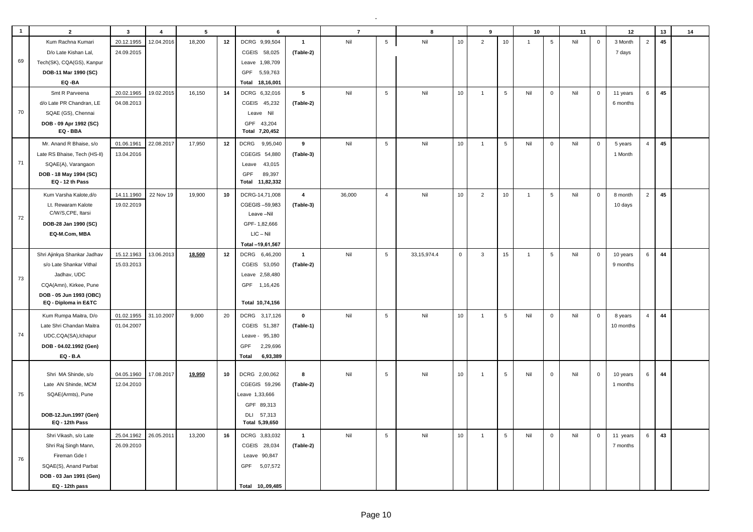| $\mathbf{1}$ | $\overline{2}$                                  | $\mathbf{3}$ | $\overline{\mathbf{4}}$ | $5\phantom{a}$ |    | 6                 |                 | $\overline{7}$ |                 | 8             |             | 9              |                 | 10             |                 | 11  |             | 12        |                | 13 | 14 |
|--------------|-------------------------------------------------|--------------|-------------------------|----------------|----|-------------------|-----------------|----------------|-----------------|---------------|-------------|----------------|-----------------|----------------|-----------------|-----|-------------|-----------|----------------|----|----|
|              | Kum Rachna Kumari                               | 20.12.1955   | 12.04.2016              | 18,200         | 12 | DCRG 9,99,504     | $\mathbf{1}$    | Nil            | $\,$ 5 $\,$     | Nil           | 10          | $\overline{2}$ | 10 <sub>1</sub> | $\mathbf{1}$   | $5\phantom{.0}$ | Nil | $\mathsf 0$ | 3 Month   | $\overline{2}$ | 45 |    |
|              | D/o Late Kishan Lal,                            | 24.09.2015   |                         |                |    | CGEIS 58,025      | (Table-2)       |                |                 |               |             |                |                 |                |                 |     |             | 7 days    |                |    |    |
| 69           | Tech(SK), CQA(GS), Kanpur                       |              |                         |                |    | Leave 1,98,709    |                 |                |                 |               |             |                |                 |                |                 |     |             |           |                |    |    |
|              | DOB-11 Mar 1990 (SC)                            |              |                         |                |    | GPF<br>5,59,763   |                 |                |                 |               |             |                |                 |                |                 |     |             |           |                |    |    |
|              | EQ-BA                                           |              |                         |                |    | Total 18,16,001   |                 |                |                 |               |             |                |                 |                |                 |     |             |           |                |    |    |
|              | Smt R Parveena                                  | 20.02.1965   | 19.02.2015              | 16,150         | 14 | DCRG 6,32,016     | $5\phantom{.0}$ | Nil            | $\overline{5}$  | Nil           | 10          | $\overline{1}$ | $5\phantom{.0}$ | Nil            | $\mathbf 0$     | Nil | $\mathsf 0$ | 11 years  | 6              | 45 |    |
|              | d/o Late PR Chandran, LE                        | 04.08.2013   |                         |                |    | CGEIS 45,232      | (Table-2)       |                |                 |               |             |                |                 |                |                 |     |             | 6 months  |                |    |    |
| 70           | SQAE (GS), Chennai                              |              |                         |                |    | Leave Nil         |                 |                |                 |               |             |                |                 |                |                 |     |             |           |                |    |    |
|              | DOB - 09 Apr 1992 (SC)                          |              |                         |                |    | GPF 43,204        |                 |                |                 |               |             |                |                 |                |                 |     |             |           |                |    |    |
|              | EQ - BBA                                        |              |                         |                |    | Total 7,20,452    |                 |                |                 |               |             |                |                 |                |                 |     |             |           |                |    |    |
|              | Mr. Anand R Bhaise, s/o                         | 01.06.1961   | 22.08.2017              | 17,950         | 12 | DCRG<br>9,95,040  | 9               | Nil            | $5\phantom{.0}$ | Nil           | 10          | $\overline{1}$ | $5\phantom{.0}$ | Nil            | $\mathbf 0$     | Nil | $\mathsf 0$ | 5 years   | $\overline{4}$ | 45 |    |
|              | Late RS Bhaise, Tech (HS-II)                    | 13.04.2016   |                         |                |    | CGEGIS 54,880     | (Table-3)       |                |                 |               |             |                |                 |                |                 |     |             | 1 Month   |                |    |    |
| 71           | SQAE(A), Varangaon                              |              |                         |                |    | Leave 43,015      |                 |                |                 |               |             |                |                 |                |                 |     |             |           |                |    |    |
|              | DOB - 18 May 1994 (SC)                          |              |                         |                |    | GPF<br>89,397     |                 |                |                 |               |             |                |                 |                |                 |     |             |           |                |    |    |
|              | EQ - 12 th Pass                                 |              |                         |                |    | Total 11,82,332   |                 |                |                 |               |             |                |                 |                |                 |     |             |           |                |    |    |
|              | Kum Varsha Kalote,d/o                           | 14.11.1960   | 22 Nov 19               | 19,900         | 10 | DCRG-14,71,008    | $\overline{4}$  | 36,000         | $\overline{4}$  | Nil           | 10          | $\overline{2}$ | 10              | $\mathbf{1}$   | $5\phantom{.0}$ | Nil | $\mathsf 0$ | 8 month   | $\overline{2}$ | 45 |    |
|              | Lt. Rewaram Kalote                              | 19.02.2019   |                         |                |    | CGEGIS-59,983     | (Table-3)       |                |                 |               |             |                |                 |                |                 |     |             | 10 days   |                |    |    |
| 72           | C/W/S,CPE, Itarsi                               |              |                         |                |    | Leave -Nil        |                 |                |                 |               |             |                |                 |                |                 |     |             |           |                |    |    |
|              | DOB-28 Jan 1990 (SC)                            |              |                         |                |    | GPF-1,82,666      |                 |                |                 |               |             |                |                 |                |                 |     |             |           |                |    |    |
|              | EQ-M.Com, MBA                                   |              |                         |                |    | $LIC - Nil$       |                 |                |                 |               |             |                |                 |                |                 |     |             |           |                |    |    |
|              |                                                 |              |                         |                |    | Total -19,61,567  |                 |                |                 |               |             |                |                 |                |                 |     |             |           |                |    |    |
|              | Shri Ajinkya Shankar Jadhav                     | 15.12.1963   | 13.06.2013              | 18,500         | 12 | DCRG 6,46,200     | $\mathbf{1}$    | Nil            | $5\phantom{.0}$ | 33, 15, 974.4 | $\mathbf 0$ | $\mathbf{3}$   | 15              | $\overline{1}$ | $5\phantom{.0}$ | Nil | $\mathbf 0$ | 10 years  | 6              | 44 |    |
|              | s/o Late Shankar Vithal                         | 15.03.2013   |                         |                |    | CGEIS 53,050      | (Table-2)       |                |                 |               |             |                |                 |                |                 |     |             | 9 months  |                |    |    |
| 73           | Jadhav, UDC                                     |              |                         |                |    | Leave 2,58,480    |                 |                |                 |               |             |                |                 |                |                 |     |             |           |                |    |    |
|              | CQA(Amn), Kirkee, Pune                          |              |                         |                |    | GPF 1,16,426      |                 |                |                 |               |             |                |                 |                |                 |     |             |           |                |    |    |
|              | DOB - 05 Jun 1993 (OBC)<br>EQ - Diploma in E&TC |              |                         |                |    | Total 10,74,156   |                 |                |                 |               |             |                |                 |                |                 |     |             |           |                |    |    |
|              | Kum Rumpa Maitra, D/o                           | 01.02.1955   | 31.10.2007              | 9,000          | 20 | DCRG 3,17,126     | $\mathbf 0$     | Nil            | $\overline{5}$  | Nil           | 10          | $\overline{1}$ | 5               | Nil            | $\mathbf 0$     | Nil | $\mathbf 0$ | 8 years   | $\overline{4}$ | 44 |    |
|              | Late Shri Chandan Maitra                        | 01.04.2007   |                         |                |    | CGEIS 51,387      | (Table-1)       |                |                 |               |             |                |                 |                |                 |     |             | 10 months |                |    |    |
| 74           | UDC,CQA(SA),Ichapur                             |              |                         |                |    | Leave - 95,180    |                 |                |                 |               |             |                |                 |                |                 |     |             |           |                |    |    |
|              | DOB - 04.02.1992 (Gen)                          |              |                         |                |    | GPF<br>2,29,696   |                 |                |                 |               |             |                |                 |                |                 |     |             |           |                |    |    |
|              | <b>EQ - B.A</b>                                 |              |                         |                |    | 6,93,389<br>Total |                 |                |                 |               |             |                |                 |                |                 |     |             |           |                |    |    |
|              |                                                 |              |                         |                |    |                   |                 |                |                 |               |             |                |                 |                |                 |     |             |           |                |    |    |
|              | Shri MA Shinde, s/o                             | 04.05.1960   | 17.08.2017              | 19,950         | 10 | DCRG 2,00,062     | 8               | Nil            | $\sqrt{5}$      | Nil           | 10          | $\overline{1}$ | $\sqrt{5}$      | Nil            | 0               | Nil | $\mathbf 0$ | 10 years  | 6              | 44 |    |
|              | Late AN Shinde, MCM                             | 12.04.2010   |                         |                |    | CGEGIS 59,296     | (Table-2)       |                |                 |               |             |                |                 |                |                 |     |             | 1 months  |                |    |    |
| 75           | SQAE(Armts), Pune                               |              |                         |                |    | Leave 1,33,666    |                 |                |                 |               |             |                |                 |                |                 |     |             |           |                |    |    |
|              |                                                 |              |                         |                |    | GPF 89,313        |                 |                |                 |               |             |                |                 |                |                 |     |             |           |                |    |    |
|              | DOB-12.Jun.1997 (Gen)                           |              |                         |                |    | DLI 57,313        |                 |                |                 |               |             |                |                 |                |                 |     |             |           |                |    |    |
|              | EQ - 12th Pass                                  |              |                         |                |    | Total 5,39,650    |                 |                |                 |               |             |                |                 |                |                 |     |             |           |                |    |    |
|              | Shri Vikash, s/o Late                           | 25.04.1962   | 26.05.2011              | 13,200         | 16 | DCRG 3,83,032     | $\overline{1}$  | Nil            | $\,$ 5 $\,$     | Nil           | $10$        | $\overline{1}$ | $\sqrt{5}$      | Nil            | $\mathbf 0$     | Nil | $\mathbf 0$ | 11 years  | 6              | 43 |    |
|              | Shri Raj Singh Mann,                            | 26.09.2010   |                         |                |    | CGEIS 28,034      | (Table-2)       |                |                 |               |             |                |                 |                |                 |     |             | 7 months  |                |    |    |
| 76           | Fireman Gde I                                   |              |                         |                |    | Leave 90,847      |                 |                |                 |               |             |                |                 |                |                 |     |             |           |                |    |    |
|              | SQAE(S), Anand Parbat                           |              |                         |                |    | GPF 5,07,572      |                 |                |                 |               |             |                |                 |                |                 |     |             |           |                |    |    |
|              | DOB - 03 Jan 1991 (Gen)                         |              |                         |                |    |                   |                 |                |                 |               |             |                |                 |                |                 |     |             |           |                |    |    |
|              | EQ - 12th pass                                  |              |                         |                |    | Total 10,.09,485  |                 |                |                 |               |             |                |                 |                |                 |     |             |           |                |    |    |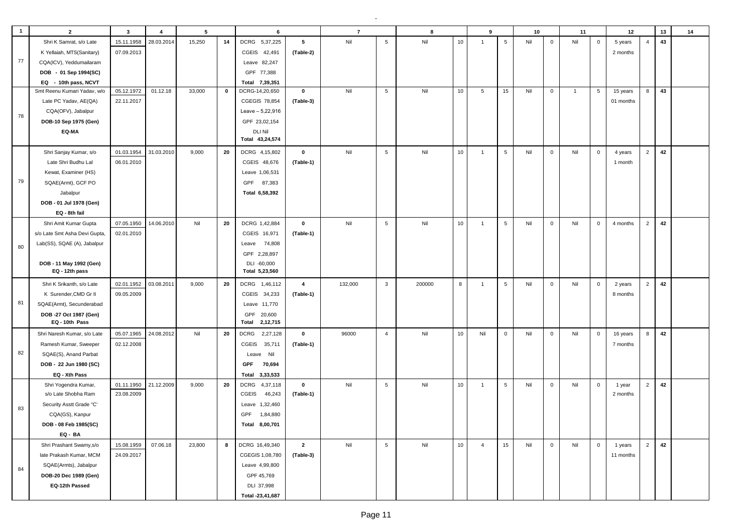| $\overline{1}$ | $\overline{2}$                | $\mathbf{3}$ | $\overline{4}$ | $5\phantom{.0}$ |    | 6                       |                | $\overline{7}$ |                 | 8      |    | 9              |                 | 10  |             | 11             |                | 12        |                | 13 | 14 |
|----------------|-------------------------------|--------------|----------------|-----------------|----|-------------------------|----------------|----------------|-----------------|--------|----|----------------|-----------------|-----|-------------|----------------|----------------|-----------|----------------|----|----|
|                | Shri K Samrat, s/o Late       | 15.11.1958   | 28.03.2014     | 15,250          | 14 | DCRG 5,37,225           | 5              | Nil            | $5\phantom{.0}$ | Nil    | 10 | $\mathbf{1}$   | $5\phantom{.0}$ | Nil | $\mathbf 0$ | Nil            | $\mathbf 0$    | 5 years   | $\overline{4}$ | 43 |    |
|                | K Yellaiah, MTS(Sanitary)     | 07.09.2013   |                |                 |    | CGEIS 42,491            | (Table-2)      |                |                 |        |    |                |                 |     |             |                |                | 2 months  |                |    |    |
| 77             | CQA(ICV), Yeddumailaram       |              |                |                 |    | Leave 82,247            |                |                |                 |        |    |                |                 |     |             |                |                |           |                |    |    |
|                | DOB - 01 Sep 1994(SC)         |              |                |                 |    | GPF 77,388              |                |                |                 |        |    |                |                 |     |             |                |                |           |                |    |    |
|                | EQ - 10th pass, NCVT          |              |                |                 |    | Total 7,39,351          |                |                |                 |        |    |                |                 |     |             |                |                |           |                |    |    |
|                | Smt Reenu Kumari Yadav, w/o   | 05.12.1972   | 01.12.18       | 33,000          | 0  | DCRG-14,20,650          | $\mathbf 0$    | Nil            | $5\phantom{.0}$ | Nil    | 10 | 5              | 15              | Nil | 0           | $\overline{1}$ | 5              | 15 years  | 8              | 43 |    |
|                | Late PC Yadav, AE(QA)         | 22.11.2017   |                |                 |    | CGEGIS 78,854           | (Table-3)      |                |                 |        |    |                |                 |     |             |                |                | 01 months |                |    |    |
|                | CQA(OFV), Jabalpur            |              |                |                 |    | Leave $-5,22,916$       |                |                |                 |        |    |                |                 |     |             |                |                |           |                |    |    |
| 78             | DOB-10 Sep 1975 (Gen)         |              |                |                 |    | GPF 23,02,154           |                |                |                 |        |    |                |                 |     |             |                |                |           |                |    |    |
|                | EQ-MA                         |              |                |                 |    | <b>DLI Nil</b>          |                |                |                 |        |    |                |                 |     |             |                |                |           |                |    |    |
|                |                               |              |                |                 |    | Total 43,24,574         |                |                |                 |        |    |                |                 |     |             |                |                |           |                |    |    |
|                | Shri Sanjay Kumar, s/o        | 01.03.1954   | 31.03.2010     | 9,000           | 20 | DCRG 4,15,802           | $\mathbf 0$    | Nil            | $5\overline{5}$ | Nil    | 10 | $\overline{1}$ | $5\phantom{.0}$ | Nil | $\mathbf 0$ | Nil            | $\mathbf 0$    | 4 years   | $\overline{2}$ | 42 |    |
|                | Late Shri Budhu Lal           | 06.01.2010   |                |                 |    | CGEIS 48,676            | (Table-1)      |                |                 |        |    |                |                 |     |             |                |                | 1 month   |                |    |    |
|                |                               |              |                |                 |    |                         |                |                |                 |        |    |                |                 |     |             |                |                |           |                |    |    |
| 79             | Kewat, Examiner (HS)          |              |                |                 |    | Leave 1,06,531          |                |                |                 |        |    |                |                 |     |             |                |                |           |                |    |    |
|                | SQAE(Armt), GCF PO            |              |                |                 |    | GPF 87,383              |                |                |                 |        |    |                |                 |     |             |                |                |           |                |    |    |
|                | Jabalpur                      |              |                |                 |    | Total 6,58,392          |                |                |                 |        |    |                |                 |     |             |                |                |           |                |    |    |
|                | DOB - 01 Jul 1978 (Gen)       |              |                |                 |    |                         |                |                |                 |        |    |                |                 |     |             |                |                |           |                |    |    |
|                | EQ - 8th fail                 |              |                |                 |    |                         |                |                |                 |        |    |                |                 |     |             |                |                |           |                |    |    |
|                | Shri Amit Kumar Gupta         | 07.05.1950   | 14.06.2010     | Nil             | 20 | DCRG 1,42,884           | $\mathbf 0$    | Nil            | $5\phantom{.0}$ | Nil    | 10 | $\overline{1}$ | $\,$ 5 $\,$     | Nil | $\mathbf 0$ | Nil            | $\mathbf 0$    | 4 months  | $\overline{2}$ | 42 |    |
|                | s/o Late Smt Asha Devi Gupta, | 02.01.2010   |                |                 |    | CGEIS 16,971            | (Table-1)      |                |                 |        |    |                |                 |     |             |                |                |           |                |    |    |
| 80             | Lab(SS), SQAE (A), Jabalpur   |              |                |                 |    | Leave 74,808            |                |                |                 |        |    |                |                 |     |             |                |                |           |                |    |    |
|                |                               |              |                |                 |    | GPF 2,28,897            |                |                |                 |        |    |                |                 |     |             |                |                |           |                |    |    |
|                | DOB - 11 May 1992 (Gen)       |              |                |                 |    | DLI -60,000             |                |                |                 |        |    |                |                 |     |             |                |                |           |                |    |    |
|                | EQ - 12th pass                |              |                |                 |    | Total 5,23,560          |                |                |                 |        |    |                |                 |     |             |                |                |           |                |    |    |
|                | Shri K Srikanth, s/o Late     | 02.01.1952   | 03.08.2011     | 9,000           | 20 | DCRG 1,46,112           | $\overline{4}$ | 132,000        | $\mathbf{3}$    | 200000 | 8  | $\overline{1}$ | $\,$ 5 $\,$     | Nil | $\mathbf 0$ | Nil            | $\mathbf 0$    | 2 years   | $\overline{2}$ | 42 |    |
|                | K Surender, CMD Gr II         | 09.05.2009   |                |                 |    | CGEIS 34,233            | (Table-1)      |                |                 |        |    |                |                 |     |             |                |                | 8 months  |                |    |    |
| 81             | SQAE(Armt), Secunderabad      |              |                |                 |    | Leave 11,770            |                |                |                 |        |    |                |                 |     |             |                |                |           |                |    |    |
|                | DOB -27 Oct 1987 (Gen)        |              |                |                 |    | GPF<br>20,600           |                |                |                 |        |    |                |                 |     |             |                |                |           |                |    |    |
|                | EQ - 10th Pass                |              |                |                 |    | Total 2,12,715          |                |                |                 |        |    |                |                 |     |             |                |                |           |                |    |    |
|                | Shri Naresh Kumar, s/o Late   | 05.07.1965   | 24.08.2012     | Nil             | 20 | <b>DCRG</b><br>2,27,128 | $\mathbf 0$    | 96000          | $\overline{4}$  | Nil    | 10 | Nil            | $\mathbf 0$     | Nil | $\mathbf 0$ | Nil            | $\mathbf 0$    | 16 years  | 8              | 42 |    |
|                | Ramesh Kumar, Sweeper         | 02.12.2008   |                |                 |    | CGEIS<br>35,711         | (Table-1)      |                |                 |        |    |                |                 |     |             |                |                | 7 months  |                |    |    |
| 82             | SQAE(S), Anand Parbat         |              |                |                 |    | Leave Nil               |                |                |                 |        |    |                |                 |     |             |                |                |           |                |    |    |
|                | DOB - 22 Jun 1980 (SC)        |              |                |                 |    | GPF<br>70,694           |                |                |                 |        |    |                |                 |     |             |                |                |           |                |    |    |
|                | EQ - Xth Pass                 |              |                |                 |    | Total 3,33,533          |                |                |                 |        |    |                |                 |     |             |                |                |           |                |    |    |
|                | Shri Yogendra Kumar,          | 01.11.1950   | 21.12.2009     | 9,000           | 20 | DCRG<br>4,37,118        | $\mathbf 0$    | Nil            | $5\phantom{.0}$ | Nil    | 10 | $\overline{1}$ | $\sqrt{5}$      | Nil | $\mathbf 0$ | Nil            | $\mathbf 0$    | 1 year    | 2              | 42 |    |
|                | s/o Late Shobha Ram           | 23.08.2009   |                |                 |    | CGEIS<br>46,243         | (Table-1)      |                |                 |        |    |                |                 |     |             |                |                | 2 months  |                |    |    |
| 83             | Security Asstt Grade "C'      |              |                |                 |    | Leave 1,32,460          |                |                |                 |        |    |                |                 |     |             |                |                |           |                |    |    |
|                | CQA(GS), Kanpur               |              |                |                 |    | GPF 1,84,880            |                |                |                 |        |    |                |                 |     |             |                |                |           |                |    |    |
|                | DOB - 08 Feb 1985(SC)         |              |                |                 |    | Total 8,00,701          |                |                |                 |        |    |                |                 |     |             |                |                |           |                |    |    |
|                | EQ - BA                       |              |                |                 |    |                         |                |                |                 |        |    |                |                 |     |             |                |                |           |                |    |    |
|                | Shri Prashant Swamy, s/o      | 15.08.1959   | 07.06.18       | 23,800          | 8  | DCRG 16,49,340          | $\overline{2}$ | Nil            | $5\phantom{.0}$ | Nil    | 10 | $\overline{4}$ | 15              | Nil | $\mathbf 0$ | Nil            | $\overline{0}$ | 1 years   | $\overline{2}$ | 42 |    |
|                | late Prakash Kumar, MCM       | 24.09.2017   |                |                 |    | CGEGIS 1,08,780         | (Table-3)      |                |                 |        |    |                |                 |     |             |                |                | 11 months |                |    |    |
| 84             | SQAE(Armts), Jabalpur         |              |                |                 |    | Leave 4,99,800          |                |                |                 |        |    |                |                 |     |             |                |                |           |                |    |    |
|                | DOB-20 Dec 1989 (Gen)         |              |                |                 |    | GPF 45,769              |                |                |                 |        |    |                |                 |     |             |                |                |           |                |    |    |
|                | EQ-12th Passed                |              |                |                 |    | DLI 37,998              |                |                |                 |        |    |                |                 |     |             |                |                |           |                |    |    |
|                |                               |              |                |                 |    | Total -23,41,687        |                |                |                 |        |    |                |                 |     |             |                |                |           |                |    |    |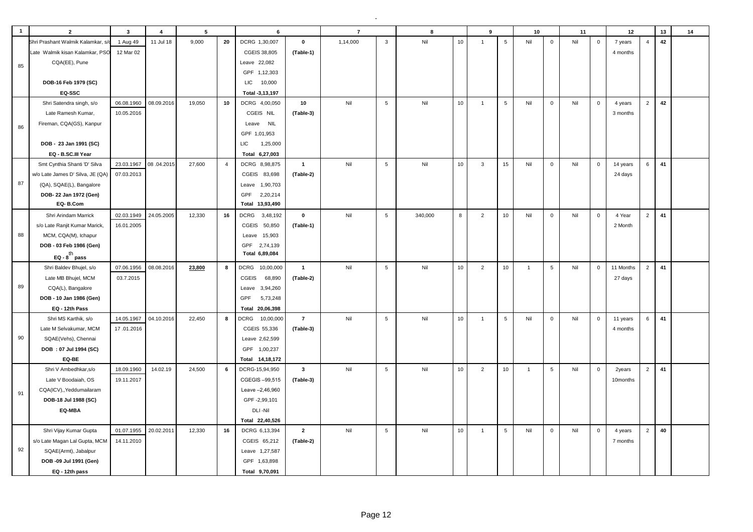| $\mathbf{1}$ | $\overline{2}$                   | $\mathbf{3}$          | $\overline{4}$ | 5      |                | 6                        |                | $\overline{7}$ |                 | 8       |    | 9              |                 | 10           |                 | 11  |              | 12        |                | 13 | 14 |
|--------------|----------------------------------|-----------------------|----------------|--------|----------------|--------------------------|----------------|----------------|-----------------|---------|----|----------------|-----------------|--------------|-----------------|-----|--------------|-----------|----------------|----|----|
|              | Shri Prashant Walmik Kalamkar, s | 1 Aug 49              | 11 Jul 18      | 9,000  | 20             | DCRG 1,30,007            | $\pmb{0}$      | 1,14,000       | $\mathbf{3}$    | Nil     | 10 | $\overline{1}$ | $5\phantom{.0}$ | Nil          | $\mathbf 0$     | Nil | $\mathsf 0$  | 7 years   | $\overline{4}$ | 42 |    |
|              | Late Walmik kisan Kalamkar, PSC  | 12 Mar 02             |                |        |                | CGEIS 38,805             | (Table-1)      |                |                 |         |    |                |                 |              |                 |     |              | 4 months  |                |    |    |
| 85           | CQA(EE), Pune                    |                       |                |        |                | Leave 22,082             |                |                |                 |         |    |                |                 |              |                 |     |              |           |                |    |    |
|              |                                  |                       |                |        |                | GPF 1,12,303             |                |                |                 |         |    |                |                 |              |                 |     |              |           |                |    |    |
|              | DOB-16 Feb 1979 (SC)             |                       |                |        |                | LIC.<br>10,000           |                |                |                 |         |    |                |                 |              |                 |     |              |           |                |    |    |
|              | EQ-SSC                           |                       |                |        |                | Total -3,13,197          |                |                |                 |         |    |                |                 |              |                 |     |              |           |                |    |    |
|              | Shri Satendra singh, s/o         | 06.08.1960            | 08.09.2016     | 19,050 | 10             | DCRG 4,00,050            | 10             | Nil            | $5\phantom{.0}$ | Nil     | 10 | $\overline{1}$ | 5               | Nil          | $\mathbf 0$     | Nil | $\mathbf 0$  | 4 years   | $\overline{2}$ | 42 |    |
|              | Late Ramesh Kumar,               | 10.05.2016            |                |        |                | CGEIS NIL                | (Table-3)      |                |                 |         |    |                |                 |              |                 |     |              | 3 months  |                |    |    |
| 86           | Fireman, CQA(GS), Kanpur         |                       |                |        |                | <b>NIL</b><br>Leave      |                |                |                 |         |    |                |                 |              |                 |     |              |           |                |    |    |
|              |                                  |                       |                |        |                | GPF 1,01,953             |                |                |                 |         |    |                |                 |              |                 |     |              |           |                |    |    |
|              | DOB - 23 Jan 1991 (SC)           |                       |                |        |                | LIC<br>1,25,000          |                |                |                 |         |    |                |                 |              |                 |     |              |           |                |    |    |
|              | EQ - B.SC.III Year               |                       |                |        |                | Total 6,27,003           |                |                |                 |         |    |                |                 |              |                 |     |              |           |                |    |    |
|              | Smt Cynthia Shanti 'D' Silva     | 23.03.1967            | 08.04.2015     | 27,600 | $\overline{4}$ | DCRG 8,98,875            | $\mathbf{1}$   | Nil            | $\,$ 5 $\,$     | Nil     | 10 | $\mathbf{3}$   | 15              | Nil          | $\mathbf 0$     | Nil | $\mathbf 0$  | 14 years  | 6              | 41 |    |
|              | w/o Late James D' Silva, JE (QA) | 07.03.2013            |                |        |                | CGEIS 83,698             | (Table-2)      |                |                 |         |    |                |                 |              |                 |     |              | 24 days   |                |    |    |
| 87           | (QA), SQAE(L), Bangalore         |                       |                |        |                | Leave 1,90,703           |                |                |                 |         |    |                |                 |              |                 |     |              |           |                |    |    |
|              | DOB-22 Jan 1972 (Gen)            |                       |                |        |                | GPF<br>2,20,214          |                |                |                 |         |    |                |                 |              |                 |     |              |           |                |    |    |
|              | EQ-B.Com                         |                       |                |        |                | Total 13,93,490          |                |                |                 |         |    |                |                 |              |                 |     |              |           |                |    |    |
|              | Shri Arindam Marrick             | 02.03.1949            | 24.05.2005     | 12.330 | 16             | <b>DCRG</b><br>3,48,192  | $\mathbf 0$    | Nil            | 5               | 340,000 | 8  | 2              | 10              | Nil          | $\mathbf{0}$    | Nil | $\mathbf 0$  | 4 Year    | $\overline{2}$ | 41 |    |
|              | s/o Late Ranjit Kumar Marick,    | 16.01.2005            |                |        |                | CGEIS 50,850             | (Table-1)      |                |                 |         |    |                |                 |              |                 |     |              | 2 Month   |                |    |    |
| 88           | MCM, CQA(M), Ichapur             |                       |                |        |                | 15,903<br>Leave          |                |                |                 |         |    |                |                 |              |                 |     |              |           |                |    |    |
|              | DOB - 03 Feb 1986 (Gen)          |                       |                |        |                | GPF 2,74,139             |                |                |                 |         |    |                |                 |              |                 |     |              |           |                |    |    |
|              | EQ - $8^{\text{th}}$ pass        |                       |                |        |                | Total 6,89,084           |                |                |                 |         |    |                |                 |              |                 |     |              |           |                |    |    |
|              | Shri Baldev Bhujel, s/o          | 07.06.1956            | 08.08.2016     | 23,800 | 8              | <b>DCRG</b><br>10,00,000 | $\mathbf{1}$   | Nil            | 5               | Nil     | 10 | 2              | 10              | $\mathbf{1}$ | 5               | Nil | $\mathbf 0$  | 11 Months | $\overline{2}$ | 41 |    |
|              | Late MB Bhujel, MCM              | 03.7.2015             |                |        |                | CGEIS<br>68,890          | (Table-2)      |                |                 |         |    |                |                 |              |                 |     |              | 27 days   |                |    |    |
| 89           | CQA(L), Bangalore                |                       |                |        |                | 3,94,260<br>Leave        |                |                |                 |         |    |                |                 |              |                 |     |              |           |                |    |    |
|              | DOB - 10 Jan 1986 (Gen)          |                       |                |        |                | GPF<br>5,73,248          |                |                |                 |         |    |                |                 |              |                 |     |              |           |                |    |    |
|              | EQ - 12th Pass                   |                       |                |        |                | Total 20,06,398          |                |                |                 |         |    |                |                 |              |                 |     |              |           |                |    |    |
|              | Shri MS Karthik, s/o             | 14.05.1967            | 04.10.2016     | 22,450 | 8              | DCRG<br>10,00,000        | $\overline{7}$ | Nil            | 5               | Nil     | 10 | $\overline{1}$ | 5               | Nil          | $\mathbf{0}$    | Nil | $\mathbf{0}$ | 11 years  | 6              | 41 |    |
|              | Late M Selvakumar, MCM           | 17.01.2016            |                |        |                | CGEIS 55,336             | (Table-3)      |                |                 |         |    |                |                 |              |                 |     |              | 4 months  |                |    |    |
| 90           | SQAE(Vehs), Chennai              |                       |                |        |                | Leave 2,62,599           |                |                |                 |         |    |                |                 |              |                 |     |              |           |                |    |    |
|              | DOB: 07 Jul 1994 (SC)            |                       |                |        |                | GPF 1,00,237             |                |                |                 |         |    |                |                 |              |                 |     |              |           |                |    |    |
|              | EQ-BE                            |                       |                |        |                | Total 14,18,172          |                |                |                 |         |    |                |                 |              |                 |     |              |           |                |    |    |
|              | Shri V Ambedhkar, s/o            | 18.09.1960            | 14.02.19       | 24,500 | 6              | DCRG-15,94,950           | $\mathbf{3}$   | Nil            | 5               | Nil     | 10 | $\overline{2}$ | 10              | $\mathbf{1}$ | $5\phantom{.0}$ | Nil | $\mathbf 0$  | 2years    | $\overline{2}$ | 41 |    |
|              | Late V Boodaiah, OS              | 19.11.2017            |                |        |                | CGEGIS-99,515            | (Table-3)      |                |                 |         |    |                |                 |              |                 |     |              | 10months  |                |    |    |
| 91           | CQA(ICV),, Yeddumailaram         |                       |                |        |                | Leave -2,46,960          |                |                |                 |         |    |                |                 |              |                 |     |              |           |                |    |    |
|              | DOB-18 Jul 1988 (SC)             |                       |                |        |                | GPF-2,99,101             |                |                |                 |         |    |                |                 |              |                 |     |              |           |                |    |    |
|              | EQ-MBA                           |                       |                |        |                | DLI-Nil                  |                |                |                 |         |    |                |                 |              |                 |     |              |           |                |    |    |
|              |                                  |                       |                |        |                | Total 22,40,526          |                |                |                 |         |    |                |                 |              |                 |     |              |           |                |    |    |
|              | Shri Vijay Kumar Gupta           | 01.07.1955 20.02.2011 |                | 12,330 | 16             | DCRG 6,13,394            | $\overline{2}$ | Nil            | 5               | Nil     | 10 | $\overline{1}$ | 5               | Nil          | $\mathbf 0$     | Nil | $\mathbf 0$  | 4 years   | $\overline{2}$ | 40 |    |
|              | s/o Late Magan Lal Gupta, MCM    | 14.11.2010            |                |        |                | CGEIS 65,212             | (Table-2)      |                |                 |         |    |                |                 |              |                 |     |              | 7 months  |                |    |    |
| 92           | SQAE(Armt), Jabalpur             |                       |                |        |                | Leave 1,27,587           |                |                |                 |         |    |                |                 |              |                 |     |              |           |                |    |    |
|              | DOB -09 Jul 1991 (Gen)           |                       |                |        |                | GPF 1,63,898             |                |                |                 |         |    |                |                 |              |                 |     |              |           |                |    |    |
|              | EQ - 12th pass                   |                       |                |        |                | Total 9,70,091           |                |                |                 |         |    |                |                 |              |                 |     |              |           |                |    |    |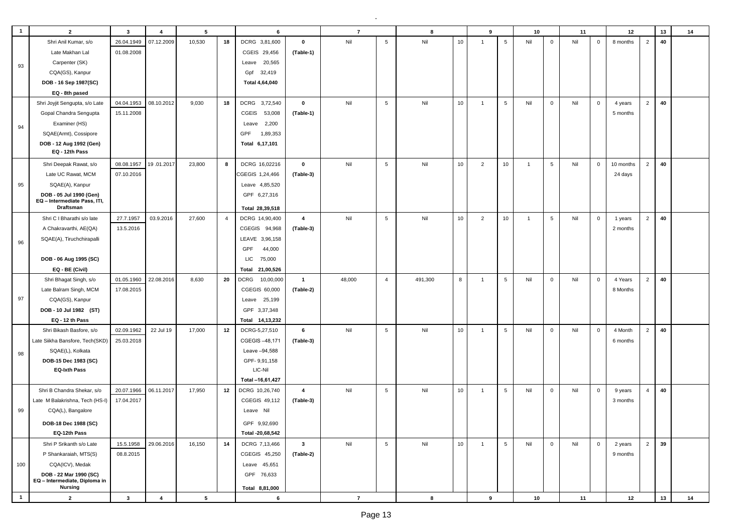| $\,$ 5 $\,$<br>Nil<br>$10$<br>$\overline{2}$<br>Shri Anil Kumar, s/o<br>26.04.1949<br>07.12.2009<br>10,530<br>18<br>DCRG 3,81,600<br>$\mathbf 0$<br>Nil<br>5<br>Nil<br>$\mathbf 0$<br>Nil<br>40<br>$\mathbf 0$<br>8 months<br>$\overline{1}$<br>01.08.2008<br>Late Makhan Lal<br>CGEIS 29,456<br>(Table-1)<br>Carpenter (SK)<br>Leave 20,565<br>93<br>CQA(GS), Kanpur<br>32,419<br>Gpf<br>DOB - 16 Sep 1987(SC)<br>Total 4,64,040<br>EQ - 8th pased<br>$\overline{2}$<br>40<br>$\mathbf 0$<br>$5\phantom{.0}$<br>Nil<br>10<br>Shri Joyjit Sengupta, s/o Late<br>04.04.1953<br>08.10.2012<br>9,030<br>18<br>DCRG 3,72,540<br>Nil<br>$\sqrt{5}$<br>Nil<br>$\mathbf{0}$<br>Nil<br>$\overline{1}$<br>$\mathbf 0$<br>4 years<br>Gopal Chandra Sengupta<br>15.11.2008<br>53,008<br><b>CGEIS</b><br>(Table-1)<br>5 months<br>Examiner (HS)<br>2,200<br>Leave<br>94<br>SQAE(Armt), Cossipore<br>1,89,353<br>GPF<br>Total 6,17,101<br>DOB - 12 Aug 1992 (Gen)<br>EQ - 12th Pass<br>5<br>10<br>$\overline{2}$<br>40<br>Shri Deepak Rawat, s/o<br>08.08.1957<br>19.01.2017<br>23,800<br>DCRG 16,02216<br>$\mathbf 0$<br>Nil<br>Nil<br>2<br>10<br>5<br>Nil<br>8<br>$\mathbf 0$<br>10 months<br>$\overline{1}$<br>Late UC Rawat, MCM<br>07.10.2016<br>CGEGIS 1,24,466<br>(Table-3)<br>24 days<br>SQAE(A), Kanpur<br>95<br>Leave 4,85,520<br>DOB - 05 Jul 1990 (Gen)<br>GPF 6,27,316<br>EQ - Intermediate Pass, ITI,<br>Draftsman<br>Total 28,39,518<br>10<br>$\overline{2}$<br>40<br>27.7.1957<br>03.9.2016<br>Nil<br>$\sqrt{5}$<br>Nil<br>$\overline{2}$<br>10<br>5<br>Nil<br>Shri C I Bharathi s/o late<br>27,600<br>DCRG 14,90,400<br>$\overline{a}$<br>$\mathbf 0$<br>$\overline{4}$<br>$\overline{1}$<br>1 years<br>13.5.2016<br>CGEGIS 94,968<br>A Chakravarthi, AE(QA)<br>(Table-3)<br>2 months<br>SQAE(A), Tiruchchirapalli<br>LEAVE 3,96,158<br>96<br><b>GPF</b><br>44,000<br>LIC<br>75,000<br>DOB - 06 Aug 1995 (SC)<br>EQ - BE (Civil)<br>Total 21,00,526<br>22.08.2016<br>491,300<br>$\overline{2}$<br>40<br>Shri Bhagat Singh, s/o<br>01.05.1960<br>8,630<br>20<br>DCRG<br>10,00,000<br>$\mathbf{1}$<br>48,000<br>$\overline{4}$<br>8<br>5<br>Nil<br>$\mathbf 0$<br>Nil<br>$\mathbf 0$<br>4 Years<br>$\overline{1}$<br>Late Balram Singh, MCM<br>17.08.2015<br>CGEGIS 60,000<br>(Table-2)<br>8 Months<br>97<br>CQA(GS), Kanpur<br>Leave 25,199<br>DOB - 10 Jul 1982 (ST)<br>GPF 3,37,348<br>EQ - 12 th Pass<br>Total 14,13,232<br>5<br>Nil<br>10<br>$\overline{2}$<br>40<br>Shri Bikash Basfore, s/o<br>02.09.1962<br>22 Jul 19<br>17,000<br>12<br>DCRG-5,27,510<br>6<br>Nil<br>5<br>Nil<br>$\mathbf 0$<br>Nil<br>4 Month<br>$\mathbf 0$<br>$\overline{1}$<br>Late Siikha Bansfore, Tech(SKD)<br>25.03.2018<br>CGEGIS-48,171<br>(Table-3)<br>6 months<br>SQAE(L), Kolkata<br>Leave -94,588<br>98<br>DOB-15 Dec 1983 (SC)<br>GPF-9,91,158<br><b>EQ-Ixth Pass</b><br>LIC-Nil<br>Total -16,61,427<br>Shri B Chandra Shekar, s/o<br>20.07.1966<br>06.11.2017<br>17,950<br>12<br>DCRG 10,26,740<br>Nil<br>$\sqrt{5}$<br>Nil<br>10<br>5<br>Nil<br>Nil<br>40<br>$\overline{a}$<br>$\mathbf{0}$<br>$\mathbf 0$<br>$\overline{4}$<br>$\overline{1}$<br>9 years<br>17.04.2017<br>Late M Balakrishna, Tech (HS-I)<br>CGEGIS 49,112<br>(Table-3)<br>3 months<br>99<br>CQA(L), Bangalore<br>Leave Nil<br>DOB-18 Dec 1988 (SC)<br>GPF 9,92,690<br>EQ-12th Pass<br>Total -20,68,542<br>Nil<br>$5\phantom{.0}$<br>Nil<br>10<br>$5\phantom{.0}$<br>$\mathbf 0$<br>Nil<br>2<br>39<br>Shri P Srikanth s/o Late<br>15.5.1958<br>29.06.2016<br>16,150<br>14<br>DCRG 7,13,466<br>$\mathbf{3}$<br>Nil<br>$\mathbf 0$<br>$\overline{1}$<br>2 years<br>08.8.2015<br>P Shankaraiah, MTS(S)<br>CGEGIS 45,250<br>(Table-2)<br>9 months | $\mathbf{1}$ | $\overline{2}$ | $\mathbf{3}$ | $\overline{4}$ | 5 | 6 | $\overline{7}$ | 8 | 9 | 10 | 11 | 12 | 13 | 14 |
|------------------------------------------------------------------------------------------------------------------------------------------------------------------------------------------------------------------------------------------------------------------------------------------------------------------------------------------------------------------------------------------------------------------------------------------------------------------------------------------------------------------------------------------------------------------------------------------------------------------------------------------------------------------------------------------------------------------------------------------------------------------------------------------------------------------------------------------------------------------------------------------------------------------------------------------------------------------------------------------------------------------------------------------------------------------------------------------------------------------------------------------------------------------------------------------------------------------------------------------------------------------------------------------------------------------------------------------------------------------------------------------------------------------------------------------------------------------------------------------------------------------------------------------------------------------------------------------------------------------------------------------------------------------------------------------------------------------------------------------------------------------------------------------------------------------------------------------------------------------------------------------------------------------------------------------------------------------------------------------------------------------------------------------------------------------------------------------------------------------------------------------------------------------------------------------------------------------------------------------------------------------------------------------------------------------------------------------------------------------------------------------------------------------------------------------------------------------------------------------------------------------------------------------------------------------------------------------------------------------------------------------------------------------------------------------------------------------------------------------------------------------------------------------------------------------------------------------------------------------------------------------------------------------------------------------------------------------------------------------------------------------------------------------------------------------------------------------------------------------------------------------------------------------------------------------------------------------------------------------------------------------------------------------------------------------------------------------------------------------------------------------------------------------------------------------------------------------------------------------------------------------------------------------------------------------------------------------------------------------------------------------------------------------------------------------------------------|--------------|----------------|--------------|----------------|---|---|----------------|---|---|----|----|----|----|----|
|                                                                                                                                                                                                                                                                                                                                                                                                                                                                                                                                                                                                                                                                                                                                                                                                                                                                                                                                                                                                                                                                                                                                                                                                                                                                                                                                                                                                                                                                                                                                                                                                                                                                                                                                                                                                                                                                                                                                                                                                                                                                                                                                                                                                                                                                                                                                                                                                                                                                                                                                                                                                                                                                                                                                                                                                                                                                                                                                                                                                                                                                                                                                                                                                                                                                                                                                                                                                                                                                                                                                                                                                                                                                                                            |              |                |              |                |   |   |                |   |   |    |    |    |    |    |
|                                                                                                                                                                                                                                                                                                                                                                                                                                                                                                                                                                                                                                                                                                                                                                                                                                                                                                                                                                                                                                                                                                                                                                                                                                                                                                                                                                                                                                                                                                                                                                                                                                                                                                                                                                                                                                                                                                                                                                                                                                                                                                                                                                                                                                                                                                                                                                                                                                                                                                                                                                                                                                                                                                                                                                                                                                                                                                                                                                                                                                                                                                                                                                                                                                                                                                                                                                                                                                                                                                                                                                                                                                                                                                            |              |                |              |                |   |   |                |   |   |    |    |    |    |    |
|                                                                                                                                                                                                                                                                                                                                                                                                                                                                                                                                                                                                                                                                                                                                                                                                                                                                                                                                                                                                                                                                                                                                                                                                                                                                                                                                                                                                                                                                                                                                                                                                                                                                                                                                                                                                                                                                                                                                                                                                                                                                                                                                                                                                                                                                                                                                                                                                                                                                                                                                                                                                                                                                                                                                                                                                                                                                                                                                                                                                                                                                                                                                                                                                                                                                                                                                                                                                                                                                                                                                                                                                                                                                                                            |              |                |              |                |   |   |                |   |   |    |    |    |    |    |
|                                                                                                                                                                                                                                                                                                                                                                                                                                                                                                                                                                                                                                                                                                                                                                                                                                                                                                                                                                                                                                                                                                                                                                                                                                                                                                                                                                                                                                                                                                                                                                                                                                                                                                                                                                                                                                                                                                                                                                                                                                                                                                                                                                                                                                                                                                                                                                                                                                                                                                                                                                                                                                                                                                                                                                                                                                                                                                                                                                                                                                                                                                                                                                                                                                                                                                                                                                                                                                                                                                                                                                                                                                                                                                            |              |                |              |                |   |   |                |   |   |    |    |    |    |    |
|                                                                                                                                                                                                                                                                                                                                                                                                                                                                                                                                                                                                                                                                                                                                                                                                                                                                                                                                                                                                                                                                                                                                                                                                                                                                                                                                                                                                                                                                                                                                                                                                                                                                                                                                                                                                                                                                                                                                                                                                                                                                                                                                                                                                                                                                                                                                                                                                                                                                                                                                                                                                                                                                                                                                                                                                                                                                                                                                                                                                                                                                                                                                                                                                                                                                                                                                                                                                                                                                                                                                                                                                                                                                                                            |              |                |              |                |   |   |                |   |   |    |    |    |    |    |
|                                                                                                                                                                                                                                                                                                                                                                                                                                                                                                                                                                                                                                                                                                                                                                                                                                                                                                                                                                                                                                                                                                                                                                                                                                                                                                                                                                                                                                                                                                                                                                                                                                                                                                                                                                                                                                                                                                                                                                                                                                                                                                                                                                                                                                                                                                                                                                                                                                                                                                                                                                                                                                                                                                                                                                                                                                                                                                                                                                                                                                                                                                                                                                                                                                                                                                                                                                                                                                                                                                                                                                                                                                                                                                            |              |                |              |                |   |   |                |   |   |    |    |    |    |    |
|                                                                                                                                                                                                                                                                                                                                                                                                                                                                                                                                                                                                                                                                                                                                                                                                                                                                                                                                                                                                                                                                                                                                                                                                                                                                                                                                                                                                                                                                                                                                                                                                                                                                                                                                                                                                                                                                                                                                                                                                                                                                                                                                                                                                                                                                                                                                                                                                                                                                                                                                                                                                                                                                                                                                                                                                                                                                                                                                                                                                                                                                                                                                                                                                                                                                                                                                                                                                                                                                                                                                                                                                                                                                                                            |              |                |              |                |   |   |                |   |   |    |    |    |    |    |
|                                                                                                                                                                                                                                                                                                                                                                                                                                                                                                                                                                                                                                                                                                                                                                                                                                                                                                                                                                                                                                                                                                                                                                                                                                                                                                                                                                                                                                                                                                                                                                                                                                                                                                                                                                                                                                                                                                                                                                                                                                                                                                                                                                                                                                                                                                                                                                                                                                                                                                                                                                                                                                                                                                                                                                                                                                                                                                                                                                                                                                                                                                                                                                                                                                                                                                                                                                                                                                                                                                                                                                                                                                                                                                            |              |                |              |                |   |   |                |   |   |    |    |    |    |    |
|                                                                                                                                                                                                                                                                                                                                                                                                                                                                                                                                                                                                                                                                                                                                                                                                                                                                                                                                                                                                                                                                                                                                                                                                                                                                                                                                                                                                                                                                                                                                                                                                                                                                                                                                                                                                                                                                                                                                                                                                                                                                                                                                                                                                                                                                                                                                                                                                                                                                                                                                                                                                                                                                                                                                                                                                                                                                                                                                                                                                                                                                                                                                                                                                                                                                                                                                                                                                                                                                                                                                                                                                                                                                                                            |              |                |              |                |   |   |                |   |   |    |    |    |    |    |
|                                                                                                                                                                                                                                                                                                                                                                                                                                                                                                                                                                                                                                                                                                                                                                                                                                                                                                                                                                                                                                                                                                                                                                                                                                                                                                                                                                                                                                                                                                                                                                                                                                                                                                                                                                                                                                                                                                                                                                                                                                                                                                                                                                                                                                                                                                                                                                                                                                                                                                                                                                                                                                                                                                                                                                                                                                                                                                                                                                                                                                                                                                                                                                                                                                                                                                                                                                                                                                                                                                                                                                                                                                                                                                            |              |                |              |                |   |   |                |   |   |    |    |    |    |    |
|                                                                                                                                                                                                                                                                                                                                                                                                                                                                                                                                                                                                                                                                                                                                                                                                                                                                                                                                                                                                                                                                                                                                                                                                                                                                                                                                                                                                                                                                                                                                                                                                                                                                                                                                                                                                                                                                                                                                                                                                                                                                                                                                                                                                                                                                                                                                                                                                                                                                                                                                                                                                                                                                                                                                                                                                                                                                                                                                                                                                                                                                                                                                                                                                                                                                                                                                                                                                                                                                                                                                                                                                                                                                                                            |              |                |              |                |   |   |                |   |   |    |    |    |    |    |
|                                                                                                                                                                                                                                                                                                                                                                                                                                                                                                                                                                                                                                                                                                                                                                                                                                                                                                                                                                                                                                                                                                                                                                                                                                                                                                                                                                                                                                                                                                                                                                                                                                                                                                                                                                                                                                                                                                                                                                                                                                                                                                                                                                                                                                                                                                                                                                                                                                                                                                                                                                                                                                                                                                                                                                                                                                                                                                                                                                                                                                                                                                                                                                                                                                                                                                                                                                                                                                                                                                                                                                                                                                                                                                            |              |                |              |                |   |   |                |   |   |    |    |    |    |    |
|                                                                                                                                                                                                                                                                                                                                                                                                                                                                                                                                                                                                                                                                                                                                                                                                                                                                                                                                                                                                                                                                                                                                                                                                                                                                                                                                                                                                                                                                                                                                                                                                                                                                                                                                                                                                                                                                                                                                                                                                                                                                                                                                                                                                                                                                                                                                                                                                                                                                                                                                                                                                                                                                                                                                                                                                                                                                                                                                                                                                                                                                                                                                                                                                                                                                                                                                                                                                                                                                                                                                                                                                                                                                                                            |              |                |              |                |   |   |                |   |   |    |    |    |    |    |
|                                                                                                                                                                                                                                                                                                                                                                                                                                                                                                                                                                                                                                                                                                                                                                                                                                                                                                                                                                                                                                                                                                                                                                                                                                                                                                                                                                                                                                                                                                                                                                                                                                                                                                                                                                                                                                                                                                                                                                                                                                                                                                                                                                                                                                                                                                                                                                                                                                                                                                                                                                                                                                                                                                                                                                                                                                                                                                                                                                                                                                                                                                                                                                                                                                                                                                                                                                                                                                                                                                                                                                                                                                                                                                            |              |                |              |                |   |   |                |   |   |    |    |    |    |    |
|                                                                                                                                                                                                                                                                                                                                                                                                                                                                                                                                                                                                                                                                                                                                                                                                                                                                                                                                                                                                                                                                                                                                                                                                                                                                                                                                                                                                                                                                                                                                                                                                                                                                                                                                                                                                                                                                                                                                                                                                                                                                                                                                                                                                                                                                                                                                                                                                                                                                                                                                                                                                                                                                                                                                                                                                                                                                                                                                                                                                                                                                                                                                                                                                                                                                                                                                                                                                                                                                                                                                                                                                                                                                                                            |              |                |              |                |   |   |                |   |   |    |    |    |    |    |
|                                                                                                                                                                                                                                                                                                                                                                                                                                                                                                                                                                                                                                                                                                                                                                                                                                                                                                                                                                                                                                                                                                                                                                                                                                                                                                                                                                                                                                                                                                                                                                                                                                                                                                                                                                                                                                                                                                                                                                                                                                                                                                                                                                                                                                                                                                                                                                                                                                                                                                                                                                                                                                                                                                                                                                                                                                                                                                                                                                                                                                                                                                                                                                                                                                                                                                                                                                                                                                                                                                                                                                                                                                                                                                            |              |                |              |                |   |   |                |   |   |    |    |    |    |    |
|                                                                                                                                                                                                                                                                                                                                                                                                                                                                                                                                                                                                                                                                                                                                                                                                                                                                                                                                                                                                                                                                                                                                                                                                                                                                                                                                                                                                                                                                                                                                                                                                                                                                                                                                                                                                                                                                                                                                                                                                                                                                                                                                                                                                                                                                                                                                                                                                                                                                                                                                                                                                                                                                                                                                                                                                                                                                                                                                                                                                                                                                                                                                                                                                                                                                                                                                                                                                                                                                                                                                                                                                                                                                                                            |              |                |              |                |   |   |                |   |   |    |    |    |    |    |
|                                                                                                                                                                                                                                                                                                                                                                                                                                                                                                                                                                                                                                                                                                                                                                                                                                                                                                                                                                                                                                                                                                                                                                                                                                                                                                                                                                                                                                                                                                                                                                                                                                                                                                                                                                                                                                                                                                                                                                                                                                                                                                                                                                                                                                                                                                                                                                                                                                                                                                                                                                                                                                                                                                                                                                                                                                                                                                                                                                                                                                                                                                                                                                                                                                                                                                                                                                                                                                                                                                                                                                                                                                                                                                            |              |                |              |                |   |   |                |   |   |    |    |    |    |    |
|                                                                                                                                                                                                                                                                                                                                                                                                                                                                                                                                                                                                                                                                                                                                                                                                                                                                                                                                                                                                                                                                                                                                                                                                                                                                                                                                                                                                                                                                                                                                                                                                                                                                                                                                                                                                                                                                                                                                                                                                                                                                                                                                                                                                                                                                                                                                                                                                                                                                                                                                                                                                                                                                                                                                                                                                                                                                                                                                                                                                                                                                                                                                                                                                                                                                                                                                                                                                                                                                                                                                                                                                                                                                                                            |              |                |              |                |   |   |                |   |   |    |    |    |    |    |
|                                                                                                                                                                                                                                                                                                                                                                                                                                                                                                                                                                                                                                                                                                                                                                                                                                                                                                                                                                                                                                                                                                                                                                                                                                                                                                                                                                                                                                                                                                                                                                                                                                                                                                                                                                                                                                                                                                                                                                                                                                                                                                                                                                                                                                                                                                                                                                                                                                                                                                                                                                                                                                                                                                                                                                                                                                                                                                                                                                                                                                                                                                                                                                                                                                                                                                                                                                                                                                                                                                                                                                                                                                                                                                            |              |                |              |                |   |   |                |   |   |    |    |    |    |    |
|                                                                                                                                                                                                                                                                                                                                                                                                                                                                                                                                                                                                                                                                                                                                                                                                                                                                                                                                                                                                                                                                                                                                                                                                                                                                                                                                                                                                                                                                                                                                                                                                                                                                                                                                                                                                                                                                                                                                                                                                                                                                                                                                                                                                                                                                                                                                                                                                                                                                                                                                                                                                                                                                                                                                                                                                                                                                                                                                                                                                                                                                                                                                                                                                                                                                                                                                                                                                                                                                                                                                                                                                                                                                                                            |              |                |              |                |   |   |                |   |   |    |    |    |    |    |
|                                                                                                                                                                                                                                                                                                                                                                                                                                                                                                                                                                                                                                                                                                                                                                                                                                                                                                                                                                                                                                                                                                                                                                                                                                                                                                                                                                                                                                                                                                                                                                                                                                                                                                                                                                                                                                                                                                                                                                                                                                                                                                                                                                                                                                                                                                                                                                                                                                                                                                                                                                                                                                                                                                                                                                                                                                                                                                                                                                                                                                                                                                                                                                                                                                                                                                                                                                                                                                                                                                                                                                                                                                                                                                            |              |                |              |                |   |   |                |   |   |    |    |    |    |    |
|                                                                                                                                                                                                                                                                                                                                                                                                                                                                                                                                                                                                                                                                                                                                                                                                                                                                                                                                                                                                                                                                                                                                                                                                                                                                                                                                                                                                                                                                                                                                                                                                                                                                                                                                                                                                                                                                                                                                                                                                                                                                                                                                                                                                                                                                                                                                                                                                                                                                                                                                                                                                                                                                                                                                                                                                                                                                                                                                                                                                                                                                                                                                                                                                                                                                                                                                                                                                                                                                                                                                                                                                                                                                                                            |              |                |              |                |   |   |                |   |   |    |    |    |    |    |
|                                                                                                                                                                                                                                                                                                                                                                                                                                                                                                                                                                                                                                                                                                                                                                                                                                                                                                                                                                                                                                                                                                                                                                                                                                                                                                                                                                                                                                                                                                                                                                                                                                                                                                                                                                                                                                                                                                                                                                                                                                                                                                                                                                                                                                                                                                                                                                                                                                                                                                                                                                                                                                                                                                                                                                                                                                                                                                                                                                                                                                                                                                                                                                                                                                                                                                                                                                                                                                                                                                                                                                                                                                                                                                            |              |                |              |                |   |   |                |   |   |    |    |    |    |    |
|                                                                                                                                                                                                                                                                                                                                                                                                                                                                                                                                                                                                                                                                                                                                                                                                                                                                                                                                                                                                                                                                                                                                                                                                                                                                                                                                                                                                                                                                                                                                                                                                                                                                                                                                                                                                                                                                                                                                                                                                                                                                                                                                                                                                                                                                                                                                                                                                                                                                                                                                                                                                                                                                                                                                                                                                                                                                                                                                                                                                                                                                                                                                                                                                                                                                                                                                                                                                                                                                                                                                                                                                                                                                                                            |              |                |              |                |   |   |                |   |   |    |    |    |    |    |
|                                                                                                                                                                                                                                                                                                                                                                                                                                                                                                                                                                                                                                                                                                                                                                                                                                                                                                                                                                                                                                                                                                                                                                                                                                                                                                                                                                                                                                                                                                                                                                                                                                                                                                                                                                                                                                                                                                                                                                                                                                                                                                                                                                                                                                                                                                                                                                                                                                                                                                                                                                                                                                                                                                                                                                                                                                                                                                                                                                                                                                                                                                                                                                                                                                                                                                                                                                                                                                                                                                                                                                                                                                                                                                            |              |                |              |                |   |   |                |   |   |    |    |    |    |    |
|                                                                                                                                                                                                                                                                                                                                                                                                                                                                                                                                                                                                                                                                                                                                                                                                                                                                                                                                                                                                                                                                                                                                                                                                                                                                                                                                                                                                                                                                                                                                                                                                                                                                                                                                                                                                                                                                                                                                                                                                                                                                                                                                                                                                                                                                                                                                                                                                                                                                                                                                                                                                                                                                                                                                                                                                                                                                                                                                                                                                                                                                                                                                                                                                                                                                                                                                                                                                                                                                                                                                                                                                                                                                                                            |              |                |              |                |   |   |                |   |   |    |    |    |    |    |
|                                                                                                                                                                                                                                                                                                                                                                                                                                                                                                                                                                                                                                                                                                                                                                                                                                                                                                                                                                                                                                                                                                                                                                                                                                                                                                                                                                                                                                                                                                                                                                                                                                                                                                                                                                                                                                                                                                                                                                                                                                                                                                                                                                                                                                                                                                                                                                                                                                                                                                                                                                                                                                                                                                                                                                                                                                                                                                                                                                                                                                                                                                                                                                                                                                                                                                                                                                                                                                                                                                                                                                                                                                                                                                            |              |                |              |                |   |   |                |   |   |    |    |    |    |    |
|                                                                                                                                                                                                                                                                                                                                                                                                                                                                                                                                                                                                                                                                                                                                                                                                                                                                                                                                                                                                                                                                                                                                                                                                                                                                                                                                                                                                                                                                                                                                                                                                                                                                                                                                                                                                                                                                                                                                                                                                                                                                                                                                                                                                                                                                                                                                                                                                                                                                                                                                                                                                                                                                                                                                                                                                                                                                                                                                                                                                                                                                                                                                                                                                                                                                                                                                                                                                                                                                                                                                                                                                                                                                                                            |              |                |              |                |   |   |                |   |   |    |    |    |    |    |
|                                                                                                                                                                                                                                                                                                                                                                                                                                                                                                                                                                                                                                                                                                                                                                                                                                                                                                                                                                                                                                                                                                                                                                                                                                                                                                                                                                                                                                                                                                                                                                                                                                                                                                                                                                                                                                                                                                                                                                                                                                                                                                                                                                                                                                                                                                                                                                                                                                                                                                                                                                                                                                                                                                                                                                                                                                                                                                                                                                                                                                                                                                                                                                                                                                                                                                                                                                                                                                                                                                                                                                                                                                                                                                            |              |                |              |                |   |   |                |   |   |    |    |    |    |    |
|                                                                                                                                                                                                                                                                                                                                                                                                                                                                                                                                                                                                                                                                                                                                                                                                                                                                                                                                                                                                                                                                                                                                                                                                                                                                                                                                                                                                                                                                                                                                                                                                                                                                                                                                                                                                                                                                                                                                                                                                                                                                                                                                                                                                                                                                                                                                                                                                                                                                                                                                                                                                                                                                                                                                                                                                                                                                                                                                                                                                                                                                                                                                                                                                                                                                                                                                                                                                                                                                                                                                                                                                                                                                                                            |              |                |              |                |   |   |                |   |   |    |    |    |    |    |
|                                                                                                                                                                                                                                                                                                                                                                                                                                                                                                                                                                                                                                                                                                                                                                                                                                                                                                                                                                                                                                                                                                                                                                                                                                                                                                                                                                                                                                                                                                                                                                                                                                                                                                                                                                                                                                                                                                                                                                                                                                                                                                                                                                                                                                                                                                                                                                                                                                                                                                                                                                                                                                                                                                                                                                                                                                                                                                                                                                                                                                                                                                                                                                                                                                                                                                                                                                                                                                                                                                                                                                                                                                                                                                            |              |                |              |                |   |   |                |   |   |    |    |    |    |    |
|                                                                                                                                                                                                                                                                                                                                                                                                                                                                                                                                                                                                                                                                                                                                                                                                                                                                                                                                                                                                                                                                                                                                                                                                                                                                                                                                                                                                                                                                                                                                                                                                                                                                                                                                                                                                                                                                                                                                                                                                                                                                                                                                                                                                                                                                                                                                                                                                                                                                                                                                                                                                                                                                                                                                                                                                                                                                                                                                                                                                                                                                                                                                                                                                                                                                                                                                                                                                                                                                                                                                                                                                                                                                                                            |              |                |              |                |   |   |                |   |   |    |    |    |    |    |
|                                                                                                                                                                                                                                                                                                                                                                                                                                                                                                                                                                                                                                                                                                                                                                                                                                                                                                                                                                                                                                                                                                                                                                                                                                                                                                                                                                                                                                                                                                                                                                                                                                                                                                                                                                                                                                                                                                                                                                                                                                                                                                                                                                                                                                                                                                                                                                                                                                                                                                                                                                                                                                                                                                                                                                                                                                                                                                                                                                                                                                                                                                                                                                                                                                                                                                                                                                                                                                                                                                                                                                                                                                                                                                            |              |                |              |                |   |   |                |   |   |    |    |    |    |    |
|                                                                                                                                                                                                                                                                                                                                                                                                                                                                                                                                                                                                                                                                                                                                                                                                                                                                                                                                                                                                                                                                                                                                                                                                                                                                                                                                                                                                                                                                                                                                                                                                                                                                                                                                                                                                                                                                                                                                                                                                                                                                                                                                                                                                                                                                                                                                                                                                                                                                                                                                                                                                                                                                                                                                                                                                                                                                                                                                                                                                                                                                                                                                                                                                                                                                                                                                                                                                                                                                                                                                                                                                                                                                                                            |              |                |              |                |   |   |                |   |   |    |    |    |    |    |
|                                                                                                                                                                                                                                                                                                                                                                                                                                                                                                                                                                                                                                                                                                                                                                                                                                                                                                                                                                                                                                                                                                                                                                                                                                                                                                                                                                                                                                                                                                                                                                                                                                                                                                                                                                                                                                                                                                                                                                                                                                                                                                                                                                                                                                                                                                                                                                                                                                                                                                                                                                                                                                                                                                                                                                                                                                                                                                                                                                                                                                                                                                                                                                                                                                                                                                                                                                                                                                                                                                                                                                                                                                                                                                            |              |                |              |                |   |   |                |   |   |    |    |    |    |    |
|                                                                                                                                                                                                                                                                                                                                                                                                                                                                                                                                                                                                                                                                                                                                                                                                                                                                                                                                                                                                                                                                                                                                                                                                                                                                                                                                                                                                                                                                                                                                                                                                                                                                                                                                                                                                                                                                                                                                                                                                                                                                                                                                                                                                                                                                                                                                                                                                                                                                                                                                                                                                                                                                                                                                                                                                                                                                                                                                                                                                                                                                                                                                                                                                                                                                                                                                                                                                                                                                                                                                                                                                                                                                                                            |              |                |              |                |   |   |                |   |   |    |    |    |    |    |
|                                                                                                                                                                                                                                                                                                                                                                                                                                                                                                                                                                                                                                                                                                                                                                                                                                                                                                                                                                                                                                                                                                                                                                                                                                                                                                                                                                                                                                                                                                                                                                                                                                                                                                                                                                                                                                                                                                                                                                                                                                                                                                                                                                                                                                                                                                                                                                                                                                                                                                                                                                                                                                                                                                                                                                                                                                                                                                                                                                                                                                                                                                                                                                                                                                                                                                                                                                                                                                                                                                                                                                                                                                                                                                            |              |                |              |                |   |   |                |   |   |    |    |    |    |    |
|                                                                                                                                                                                                                                                                                                                                                                                                                                                                                                                                                                                                                                                                                                                                                                                                                                                                                                                                                                                                                                                                                                                                                                                                                                                                                                                                                                                                                                                                                                                                                                                                                                                                                                                                                                                                                                                                                                                                                                                                                                                                                                                                                                                                                                                                                                                                                                                                                                                                                                                                                                                                                                                                                                                                                                                                                                                                                                                                                                                                                                                                                                                                                                                                                                                                                                                                                                                                                                                                                                                                                                                                                                                                                                            |              |                |              |                |   |   |                |   |   |    |    |    |    |    |
|                                                                                                                                                                                                                                                                                                                                                                                                                                                                                                                                                                                                                                                                                                                                                                                                                                                                                                                                                                                                                                                                                                                                                                                                                                                                                                                                                                                                                                                                                                                                                                                                                                                                                                                                                                                                                                                                                                                                                                                                                                                                                                                                                                                                                                                                                                                                                                                                                                                                                                                                                                                                                                                                                                                                                                                                                                                                                                                                                                                                                                                                                                                                                                                                                                                                                                                                                                                                                                                                                                                                                                                                                                                                                                            |              |                |              |                |   |   |                |   |   |    |    |    |    |    |
|                                                                                                                                                                                                                                                                                                                                                                                                                                                                                                                                                                                                                                                                                                                                                                                                                                                                                                                                                                                                                                                                                                                                                                                                                                                                                                                                                                                                                                                                                                                                                                                                                                                                                                                                                                                                                                                                                                                                                                                                                                                                                                                                                                                                                                                                                                                                                                                                                                                                                                                                                                                                                                                                                                                                                                                                                                                                                                                                                                                                                                                                                                                                                                                                                                                                                                                                                                                                                                                                                                                                                                                                                                                                                                            |              |                |              |                |   |   |                |   |   |    |    |    |    |    |
|                                                                                                                                                                                                                                                                                                                                                                                                                                                                                                                                                                                                                                                                                                                                                                                                                                                                                                                                                                                                                                                                                                                                                                                                                                                                                                                                                                                                                                                                                                                                                                                                                                                                                                                                                                                                                                                                                                                                                                                                                                                                                                                                                                                                                                                                                                                                                                                                                                                                                                                                                                                                                                                                                                                                                                                                                                                                                                                                                                                                                                                                                                                                                                                                                                                                                                                                                                                                                                                                                                                                                                                                                                                                                                            |              |                |              |                |   |   |                |   |   |    |    |    |    |    |
| 100<br>CQA(ICV), Medak<br>Leave 45,651                                                                                                                                                                                                                                                                                                                                                                                                                                                                                                                                                                                                                                                                                                                                                                                                                                                                                                                                                                                                                                                                                                                                                                                                                                                                                                                                                                                                                                                                                                                                                                                                                                                                                                                                                                                                                                                                                                                                                                                                                                                                                                                                                                                                                                                                                                                                                                                                                                                                                                                                                                                                                                                                                                                                                                                                                                                                                                                                                                                                                                                                                                                                                                                                                                                                                                                                                                                                                                                                                                                                                                                                                                                                     |              |                |              |                |   |   |                |   |   |    |    |    |    |    |
| DOB - 22 Mar 1990 (SC)<br>GPF 76,633                                                                                                                                                                                                                                                                                                                                                                                                                                                                                                                                                                                                                                                                                                                                                                                                                                                                                                                                                                                                                                                                                                                                                                                                                                                                                                                                                                                                                                                                                                                                                                                                                                                                                                                                                                                                                                                                                                                                                                                                                                                                                                                                                                                                                                                                                                                                                                                                                                                                                                                                                                                                                                                                                                                                                                                                                                                                                                                                                                                                                                                                                                                                                                                                                                                                                                                                                                                                                                                                                                                                                                                                                                                                       |              |                |              |                |   |   |                |   |   |    |    |    |    |    |
| EQ - Intermediate, Diploma in                                                                                                                                                                                                                                                                                                                                                                                                                                                                                                                                                                                                                                                                                                                                                                                                                                                                                                                                                                                                                                                                                                                                                                                                                                                                                                                                                                                                                                                                                                                                                                                                                                                                                                                                                                                                                                                                                                                                                                                                                                                                                                                                                                                                                                                                                                                                                                                                                                                                                                                                                                                                                                                                                                                                                                                                                                                                                                                                                                                                                                                                                                                                                                                                                                                                                                                                                                                                                                                                                                                                                                                                                                                                              |              |                |              |                |   |   |                |   |   |    |    |    |    |    |
| Nursing<br>Total 8,81,000<br>$\mathbf{1}$<br>$\overline{2}$<br>$\overline{7}$<br>8<br>${\bf 10}$<br>12<br>13<br>$\mathbf{3}$<br>$5\phantom{.0}$<br>6<br>9<br>11<br>14<br>4                                                                                                                                                                                                                                                                                                                                                                                                                                                                                                                                                                                                                                                                                                                                                                                                                                                                                                                                                                                                                                                                                                                                                                                                                                                                                                                                                                                                                                                                                                                                                                                                                                                                                                                                                                                                                                                                                                                                                                                                                                                                                                                                                                                                                                                                                                                                                                                                                                                                                                                                                                                                                                                                                                                                                                                                                                                                                                                                                                                                                                                                                                                                                                                                                                                                                                                                                                                                                                                                                                                                 |              |                |              |                |   |   |                |   |   |    |    |    |    |    |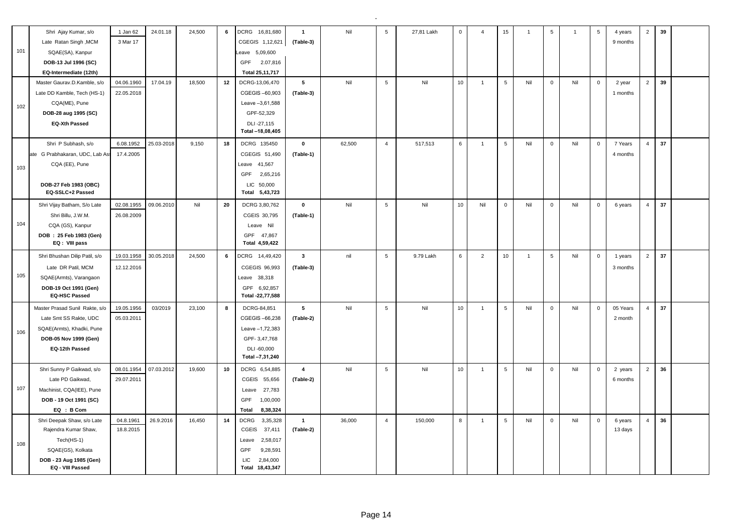|     | Shri Ajay Kumar, s/o                          | 1 Jan 62   | 24.01.18   | 24,500 | 6  | DCRG 16,81,680                   | $\overline{1}$          | Nil    | 5               | 27,81 Lakh | $\mathbf 0$ | $\overline{4}$ | 15              | $\overline{1}$ | $\sqrt{5}$   | $\overline{1}$ | 5              | 4 years  | 2              | 39 |  |
|-----|-----------------------------------------------|------------|------------|--------|----|----------------------------------|-------------------------|--------|-----------------|------------|-------------|----------------|-----------------|----------------|--------------|----------------|----------------|----------|----------------|----|--|
|     | Late Ratan Singh, MCM                         | 3 Mar 17   |            |        |    | CGEGIS 1,12,621                  | (Table-3)               |        |                 |            |             |                |                 |                |              |                |                | 9 months |                |    |  |
| 101 | SQAE(SA), Kanpur                              |            |            |        |    | eave 5,09,600                    |                         |        |                 |            |             |                |                 |                |              |                |                |          |                |    |  |
|     | DOB-13 Jul 1996 (SC)                          |            |            |        |    | GPF 2.07,816                     |                         |        |                 |            |             |                |                 |                |              |                |                |          |                |    |  |
|     | EQ-Intermediate (12th)                        |            |            |        |    | Total 25,11,717                  |                         |        |                 |            |             |                |                 |                |              |                |                |          |                |    |  |
|     | Master Gaurav.D.Kamble, s/o                   | 04.06.1960 | 17.04.19   | 18,500 | 12 | DCRG-13,06,470                   | $5\phantom{.0}$         | Nil    | 5               | Nil        | 10          | $\overline{1}$ | 5               | Nil            | $\mathsf 0$  | Nil            | $\mathbf 0$    | 2 year   | $\overline{2}$ | 39 |  |
|     | Late DD Kamble, Tech (HS-1)                   | 22.05.2018 |            |        |    | CGEGIS-60,903                    | (Table-3)               |        |                 |            |             |                |                 |                |              |                |                | 1 months |                |    |  |
| 102 | CQA(ME), Pune                                 |            |            |        |    | Leave -3,61,588                  |                         |        |                 |            |             |                |                 |                |              |                |                |          |                |    |  |
|     | DOB-28 aug 1995 (SC)                          |            |            |        |    | GPF-52,329                       |                         |        |                 |            |             |                |                 |                |              |                |                |          |                |    |  |
|     | <b>EQ-Xth Passed</b>                          |            |            |        |    | DLI-27,115                       |                         |        |                 |            |             |                |                 |                |              |                |                |          |                |    |  |
|     |                                               |            |            |        |    | Total -18,08,405                 |                         |        |                 |            |             |                |                 |                |              |                |                |          |                |    |  |
|     | Shri P Subhash, s/o                           | 6.08.1952  | 25.03-2018 | 9,150  | 18 | DCRG 135450                      | $\mathbf 0$             | 62,500 | $\overline{4}$  | 517,513    | 6           | $\overline{1}$ | 5               | Nil            | $\mathsf 0$  | Nil            | $\overline{0}$ | 7 Years  | $\overline{4}$ | 37 |  |
|     | ate G Prabhakaran, UDC, Lab As                | 17.4.2005  |            |        |    | CGEGIS 51,490                    | (Table-1)               |        |                 |            |             |                |                 |                |              |                |                | 4 months |                |    |  |
| 103 | CQA (EE), Pune                                |            |            |        |    | Leave 41,567                     |                         |        |                 |            |             |                |                 |                |              |                |                |          |                |    |  |
|     |                                               |            |            |        |    | GPF<br>2,65,216                  |                         |        |                 |            |             |                |                 |                |              |                |                |          |                |    |  |
|     | DOB-27 Feb 1983 (OBC)                         |            |            |        |    | LIC 50,000                       |                         |        |                 |            |             |                |                 |                |              |                |                |          |                |    |  |
|     | EQ-SSLC+2 Passed                              |            |            |        |    | Total 5,43,723                   |                         |        |                 |            |             |                |                 |                |              |                |                |          |                |    |  |
|     | Shri Vijay Batham, S/o Late                   | 02.08.1955 | 09.06.2010 | Nil    | 20 | DCRG 3,80,762                    | $\mathbf 0$             | Nil    | 5               | Nil        | 10          | Nil            | $\mathsf 0$     | Nil            | $\mathsf 0$  | Nil            | $\mathbf 0$    | 6 years  | $\overline{4}$ | 37 |  |
|     | Shri Billu, J.W.M.                            | 26.08.2009 |            |        |    | CGEIS 30,795                     | (Table-1)               |        |                 |            |             |                |                 |                |              |                |                |          |                |    |  |
| 104 | CQA (GS), Kanpur                              |            |            |        |    | Leave Nil                        |                         |        |                 |            |             |                |                 |                |              |                |                |          |                |    |  |
|     | DOB: 25 Feb 1983 (Gen)                        |            |            |        |    | GPF 47,867                       |                         |        |                 |            |             |                |                 |                |              |                |                |          |                |    |  |
|     | EQ: VIII pass                                 |            |            |        |    | Total 4,59,422                   |                         |        |                 |            |             |                |                 |                |              |                |                |          |                |    |  |
|     | Shri Bhushan Dilip Patil, s/o                 | 19.03.1958 | 30.05.2018 | 24,500 | 6  | DCRG 14,49,420                   | $\overline{\mathbf{3}}$ | nil    | $5\phantom{.0}$ | 9.79 Lakh  | 6           | $\overline{2}$ | 10 <sub>1</sub> | $\overline{1}$ | 5            | Nil            | $\mathsf 0$    | 1 years  | $\overline{2}$ | 37 |  |
|     | Late DR Patil, MCM                            | 12.12.2016 |            |        |    | CGEGIS 96,993                    | (Table-3)               |        |                 |            |             |                |                 |                |              |                |                | 3 months |                |    |  |
| 105 | SQAE(Armts), Varangaon                        |            |            |        |    | Leave 38,318                     |                         |        |                 |            |             |                |                 |                |              |                |                |          |                |    |  |
|     | DOB-19 Oct 1991 (Gen)<br><b>EQ-HSC Passed</b> |            |            |        |    | GPF 6,92,857<br>Total -22,77,588 |                         |        |                 |            |             |                |                 |                |              |                |                |          |                |    |  |
|     |                                               |            |            |        |    |                                  |                         |        |                 |            |             |                |                 |                |              |                |                |          |                |    |  |
|     | Master Prasad Sunil Rakte, s/o                | 19.05.1956 | 03/2019    | 23,100 | 8  | DCRG-84,851                      | 5                       | Nil    | $5\phantom{.0}$ | Nil        | 10          | $\overline{1}$ | $\sqrt{5}$      | Nil            | $\mathbf{0}$ | Nil            | $\overline{0}$ | 05 Years | $\overline{4}$ | 37 |  |
|     | Late Smt SS Rakte, UDC                        | 05.03.2011 |            |        |    | CGEGIS-66,238                    | (Table-2)               |        |                 |            |             |                |                 |                |              |                |                | 2 month  |                |    |  |
| 106 | SQAE(Armts), Khadki, Pune                     |            |            |        |    | Leave -1,72,383                  |                         |        |                 |            |             |                |                 |                |              |                |                |          |                |    |  |
|     | DOB-05 Nov 1999 (Gen)                         |            |            |        |    | GPF-3,47,768                     |                         |        |                 |            |             |                |                 |                |              |                |                |          |                |    |  |
|     | EQ-12th Passed                                |            |            |        |    | DLI-60,000<br>Total -7,31,240    |                         |        |                 |            |             |                |                 |                |              |                |                |          |                |    |  |
|     | Shri Sunny P Gaikwad, s/o                     | 08.01.1954 | 07.03.2012 | 19,600 | 10 | DCRG 6,54,885                    | $\overline{4}$          | Nil    | 5               | Nil        | 10          | $\overline{1}$ | 5               | Nil            | $\mathbf{0}$ | Nil            | $\mathsf 0$    | 2 years  | $\overline{2}$ | 36 |  |
|     | Late PD Gaikwad,                              | 29.07.2011 |            |        |    | CGEIS 55,656                     | (Table-2)               |        |                 |            |             |                |                 |                |              |                |                | 6 months |                |    |  |
| 107 | Machinist, CQA(IEE), Pune                     |            |            |        |    | 27,783<br>Leave                  |                         |        |                 |            |             |                |                 |                |              |                |                |          |                |    |  |
|     | DOB - 19 Oct 1991 (SC)                        |            |            |        |    | GPF<br>1,00,000                  |                         |        |                 |            |             |                |                 |                |              |                |                |          |                |    |  |
|     | EQ : B Com                                    |            |            |        |    | 8,38,324<br><b>Total</b>         |                         |        |                 |            |             |                |                 |                |              |                |                |          |                |    |  |
|     | Shri Deepak Shaw, s/o Late                    | 04.8.1961  | 26.9.2016  | 16.450 | 14 | 3,35,328<br><b>DCRG</b>          | $\mathbf{1}$            | 36,000 | $\overline{4}$  | 150,000    | 8           | $\overline{1}$ | 5               | Nil            | $\mathbf{0}$ | Nil            | $\mathbf 0$    | 6 years  | $\overline{4}$ | 36 |  |
|     | Rajendra Kumar Shaw,                          | 18.8.2015  |            |        |    | CGEIS<br>37,411                  | (Table-2)               |        |                 |            |             |                |                 |                |              |                |                | 13 days  |                |    |  |
|     | Tech(HS-1)                                    |            |            |        |    | 2,58,017<br>Leave                |                         |        |                 |            |             |                |                 |                |              |                |                |          |                |    |  |
| 108 | SQAE(GS), Kolkata                             |            |            |        |    |                                  |                         |        |                 |            |             |                |                 |                |              |                |                |          |                |    |  |
|     |                                               |            |            |        |    | 9,28,591<br>GPF                  |                         |        |                 |            |             |                |                 |                |              |                |                |          |                |    |  |
|     | DOB - 23 Aug 1985 (Gen)                       |            |            |        |    | LIC<br>2,84,000                  |                         |        |                 |            |             |                |                 |                |              |                |                |          |                |    |  |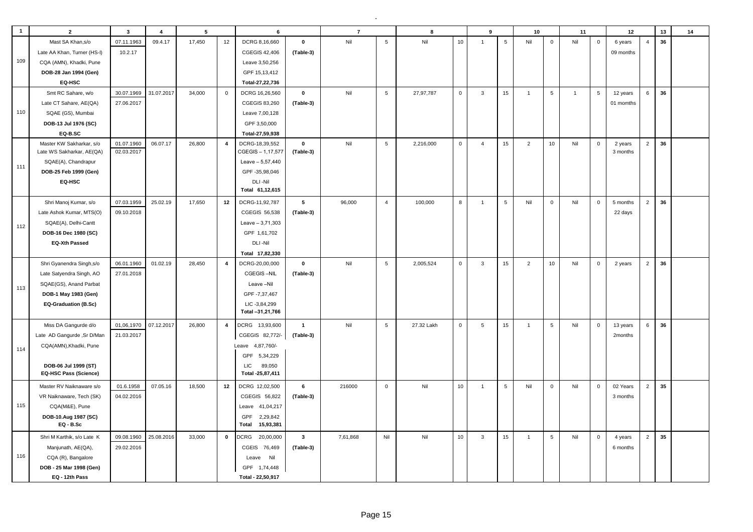| $\mathbf{1}$ | $\overline{2}$                                       | $\overline{\mathbf{3}}$ | $\overline{4}$ | 5      |                | 6                                 |              | $\overline{7}$ |                 | 8          |             | 9              |                 | 10             |                  | 11             |             | 12        |                | 13 | 14 |
|--------------|------------------------------------------------------|-------------------------|----------------|--------|----------------|-----------------------------------|--------------|----------------|-----------------|------------|-------------|----------------|-----------------|----------------|------------------|----------------|-------------|-----------|----------------|----|----|
|              | Mast SA Khan, s/o                                    | 07.11.1963              | 09.4.17        | 17,450 | 12             | DCRG 8,16,660                     | $\pmb{0}$    | Nil            | $\overline{5}$  | Nil        | 10          | $\overline{1}$ | $5\phantom{.0}$ | Nil            | $\mathbf 0$      | Nil            | $\mathsf 0$ | 6 years   | $\overline{4}$ | 36 |    |
|              | Late AA Khan, Turner (HS-I)                          | 10.2.17                 |                |        |                | CGEGIS 42,406                     | (Table-3)    |                |                 |            |             |                |                 |                |                  |                |             | 09 months |                |    |    |
| 109          | CQA (AMN), Khadki, Pune                              |                         |                |        |                | Leave 3,50,256                    |              |                |                 |            |             |                |                 |                |                  |                |             |           |                |    |    |
|              | DOB-28 Jan 1994 (Gen)                                |                         |                |        |                | GPF 15,13,412                     |              |                |                 |            |             |                |                 |                |                  |                |             |           |                |    |    |
|              | EQ-HSC                                               |                         |                |        |                | Total-27,22,736                   |              |                |                 |            |             |                |                 |                |                  |                |             |           |                |    |    |
|              | Smt RC Sahare, w/o                                   | 30.07.1969              | 31.07.2017     | 34,000 | $\mathbf{0}$   | DCRG 16,26,560                    | $\pmb{0}$    | Nil            | $5\overline{5}$ | 27,97,787  | $\mathbf 0$ | $\overline{3}$ | 15              | $\mathbf{1}$   | 5                | $\overline{1}$ | 5           | 12 years  | 6              | 36 |    |
|              | Late CT Sahare, AE(QA)                               | 27.06.2017              |                |        |                | CGEGIS 83,260                     | (Table-3)    |                |                 |            |             |                |                 |                |                  |                |             | 01 momths |                |    |    |
| 110          | SQAE (GS), Mumbai                                    |                         |                |        |                | Leave 7,00,128                    |              |                |                 |            |             |                |                 |                |                  |                |             |           |                |    |    |
|              | DOB-13 Jul 1976 (SC)                                 |                         |                |        |                | GPF 3,50,000                      |              |                |                 |            |             |                |                 |                |                  |                |             |           |                |    |    |
|              | EQ-B.SC                                              |                         |                |        |                | Total-27,59,938                   |              |                |                 |            |             |                |                 |                |                  |                |             |           |                |    |    |
|              | Master KW Sakharkar, s/o                             | 01.07.1960              | 06.07.17       | 26,800 | $\overline{4}$ | DCRG-18,39,552                    | $\pmb{0}$    | Nil            | $\,$ 5 $\,$     | 2,216,000  | $\mathsf 0$ | $\overline{4}$ | 15              | $\overline{2}$ | 10               | Nil            | $\mathbf 0$ | 2 years   | $\overline{2}$ | 36 |    |
|              | Late WS Sakharkar, AE(QA)                            | 02.03.2017              |                |        |                | CGEGIS - 1,17,577                 | (Table-3)    |                |                 |            |             |                |                 |                |                  |                |             | 3 months  |                |    |    |
| 111          | SQAE(A), Chandrapur                                  |                         |                |        |                | Leave - 5,57,440                  |              |                |                 |            |             |                |                 |                |                  |                |             |           |                |    |    |
|              | DOB-25 Feb 1999 (Gen)                                |                         |                |        |                | GPF-35,98,046                     |              |                |                 |            |             |                |                 |                |                  |                |             |           |                |    |    |
|              | EQ-HSC                                               |                         |                |        |                | DLI-Nil<br>Total 61,12,615        |              |                |                 |            |             |                |                 |                |                  |                |             |           |                |    |    |
|              |                                                      |                         |                |        |                |                                   |              |                |                 |            |             |                |                 |                |                  |                |             |           |                |    |    |
|              | Shri Manoj Kumar, s/o                                | 07.03.1959              | 25.02.19       | 17,650 | 12             | DCRG-11,92,787                    | 5            | 96,000         | $\overline{4}$  | 100,000    | 8           | $\overline{1}$ | $5\phantom{.0}$ | Nil            | $\mathbf 0$      | Nil            | $\mathbf 0$ | 5 months  | $\overline{2}$ | 36 |    |
|              | Late Ashok Kumar, MTS(O)                             | 09.10.2018              |                |        |                | CGEGIS 56,538                     | (Table-3)    |                |                 |            |             |                |                 |                |                  |                |             | 22 days   |                |    |    |
| 112          | SQAE(A), Delhi-Cantt                                 |                         |                |        |                | $Leave - 3,71,303$                |              |                |                 |            |             |                |                 |                |                  |                |             |           |                |    |    |
|              | DOB-16 Dec 1980 (SC)                                 |                         |                |        |                | GPF 1,61,702                      |              |                |                 |            |             |                |                 |                |                  |                |             |           |                |    |    |
|              | <b>EQ-Xth Passed</b>                                 |                         |                |        |                | DLI-Nil                           |              |                |                 |            |             |                |                 |                |                  |                |             |           |                |    |    |
|              |                                                      |                         |                |        |                | Total 17,82,330                   |              |                |                 |            |             |                |                 |                |                  |                |             |           |                |    |    |
|              | Shri Gyanendra Singh, s/o                            | 06.01.1960              | 01.02.19       | 28,450 | $\overline{4}$ | DCRG-20,00,000                    | $\mathbf 0$  | Nil            | 5               | 2,005,524  | $\mathbf 0$ | $\mathbf{3}$   | 15              | 2              | 10 <sup>10</sup> | Nil            | $\mathbf 0$ | 2 years   | $\overline{2}$ | 36 |    |
|              | Late Satyendra Singh, AO                             | 27.01.2018              |                |        |                | CGEGIS-NIL                        | (Table-3)    |                |                 |            |             |                |                 |                |                  |                |             |           |                |    |    |
| 113          | SQAE(GS), Anand Parbat                               |                         |                |        |                | Leave-Nil                         |              |                |                 |            |             |                |                 |                |                  |                |             |           |                |    |    |
|              | DOB-1 May 1983 (Gen)                                 |                         |                |        |                | GPF -7,37,467                     |              |                |                 |            |             |                |                 |                |                  |                |             |           |                |    |    |
|              | EQ-Graduation (B.Sc)                                 |                         |                |        |                | LIC-3,84,299<br>Total -31,21,766  |              |                |                 |            |             |                |                 |                |                  |                |             |           |                |    |    |
|              |                                                      |                         |                |        |                |                                   |              |                |                 |            |             |                |                 |                |                  |                |             |           |                |    |    |
|              | Miss DA Gangurde d/o                                 | 01,06,1970              | 07.12.2017     | 26,800 | $\overline{4}$ | DCRG 13,93,600                    | $\mathbf{1}$ | Nil            | $\sqrt{5}$      | 27.32 Lakh | $\mathsf 0$ | $\sqrt{5}$     | 15              | $\mathbf{1}$   | $5\phantom{.0}$  | Nil            | $\mathsf 0$ | 13 years  | 6              | 36 |    |
|              | Late AD Gangurde, Sr D/Man                           | 21.03.2017              |                |        |                | CGEGIS 82,772/-                   | (Table-3)    |                |                 |            |             |                |                 |                |                  |                |             | 2months   |                |    |    |
| 114          | CQA(AMN), Khadki, Pune                               |                         |                |        |                | Leave 4,87,760/-                  |              |                |                 |            |             |                |                 |                |                  |                |             |           |                |    |    |
|              |                                                      |                         |                |        |                | GPF 5,34,229                      |              |                |                 |            |             |                |                 |                |                  |                |             |           |                |    |    |
|              | DOB-06 Jul 1999 (ST)<br><b>EQ-HSC Pass (Science)</b> |                         |                |        |                | 89,050<br>LIC<br>Total -25,87,411 |              |                |                 |            |             |                |                 |                |                  |                |             |           |                |    |    |
|              | Master RV Naiknaware s/o                             | 01.6.1958               | 07.05.16       | 18,500 | 12             | DCRG 12,02,500                    | 6            | 216000         | $\mathbf 0$     | Nil        | 10          | $\overline{1}$ | $\sqrt{5}$      | Nil            | $\mathbf 0$      | Nil            | $\mathbf 0$ | 02 Years  | $\overline{2}$ | 35 |    |
|              | VR Naiknaware, Tech (SK)                             | 04.02.2016              |                |        |                | CGEGIS 56,822                     | (Table-3)    |                |                 |            |             |                |                 |                |                  |                |             | 3 months  |                |    |    |
| 115          | CQA(M&E), Pune                                       |                         |                |        |                | Leave 41,04,217                   |              |                |                 |            |             |                |                 |                |                  |                |             |           |                |    |    |
|              | DOB-10.Aug 1987 (SC)                                 |                         |                |        |                | GPF<br>2,29,842                   |              |                |                 |            |             |                |                 |                |                  |                |             |           |                |    |    |
|              | $EQ - B.Sc$                                          |                         |                |        |                | 15,93,381<br>Total                |              |                |                 |            |             |                |                 |                |                  |                |             |           |                |    |    |
|              | Shri M Karthik, s/o Late K                           | 09.08.1960              | 25.08.2016     | 33,000 | $\mathbf 0$    | DCRG<br>20,00,000                 | $\mathbf{3}$ | 7,61,868       | Nil             | Nil        | 10          | 3              | 15              | $\overline{1}$ | $5\phantom{.0}$  | Nil            | $\mathsf 0$ | 4 years   | $\overline{2}$ | 35 |    |
|              | Manjunath, AE(QA),                                   | 29.02.2016              |                |        |                | CGEIS 76,469                      | (Table-3)    |                |                 |            |             |                |                 |                |                  |                |             | 6 months  |                |    |    |
| 116          | CQA (R), Bangalore                                   |                         |                |        |                | Nil<br>Leave                      |              |                |                 |            |             |                |                 |                |                  |                |             |           |                |    |    |
|              | DOB - 25 Mar 1998 (Gen)                              |                         |                |        |                | GPF 1,74,448                      |              |                |                 |            |             |                |                 |                |                  |                |             |           |                |    |    |
|              | EQ - 12th Pass                                       |                         |                |        |                | Total - 22,50,917                 |              |                |                 |            |             |                |                 |                |                  |                |             |           |                |    |    |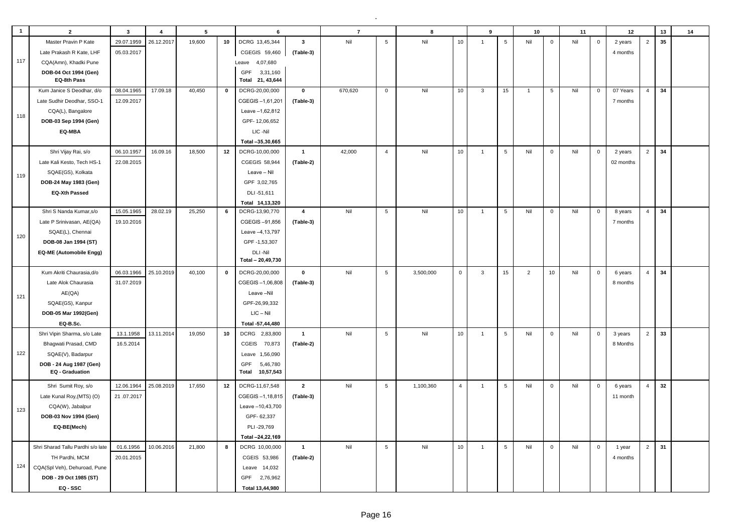| $\overline{1}$ | $\overline{2}$                             | $\mathbf{3}$ | $\overline{4}$ | $5\phantom{a}$ |             | 6                                            |                | $\overline{7}$ |                 | $\mathbf{a}$ |                | 9              |                 | 10             |              | 11  |              | 12        |                | 13 | 14 |
|----------------|--------------------------------------------|--------------|----------------|----------------|-------------|----------------------------------------------|----------------|----------------|-----------------|--------------|----------------|----------------|-----------------|----------------|--------------|-----|--------------|-----------|----------------|----|----|
|                | Master Pravin P Kate                       | 29.07.1959   | 26.12.2017     | 19,600         | 10          | DCRG 13,45,344                               | $\mathbf{3}$   | Nil            | $\,$ 5 $\,$     | Nil          | 10             | $\overline{1}$ | $\,$ 5 $\,$     | Nil            | $\mathbf 0$  | Nil | $\mathsf 0$  | 2 years   | $\overline{2}$ | 35 |    |
|                | Late Prakash R Kate, LHF                   | 05.03.2017   |                |                |             | CGEGIS 59,460                                | (Table-3)      |                |                 |              |                |                |                 |                |              |     |              | 4 months  |                |    |    |
| 117            | CQA(Amn), Khadki Pune                      |              |                |                |             | Leave 4,07,680                               |                |                |                 |              |                |                |                 |                |              |     |              |           |                |    |    |
|                | DOB-04 Oct 1994 (Gen)                      |              |                |                |             | GPF<br>3,31,160                              |                |                |                 |              |                |                |                 |                |              |     |              |           |                |    |    |
|                | EQ-8th Pass                                |              |                |                |             | Total 21, 43,644                             |                |                |                 |              |                |                |                 |                |              |     |              |           |                |    |    |
|                | Kum Janice S Deodhar, d/o                  | 08.04.1965   | 17.09.18       | 40,450         | $\mathbf 0$ | DCRG-20,00,000                               | $\pmb{0}$      | 670,620        | $\mathbf 0$     | Nil          | 10             | $\mathbf{3}$   | 15              | $\mathbf{1}$   | 5            | Nil | $\mathbf 0$  | 07 Years  | $\overline{4}$ | 34 |    |
|                | Late Sudhir Deodhar, SSO-1                 | 12.09.2017   |                |                |             | CGEGIS-1,61,201                              | (Table-3)      |                |                 |              |                |                |                 |                |              |     |              | 7 months  |                |    |    |
| 118            | CQA(L), Bangalore                          |              |                |                |             | Leave -1,62,812                              |                |                |                 |              |                |                |                 |                |              |     |              |           |                |    |    |
|                | DOB-03 Sep 1994 (Gen)                      |              |                |                |             | GPF-12,06,652                                |                |                |                 |              |                |                |                 |                |              |     |              |           |                |    |    |
|                | EQ-MBA                                     |              |                |                |             | LIC-Nil                                      |                |                |                 |              |                |                |                 |                |              |     |              |           |                |    |    |
|                |                                            |              |                |                |             | Total -35,30,665                             |                |                |                 |              |                |                |                 |                |              |     |              |           |                |    |    |
|                | Shri Vijay Rai, s/o                        | 06.10.1957   | 16.09.16       | 18.500         | 12          | DCRG-10,00,000                               | $\overline{1}$ | 42,000         | $\overline{4}$  | Nil          | 10             | $\overline{1}$ | $\sqrt{5}$      | Nil            | $\mathbf{0}$ | Nil | $\mathbf{0}$ | 2 years   | $\mathbf 2$    | 34 |    |
|                | Late Kali Kesto, Tech HS-1                 | 22.08.2015   |                |                |             | CGEGIS 58,944                                | (Table-2)      |                |                 |              |                |                |                 |                |              |     |              | 02 months |                |    |    |
| 119            | SQAE(GS), Kolkata                          |              |                |                |             | Leave - Nil                                  |                |                |                 |              |                |                |                 |                |              |     |              |           |                |    |    |
|                | DOB-24 May 1983 (Gen)                      |              |                |                |             | GPF 3,02,765                                 |                |                |                 |              |                |                |                 |                |              |     |              |           |                |    |    |
|                | <b>EQ-Xth Passed</b>                       |              |                |                |             | DLI-51,611                                   |                |                |                 |              |                |                |                 |                |              |     |              |           |                |    |    |
|                |                                            |              |                |                |             | Total 14,13,320                              |                |                |                 |              |                |                |                 |                |              |     |              |           |                |    |    |
|                | Shri S Nanda Kumar, s/o                    | 15.05.1965   | 28.02.19       | 25,250         | 6           | DCRG-13,90,770                               | $\overline{4}$ | Nil            | $5\phantom{.0}$ | Nil          | 10             | $\overline{1}$ | $\sqrt{5}$      | Nil            | $\mathbf 0$  | Nil | $\mathbf 0$  | 8 years   | $\overline{4}$ | 34 |    |
|                | Late P Srinivasan, AE(QA)                  | 19.10.2016   |                |                |             | CGEGIS-91,856                                | (Table-3)      |                |                 |              |                |                |                 |                |              |     |              | 7 months  |                |    |    |
| 120            | SQAE(L), Chennai                           |              |                |                |             | Leave -4,13,797                              |                |                |                 |              |                |                |                 |                |              |     |              |           |                |    |    |
|                | DOB-08 Jan 1994 (ST)                       |              |                |                |             | GPF-1,53,307                                 |                |                |                 |              |                |                |                 |                |              |     |              |           |                |    |    |
|                | EQ-ME (Automobile Engg)                    |              |                |                |             | DLI-Nil                                      |                |                |                 |              |                |                |                 |                |              |     |              |           |                |    |    |
|                |                                            |              |                |                |             | Total - 20,49,730                            |                |                |                 |              |                |                |                 |                |              |     |              |           |                |    |    |
|                | Kum Akriti Chaurasia, d/o                  | 06.03.1966   | 25.10.2019     | 40,100         | 0           | DCRG-20,00,000                               | $\mathbf 0$    | Nil            | 5               | 3,500,000    | $\mathsf 0$    | 3              | 15              | $\overline{2}$ | 10           | Nil | $\mathbf 0$  | 6 years   | $\overline{4}$ | 34 |    |
|                | Late Alok Chaurasia                        | 31.07.2019   |                |                |             | CGEGIS-1,06,808                              | (Table-3)      |                |                 |              |                |                |                 |                |              |     |              | 8 months  |                |    |    |
| 121            | AE(QA)                                     |              |                |                |             | Leave-Nil                                    |                |                |                 |              |                |                |                 |                |              |     |              |           |                |    |    |
|                | SQAE(GS), Kanpur                           |              |                |                |             | GPF-26,99,332                                |                |                |                 |              |                |                |                 |                |              |     |              |           |                |    |    |
|                | DOB-05 Mar 1992(Gen)                       |              |                |                |             | $LIC - Nil$                                  |                |                |                 |              |                |                |                 |                |              |     |              |           |                |    |    |
|                | EQ-B.Sc.                                   |              |                |                |             | Total -57,44,480                             |                |                |                 |              |                |                |                 |                |              |     |              |           |                |    |    |
|                | Shri Vipin Sharma, s/o Late                | 13.1.1958    | 13.11.2014     | 19,050         | 10          | <b>DCRG</b><br>2,83,800                      | $\mathbf{1}$   | Nil            | 5               | Nil          | 10             | $\overline{1}$ | $\sqrt{5}$      | Nil            | $\mathbf 0$  | Nil | $\mathbf 0$  | 3 years   | 2              | 33 |    |
|                | Bhagwati Prasad, CMD                       | 16.5.2014    |                |                |             | CGEIS 70,873                                 | (Table-2)      |                |                 |              |                |                |                 |                |              |     |              | 8 Months  |                |    |    |
| 122            | SQAE(V), Badarpur                          |              |                |                |             | Leave 1,56,090                               |                |                |                 |              |                |                |                 |                |              |     |              |           |                |    |    |
|                | DOB - 24 Aug 1987 (Gen)<br>EQ - Graduation |              |                |                |             | 5,46,780<br><b>GPF</b><br>10,57,543<br>Total |                |                |                 |              |                |                |                 |                |              |     |              |           |                |    |    |
|                |                                            |              |                |                |             |                                              |                |                |                 |              |                |                |                 |                |              |     |              |           |                |    |    |
|                | Shri Sumit Roy, s/o                        | 12.06.1964   | 25.08.2019     | 17,650         | 12          | DCRG-11,67,548                               | $\overline{2}$ | Nil            | 5               | 1,100,360    | $\overline{4}$ | $\overline{1}$ | $5\phantom{.0}$ | Nil            | $\mathbf 0$  | Nil | $\mathbf 0$  | 6 years   | $\overline{4}$ | 32 |    |
|                | Late Kunal Roy, (MTS) (O)                  | 21.07.2017   |                |                |             | CGEGIS-1,18,815                              | (Table-3)      |                |                 |              |                |                |                 |                |              |     |              | 11 month  |                |    |    |
| 123            | CQA(W), Jabalpur                           |              |                |                |             | Leave -10,43,700                             |                |                |                 |              |                |                |                 |                |              |     |              |           |                |    |    |
|                | DOB-03 Nov 1994 (Gen)                      |              |                |                |             | GPF-62,337                                   |                |                |                 |              |                |                |                 |                |              |     |              |           |                |    |    |
|                | EQ-BE(Mech)                                |              |                |                |             | PLI-29,769                                   |                |                |                 |              |                |                |                 |                |              |     |              |           |                |    |    |
|                |                                            |              |                |                |             | Total -24,22,169                             |                |                |                 |              |                |                |                 |                |              |     |              |           |                |    |    |
|                | Shri Sharad Tallu Pardhi s/o late          | 01.6.1956    | 10.06.2016     | 21,800         | 8           | DCRG 10,00,000                               | $\overline{1}$ | Nil            | $5\phantom{.0}$ | Nil          | 10             | $\overline{1}$ | 5               | Nil            | $\mathbf 0$  | Nil | $\mathbf 0$  | 1 year    | $\overline{2}$ | 31 |    |
|                | TH Pardhi, MCM                             | 20.01.2015   |                |                |             | CGEIS 53,986                                 | (Table-2)      |                |                 |              |                |                |                 |                |              |     |              | 4 months  |                |    |    |
| 124            | CQA(Spl Veh), Dehuroad, Pune               |              |                |                |             | 14,032<br>Leave                              |                |                |                 |              |                |                |                 |                |              |     |              |           |                |    |    |
|                | DOB - 29 Oct 1985 (ST)                     |              |                |                |             | 2,76,962<br>GPF                              |                |                |                 |              |                |                |                 |                |              |     |              |           |                |    |    |
|                | EQ - SSC                                   |              |                |                |             | Total 13.44.980                              |                |                |                 |              |                |                |                 |                |              |     |              |           |                |    |    |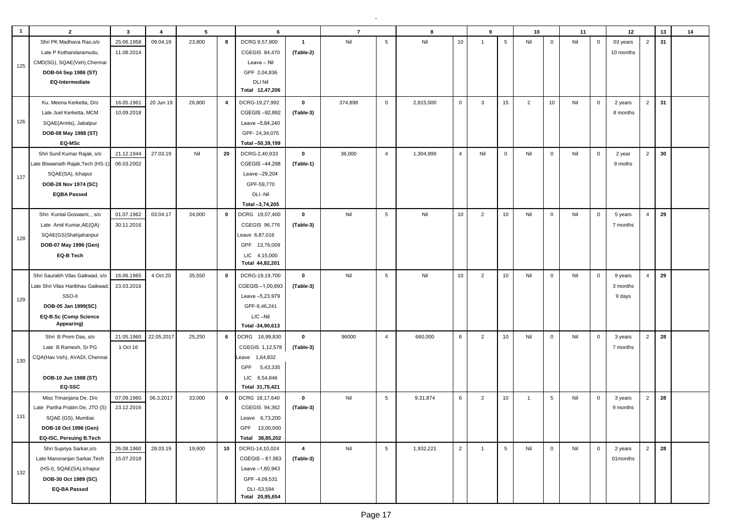| $\overline{\mathbf{1}}$ | $\overline{2}$                    | $\overline{\mathbf{3}}$ | $\overline{4}$ | 5      |             | 6                |                | $\overline{7}$ |                 | 8         |                | 9              |                 | 10             |             | 11  |             | 12        |                | 13 | 14 |
|-------------------------|-----------------------------------|-------------------------|----------------|--------|-------------|------------------|----------------|----------------|-----------------|-----------|----------------|----------------|-----------------|----------------|-------------|-----|-------------|-----------|----------------|----|----|
|                         | Shri PK Madhava Rao,s/o           | 25.06.1958              | 09.04.19       | 23,800 | 8           | DCRG 9,57,900    | $\overline{1}$ | Nil            | $5\phantom{.0}$ | Nil       | 10             | $\overline{1}$ | $5\phantom{.0}$ | Nil            | $\mathbf 0$ | Nil | $\mathbf 0$ | 03 years  | $\overline{2}$ | 31 |    |
|                         | Late P Kothandaramudu,            | 11.08.2014              |                |        |             | CGEGIS 84,470    | (Table-2)      |                |                 |           |                |                |                 |                |             |     |             | 10 months |                |    |    |
|                         | CMD(SG), SQAE(Veh), Chennai       |                         |                |        |             | Leave - Nil      |                |                |                 |           |                |                |                 |                |             |     |             |           |                |    |    |
| 125                     | DOB-04 Sep 1986 (ST)              |                         |                |        |             | GPF 2,04,836     |                |                |                 |           |                |                |                 |                |             |     |             |           |                |    |    |
|                         | EQ-Intermediate                   |                         |                |        |             | <b>DLI Nil</b>   |                |                |                 |           |                |                |                 |                |             |     |             |           |                |    |    |
|                         |                                   |                         |                |        |             | Total 12,47,206  |                |                |                 |           |                |                |                 |                |             |     |             |           |                |    |    |
|                         | Ku. Meena Kerketta, D/o           | 16.05.1961              | 20 Jun 19      | 26,800 | 4           | DCRG-19,27,992   | $\mathbf 0$    | 374,898        | $\mathbf 0$     | 2,815,000 | $\mathbf 0$    | $\mathbf{3}$   | 15              | $\overline{2}$ | 10          | Nil | $\mathbf 0$ | 2 years   | $\overline{2}$ | 31 |    |
|                         | Late Juel Kerketta, MCM           | 10.09.2018              |                |        |             | CGEGIS-92,892    | (Table-3)      |                |                 |           |                |                |                 |                |             |     |             | 8 months  |                |    |    |
| 126                     | SQAE(Armts), Jabalpur             |                         |                |        |             | Leave -5,84,240  |                |                |                 |           |                |                |                 |                |             |     |             |           |                |    |    |
|                         | DOB-08 May 1988 (ST)              |                         |                |        |             | GPF-24,34,075    |                |                |                 |           |                |                |                 |                |             |     |             |           |                |    |    |
|                         | <b>EQ-MSc</b>                     |                         |                |        |             | Total -50,39,199 |                |                |                 |           |                |                |                 |                |             |     |             |           |                |    |    |
|                         | Shri Sunil Kumar Rajak, s/o       | 21.12.1944              | 27.03.19       | Nil    | 20          | DCRG-2,40,933    | $\mathbf 0$    | 36,000         | $\overline{4}$  | 1,304,999 | $\overline{4}$ | Nil            | $\mathbf 0$     | Nil            | $\mathbf 0$ | Nil | $\mathbf 0$ | 2 year    | $\overline{2}$ | 30 |    |
|                         | Late Biswanath Rajak, Tech (HS-1  | 06.03.2002              |                |        |             | CGEGIS-44,298    | (Table-1)      |                |                 |           |                |                |                 |                |             |     |             | 9 moths   |                |    |    |
|                         | SQAE(SA), Ichapur                 |                         |                |        |             | Leave -29,204    |                |                |                 |           |                |                |                 |                |             |     |             |           |                |    |    |
| 127                     | DOB-28 Nov 1974 (SC)              |                         |                |        |             | GPF-59,770       |                |                |                 |           |                |                |                 |                |             |     |             |           |                |    |    |
|                         | <b>EQBA Passed</b>                |                         |                |        |             | DLI-Nil          |                |                |                 |           |                |                |                 |                |             |     |             |           |                |    |    |
|                         |                                   |                         |                |        |             | Total -3,74,205  |                |                |                 |           |                |                |                 |                |             |     |             |           |                |    |    |
|                         | Shri Kuntal Goswami, , s/o        | 01.07.1962              | 03.04.17       | 34,000 | $\mathbf 0$ | DCRG 19,07,400   | $\mathbf 0$    | Nil            | $5\phantom{.0}$ | Nil       | 10             | $\overline{2}$ | 10              | Nil            | $\mathbf 0$ | Nil | $\mathbf 0$ | 5 years   | $\overline{4}$ | 29 |    |
|                         | Late Amit Kumar, AE(QA)           | 30.11.2016              |                |        |             | CGEGIS 96,776    | (Table-3)      |                |                 |           |                |                |                 |                |             |     |             | 7 months  |                |    |    |
| 128                     | SQAE(GS)Shahjahanpur              |                         |                |        |             | Leave 6,87,016   |                |                |                 |           |                |                |                 |                |             |     |             |           |                |    |    |
|                         | DOB-07 May 1996 (Gen)             |                         |                |        |             | GPF 13,76,009    |                |                |                 |           |                |                |                 |                |             |     |             |           |                |    |    |
|                         | EQ-B Tech                         |                         |                |        |             | LIC 4,15,000     |                |                |                 |           |                |                |                 |                |             |     |             |           |                |    |    |
|                         |                                   |                         |                |        |             | Total 44,82,201  |                |                |                 |           |                |                |                 |                |             |     |             |           |                |    |    |
|                         | Shri Saurabh Vilas Gaikwad, s/o   | 16.06.1965              | 4 Oct 20       | 35,550 | $\mathbf 0$ | DCRG-19,19,700   | $\mathbf 0$    | Nil            | $5\phantom{.0}$ | Nil       | 10             | $\overline{2}$ | 10              | Nil            | $\mathbf 0$ | Nil | $\mathbf 0$ | 9 years   | $\overline{4}$ | 29 |    |
|                         | Late Shri Vilas Haribhau Gaikwad, | 23.03.2016              |                |        |             | CGEGIS-1,00,693  | (Table-3)      |                |                 |           |                |                |                 |                |             |     |             | 3 months  |                |    |    |
| 129                     | SSO-II                            |                         |                |        |             | Leave -5,23,979  |                |                |                 |           |                |                |                 |                |             |     |             | 9 days    |                |    |    |
|                         | DOB-05 Jan 1999(SC)               |                         |                |        |             | GPF-9,46,241     |                |                |                 |           |                |                |                 |                |             |     |             |           |                |    |    |
|                         | EQ-B.Sc (Comp Science             |                         |                |        |             | LIC-Nil          |                |                |                 |           |                |                |                 |                |             |     |             |           |                |    |    |
|                         | Appearing)                        |                         |                |        |             | Total -34,90,613 |                |                |                 |           |                |                |                 |                |             |     |             |           |                |    |    |
|                         | Shri B Prem Das, s/o              | 21.05.1960              | 22.05.2017     | 25,250 | 6           | DCRG 16,99,830   | $\mathbf 0$    | 96000          | $\overline{4}$  | 660,000   | 6              | $\overline{2}$ | 10              | Nil            | $\mathbf 0$ | Nil | $\mathbf 0$ | 3 years   | $\overline{2}$ | 28 |    |
|                         | Late B Ramesh, Sr PG              | 1 Oct 16                |                |        |             | CGEGIS 1,12,578  | (Table-3)      |                |                 |           |                |                |                 |                |             |     |             | 7 months  |                |    |    |
| 130                     | CQA(Hav Veh), AVADI, Chennai      |                         |                |        |             | eave 1,64,832    |                |                |                 |           |                |                |                 |                |             |     |             |           |                |    |    |
|                         |                                   |                         |                |        |             | GPF<br>5,43,335  |                |                |                 |           |                |                |                 |                |             |     |             |           |                |    |    |
|                         | DOB-10 Jun 1988 (ST)              |                         |                |        |             | LIC 6,54,846     |                |                |                 |           |                |                |                 |                |             |     |             |           |                |    |    |
|                         | <b>EQ-SSC</b>                     |                         |                |        |             | Total 31,75,421  |                |                |                 |           |                |                |                 |                |             |     |             |           |                |    |    |
|                         | Miss Trinanjana De. D/o           | 07.09.1960              | 06.3.2017      | 33,000 | 0           | DCRG 18,17,640   | $\mathbf 0$    | Nil            | $5\phantom{.0}$ | 9,31,874  | 6              | $\overline{2}$ | 10              | $\mathbf{1}$   | 5           | Nil | $\mathbf 0$ | 3 years   | $\overline{2}$ | 28 |    |
|                         | Late Partha Pratim De, JTO (S)    | 23.12.2016              |                |        |             | CGEGIS 94,362    | (Table-3)      |                |                 |           |                |                |                 |                |             |     |             | 9 months  |                |    |    |
| 131                     | SQAE (GS), Mumbai                 |                         |                |        |             | Leave 6,73,200   |                |                |                 |           |                |                |                 |                |             |     |             |           |                |    |    |
|                         | DOB-18 Oct 1996 (Gen)             |                         |                |        |             | GPF 13,00,000    |                |                |                 |           |                |                |                 |                |             |     |             |           |                |    |    |
|                         | EQ-ISC, Persuing B.Tech           |                         |                |        |             | Total 38,85,202  |                |                |                 |           |                |                |                 |                |             |     |             |           |                |    |    |
|                         | Shri Supriya Sarkar, s/o          | 26.08.1960              | 28.03.19       | 19,600 | 10          | DCRG-14,10,024   | $\overline{4}$ | Nil            | $5\phantom{.0}$ | 1,932,221 | $\overline{2}$ | $\overline{1}$ | $5\overline{5}$ | Nil            | $\mathbf 0$ | Nil | $\mathbf 0$ | 2 years   | $\overline{2}$ | 28 |    |
|                         | Late Manoranjan Sarkar, Tech      | 15.07.2018              |                |        |             | CGEGIS - 61,563  | (Table-3)      |                |                 |           |                |                |                 |                |             |     |             | 01months  |                |    |    |
| 132                     | (HS-I), SQAE(SA), Ichapur         |                         |                |        |             | Leave -1,60,943  |                |                |                 |           |                |                |                 |                |             |     |             |           |                |    |    |
|                         | DOB-30 Oct 1989 (SC)              |                         |                |        |             | GPF -4,09,531    |                |                |                 |           |                |                |                 |                |             |     |             |           |                |    |    |
|                         | <b>EQ-BA Passed</b>               |                         |                |        |             | DLI-53,594       |                |                |                 |           |                |                |                 |                |             |     |             |           |                |    |    |
|                         |                                   |                         |                |        |             | Total 20,95,654  |                |                |                 |           |                |                |                 |                |             |     |             |           |                |    |    |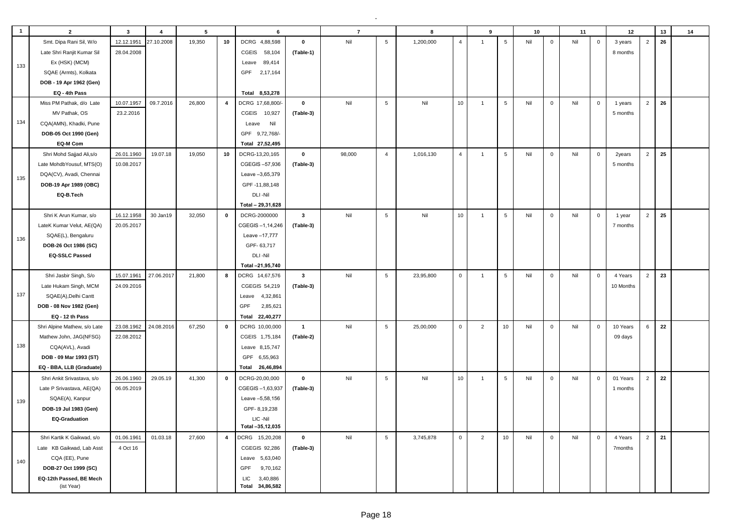| $\mathbf{1}$ | $\overline{2}$               | $\overline{\mathbf{3}}$ | $\overline{4}$ | $5\phantom{.0}$ |                | 6                      |              | $\overline{7}$ |                | 8         |                | $\boldsymbol{9}$ |             | 10  |             | 11  |             | 12        |                | 13 | 14 |
|--------------|------------------------------|-------------------------|----------------|-----------------|----------------|------------------------|--------------|----------------|----------------|-----------|----------------|------------------|-------------|-----|-------------|-----|-------------|-----------|----------------|----|----|
|              | Smt. Dipa Rani Sil, W/o      | 12.12.1951              | 27.10.2008     | 19,350          | 10             | DCRG 4,88,598          | $\mathbf 0$  | Nil            | 5              | 1,200,000 | $\overline{4}$ | $\overline{1}$   | $\sqrt{5}$  | Nil | $\mathbf 0$ | Nil | $\mathbf 0$ | 3 years   | $\overline{2}$ | 26 |    |
|              | Late Shri Ranjit Kumar Sil   | 28.04.2008              |                |                 |                | <b>CGEIS</b><br>58,104 | (Table-1)    |                |                |           |                |                  |             |     |             |     |             | 8 months  |                |    |    |
| 133          | Ex (HSK) (MCM)               |                         |                |                 |                | 89,414<br>Leave        |              |                |                |           |                |                  |             |     |             |     |             |           |                |    |    |
|              | SQAE (Armts), Kolkata        |                         |                |                 |                | 2,17,164<br>GPF        |              |                |                |           |                |                  |             |     |             |     |             |           |                |    |    |
|              | DOB - 19 Apr 1962 (Gen)      |                         |                |                 |                |                        |              |                |                |           |                |                  |             |     |             |     |             |           |                |    |    |
|              | EQ - 4th Pass                |                         |                |                 |                | Total 8,53,278         |              |                |                |           |                |                  |             |     |             |     |             |           |                |    |    |
|              | Miss PM Pathak, d/o Late     | 10.07.1957              | 09.7.2016      | 26,800          | $\overline{4}$ | DCRG 17,68,800/        | $\mathbf{0}$ | Nil            | $\sqrt{5}$     | Nil       | 10             | $\overline{1}$   | $\,$ 5 $\,$ | Nil | $\mathbf 0$ | Nil | $\mathsf 0$ | 1 years   | $\overline{2}$ | 26 |    |
|              | MV Pathak, OS                | 23.2.2016               |                |                 |                | <b>CGEIS</b><br>10,927 | (Table-3)    |                |                |           |                |                  |             |     |             |     |             | 5 months  |                |    |    |
| 134          | CQA(AMN), Khadki, Pune       |                         |                |                 |                | Nil<br>Leave           |              |                |                |           |                |                  |             |     |             |     |             |           |                |    |    |
|              | DOB-05 Oct 1990 (Gen)        |                         |                |                 |                | GPF 9,72,768/-         |              |                |                |           |                |                  |             |     |             |     |             |           |                |    |    |
|              | EQ-M Com                     |                         |                |                 |                | Total 27,52,495        |              |                |                |           |                |                  |             |     |             |     |             |           |                |    |    |
|              | Shri Mohd Sajjad Ali, s/o    | 26.01.1960              | 19.07.18       | 19,050          | 10             | DCRG-13,20,165         | $\mathbf 0$  | 98,000         | $\overline{4}$ | 1,016,130 | $\overline{4}$ | $\overline{1}$   | 5           | Nil | $\mathbf 0$ | Nil | $\mathsf 0$ | 2years    | $\overline{2}$ | 25 |    |
|              | Late MohdbYousuf, MTS(O)     | 10.08.2017              |                |                 |                | CGEGIS-57,936          | (Table-3)    |                |                |           |                |                  |             |     |             |     |             | 5 months  |                |    |    |
| 135          | DQA(CV), Avadi, Chennai      |                         |                |                 |                | Leave -3,65,379        |              |                |                |           |                |                  |             |     |             |     |             |           |                |    |    |
|              | DOB-19 Apr 1989 (OBC)        |                         |                |                 |                | GPF-11,88,148          |              |                |                |           |                |                  |             |     |             |     |             |           |                |    |    |
|              | EQ-B.Tech                    |                         |                |                 |                | DLI-Nil                |              |                |                |           |                |                  |             |     |             |     |             |           |                |    |    |
|              |                              |                         |                |                 |                | Total - 29,31,628      |              |                |                |           |                |                  |             |     |             |     |             |           |                |    |    |
|              | Shri K Arun Kumar, s/o       | 16.12.1958              | 30 Jan19       | 32,050          | $\mathbf 0$    | DCRG-2000000           | $\mathbf{3}$ | Nil            | $\,$ 5 $\,$    | Nil       | 10             | $\overline{1}$   | $\,$ 5 $\,$ | Nil | $\mathbf 0$ | Nil | $\mathsf 0$ | 1 year    | $\overline{2}$ | 25 |    |
|              | LateK Kumar Velut, AE(QA)    | 20.05.2017              |                |                 |                | CGEGIS-1,14,246        | (Table-3)    |                |                |           |                |                  |             |     |             |     |             | 7 months  |                |    |    |
|              | SQAE(L), Bengaluru           |                         |                |                 |                | Leave -17,777          |              |                |                |           |                |                  |             |     |             |     |             |           |                |    |    |
| 136          | DOB-26 Oct 1986 (SC)         |                         |                |                 |                | GPF-63,717             |              |                |                |           |                |                  |             |     |             |     |             |           |                |    |    |
|              | <b>EQ-SSLC Passed</b>        |                         |                |                 |                | DLI-Nil                |              |                |                |           |                |                  |             |     |             |     |             |           |                |    |    |
|              |                              |                         |                |                 |                | Total -21,95,740       |              |                |                |           |                |                  |             |     |             |     |             |           |                |    |    |
|              | Shri Jasbir Singh, S/o       | 15.07.1961              | 27.06.2017     | 21,800          | 8              | DCRG 14,67,576         | $\mathbf{3}$ | Nil            | $\,$ 5 $\,$    | 23,95,800 | $\mathbf 0$    | $\overline{1}$   | 5           | Nil | $\mathbf 0$ | Nil | $\mathsf 0$ | 4 Years   | $\overline{2}$ | 23 |    |
|              | Late Hukam Singh, MCM        | 24.09.2016              |                |                 |                | CGEGIS 54,219          | (Table-3)    |                |                |           |                |                  |             |     |             |     |             | 10 Months |                |    |    |
| 137          | SQAE(A), Delhi Cantt         |                         |                |                 |                | 4,32,861<br>Leave      |              |                |                |           |                |                  |             |     |             |     |             |           |                |    |    |
|              | DOB - 08 Nov 1982 (Gen)      |                         |                |                 |                | GPF<br>2,85,621        |              |                |                |           |                |                  |             |     |             |     |             |           |                |    |    |
|              | EQ - 12 th Pass              |                         |                |                 |                | 22,40,277<br>Total     |              |                |                |           |                |                  |             |     |             |     |             |           |                |    |    |
|              | Shri Alpine Mathew, s/o Late | 23.08.1962              | 24.08.2016     | 67,250          | $\mathbf{0}$   | DCRG 10,00,000         | $\mathbf{1}$ | Nil            | 5              | 25,00,000 | $\mathsf 0$    | $\overline{2}$   | 10          | Nil | $\mathbf 0$ | Nil | $\mathsf 0$ | 10 Years  | 6              | 22 |    |
|              | Mathew John, JAG(NFSG)       | 22.08.2012              |                |                 |                | CGEIS 1,75,184         | (Table-2)    |                |                |           |                |                  |             |     |             |     |             | 09 days   |                |    |    |
| 138          | CQA(AVL), Avadi              |                         |                |                 |                | Leave 8,15,747         |              |                |                |           |                |                  |             |     |             |     |             |           |                |    |    |
|              | DOB - 09 Mar 1993 (ST)       |                         |                |                 |                | GPF 6,55,963           |              |                |                |           |                |                  |             |     |             |     |             |           |                |    |    |
|              | EQ - BBA, LLB (Graduate)     |                         |                |                 |                | Total 26,46,894        |              |                |                |           |                |                  |             |     |             |     |             |           |                |    |    |
|              | Shri Ankit Srivastava, s/o   | 26.06.1960              | 29.05.19       | 41.300          | $\mathbf 0$    | DCRG-20,00,000         | $\mathbf{0}$ | Nil            | $\,$ 5 $\,$    | Nil       | 10             | $\overline{1}$   | $\sqrt{5}$  | Nil | $\mathbf 0$ | Nil | $\mathbf 0$ | 01 Years  | $\overline{2}$ | 22 |    |
|              | Late P Srivastava, AE(QA)    | 06.05.2019              |                |                 |                | CGEGIS-1,63,937        | (Table-3)    |                |                |           |                |                  |             |     |             |     |             | 1 months  |                |    |    |
| 139          | SQAE(A), Kanpur              |                         |                |                 |                | Leave -5,58,156        |              |                |                |           |                |                  |             |     |             |     |             |           |                |    |    |
|              | DOB-19 Jul 1983 (Gen)        |                         |                |                 |                | GPF-8,19,238           |              |                |                |           |                |                  |             |     |             |     |             |           |                |    |    |
|              | <b>EQ-Graduation</b>         |                         |                |                 |                | LIC-Nil                |              |                |                |           |                |                  |             |     |             |     |             |           |                |    |    |
|              |                              |                         |                |                 |                | Total -35,12,035       |              |                |                |           |                |                  |             |     |             |     |             |           |                |    |    |
|              | Shri Kartik K Gaikwad, s/o   | 01.06.1961              | 01.03.18       | 27,600          | $\overline{4}$ | DCRG 15,20,208         | $\pmb{0}$    | Nil            | $\overline{5}$ | 3,745,878 | $\mathbf 0$    | $\overline{2}$   | 10          | Nil | $\mathbf 0$ | Nil | $\mathbf 0$ | 4 Years   | $\overline{2}$ | 21 |    |
|              | Late KB Gaikwad, Lab Asst    | 4 Oct 16                |                |                 |                | CGEGIS 92,286          | (Table-3)    |                |                |           |                |                  |             |     |             |     |             | 7months   |                |    |    |
| 140          | CQA (EE), Pune               |                         |                |                 |                | Leave<br>5,63,040      |              |                |                |           |                |                  |             |     |             |     |             |           |                |    |    |
|              | DOB-27 Oct 1999 (SC)         |                         |                |                 |                | GPF<br>9,70,162        |              |                |                |           |                |                  |             |     |             |     |             |           |                |    |    |
|              | EQ-12th Passed, BE Mech      |                         |                |                 |                | <b>LIC</b><br>3,40,886 |              |                |                |           |                |                  |             |     |             |     |             |           |                |    |    |
|              | (ist Year)                   |                         |                |                 |                | 34,86,582<br>Total     |              |                |                |           |                |                  |             |     |             |     |             |           |                |    |    |